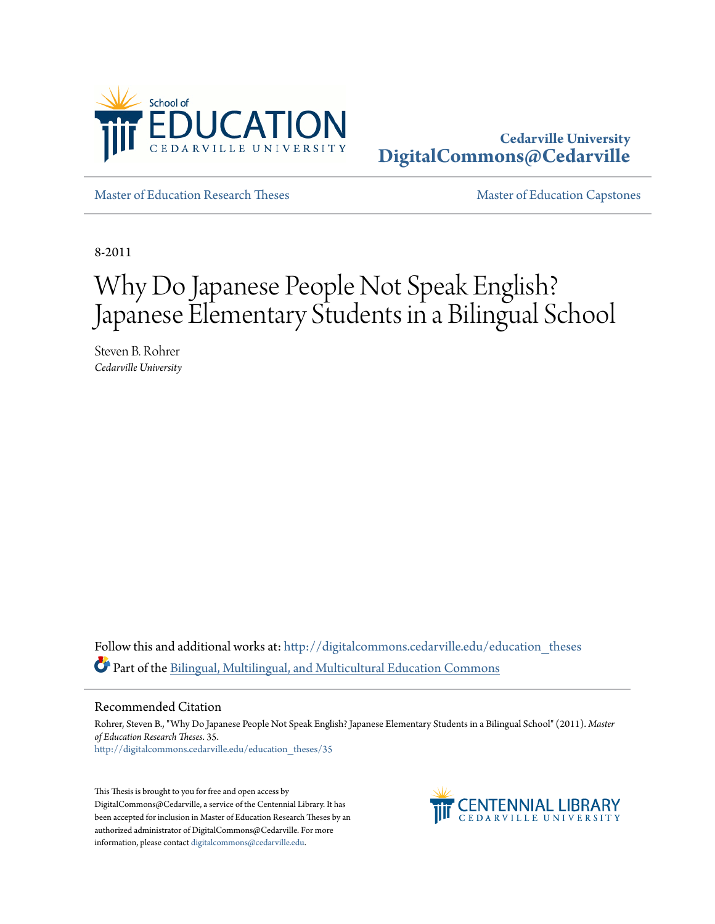

## **Cedarville University [DigitalCommons@Cedarville](http://digitalcommons.cedarville.edu?utm_source=digitalcommons.cedarville.edu%2Feducation_theses%2F35&utm_medium=PDF&utm_campaign=PDFCoverPages)**

[Master of Education Research Theses](http://digitalcommons.cedarville.edu/education_theses?utm_source=digitalcommons.cedarville.edu%2Feducation_theses%2F35&utm_medium=PDF&utm_campaign=PDFCoverPages) [Master of Education Capstones](http://digitalcommons.cedarville.edu/education_graduate_capstones?utm_source=digitalcommons.cedarville.edu%2Feducation_theses%2F35&utm_medium=PDF&utm_campaign=PDFCoverPages)

8-2011

# Why Do Japanese People Not Speak English? Japanese Elementary Students in a Bilingual School

Steven B. Rohrer *Cedarville University*

Follow this and additional works at: [http://digitalcommons.cedarville.edu/education\\_theses](http://digitalcommons.cedarville.edu/education_theses?utm_source=digitalcommons.cedarville.edu%2Feducation_theses%2F35&utm_medium=PDF&utm_campaign=PDFCoverPages) Part of the [Bilingual, Multilingual, and Multicultural Education Commons](http://network.bepress.com/hgg/discipline/785?utm_source=digitalcommons.cedarville.edu%2Feducation_theses%2F35&utm_medium=PDF&utm_campaign=PDFCoverPages)

#### Recommended Citation

Rohrer, Steven B., "Why Do Japanese People Not Speak English? Japanese Elementary Students in a Bilingual School" (2011). *Master of Education Research Theses*. 35. [http://digitalcommons.cedarville.edu/education\\_theses/35](http://digitalcommons.cedarville.edu/education_theses/35?utm_source=digitalcommons.cedarville.edu%2Feducation_theses%2F35&utm_medium=PDF&utm_campaign=PDFCoverPages)

This Thesis is brought to you for free and open access by DigitalCommons@Cedarville, a service of the Centennial Library. It has been accepted for inclusion in Master of Education Research Theses by an authorized administrator of DigitalCommons@Cedarville. For more information, please contact [digitalcommons@cedarville.edu.](mailto:digitalcommons@cedarville.edu)

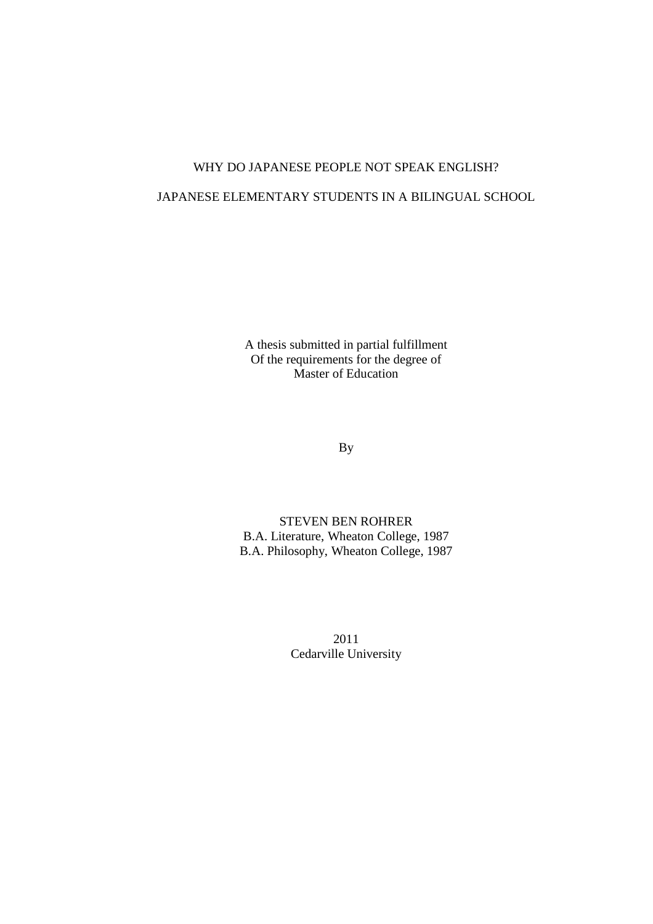## WHY DO JAPANESE PEOPLE NOT SPEAK ENGLISH?

## JAPANESE ELEMENTARY STUDENTS IN A BILINGUAL SCHOOL

A thesis submitted in partial fulfillment Of the requirements for the degree of Master of Education

By

STEVEN BEN ROHRER B.A. Literature, Wheaton College, 1987 B.A. Philosophy, Wheaton College, 1987

> 2011 Cedarville University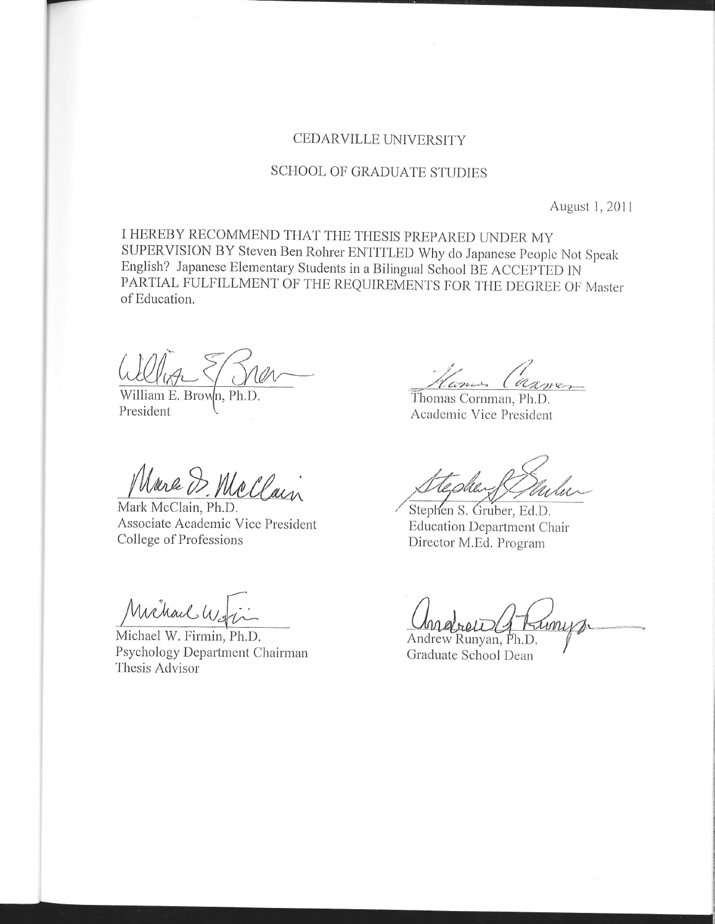### CEDARVILLE UNIVERSITY

## SCHOOL OF GRADUATE STUDIES

August 1, 2011

I HEREBY RECOMMEND THAT THE THESIS PREPARED UNDER MY SUPERVISION BY Steven Ben Rohrer ENTITLED Why do Japanese People Not Speak English? Japanese Elementary Students in a Bilingual School BE ACCEPTED IN PARTIAL FULFILLMENT OF THE REQUIREMENTS FOR THE DEGREE OF Master of Education.

William E. Brown, Ph.D. President

Marc D. McClain

Mark McClain, Ph.D. Associate Academic Vice President College of Professions

Michael Way

Michael W. Firmin, Ph.D. Psychology Department Chairman Thesis Advisor

Comos Carnes

Thomas Cornman, Ph.D. Academic Vice President

Stephen S. Gruber, Ed.D. **Education Department Chair** Director M.Ed. Program

Andrew Runyan, Ph.D.

Graduate School Dean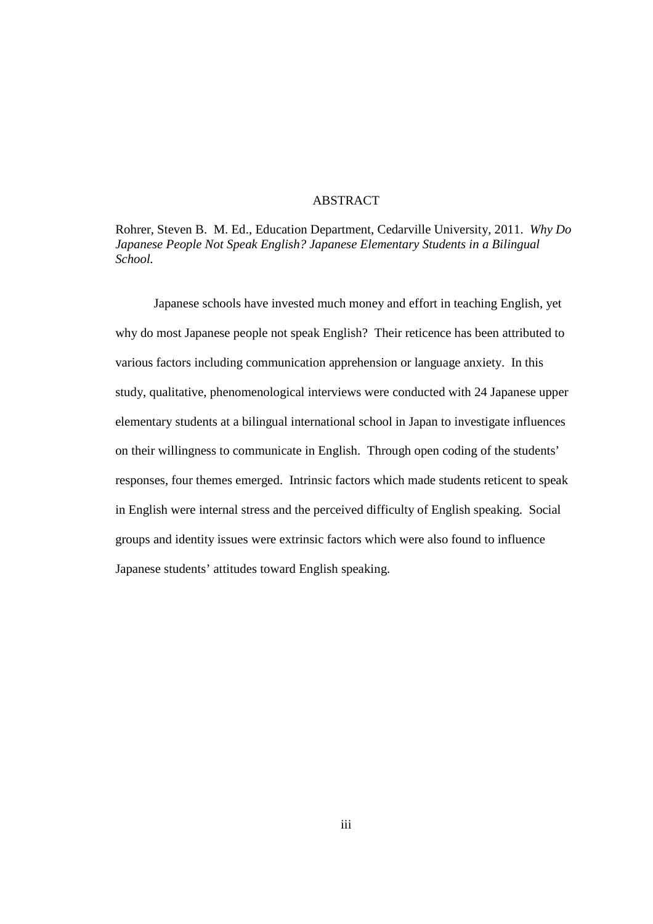### **ABSTRACT**

Rohrer, Steven B. M. Ed., Education Department, Cedarville University, 2011. *Why Do Japanese People Not Speak English? Japanese Elementary Students in a Bilingual School.*

Japanese schools have invested much money and effort in teaching English, yet why do most Japanese people not speak English? Their reticence has been attributed to various factors including communication apprehension or language anxiety. In this study, qualitative, phenomenological interviews were conducted with 24 Japanese upper elementary students at a bilingual international school in Japan to investigate influences on their willingness to communicate in English. Through open coding of the students' responses, four themes emerged. Intrinsic factors which made students reticent to speak in English were internal stress and the perceived difficulty of English speaking. Social groups and identity issues were extrinsic factors which were also found to influence Japanese students' attitudes toward English speaking.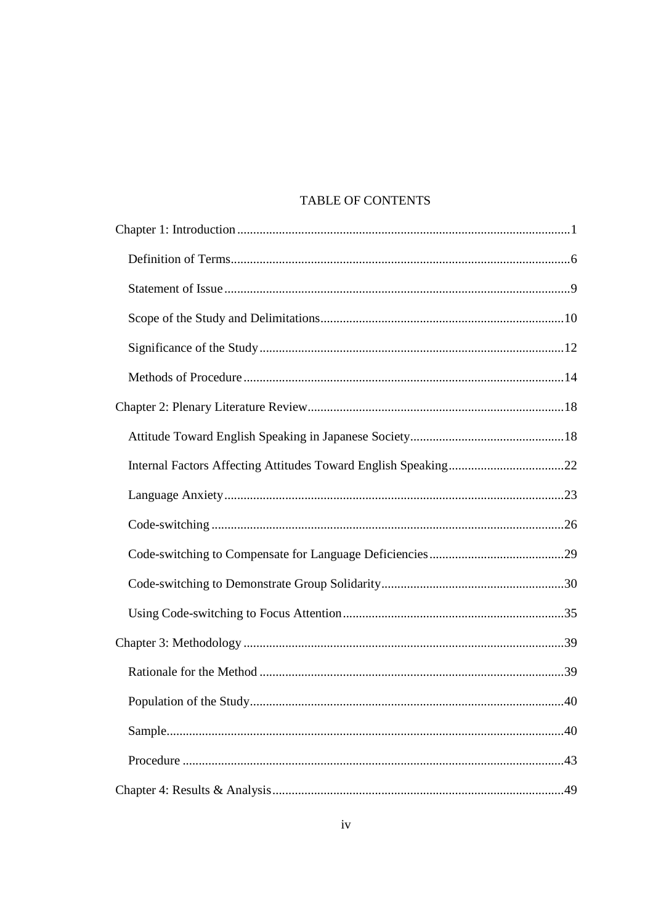## TABLE OF CONTENTS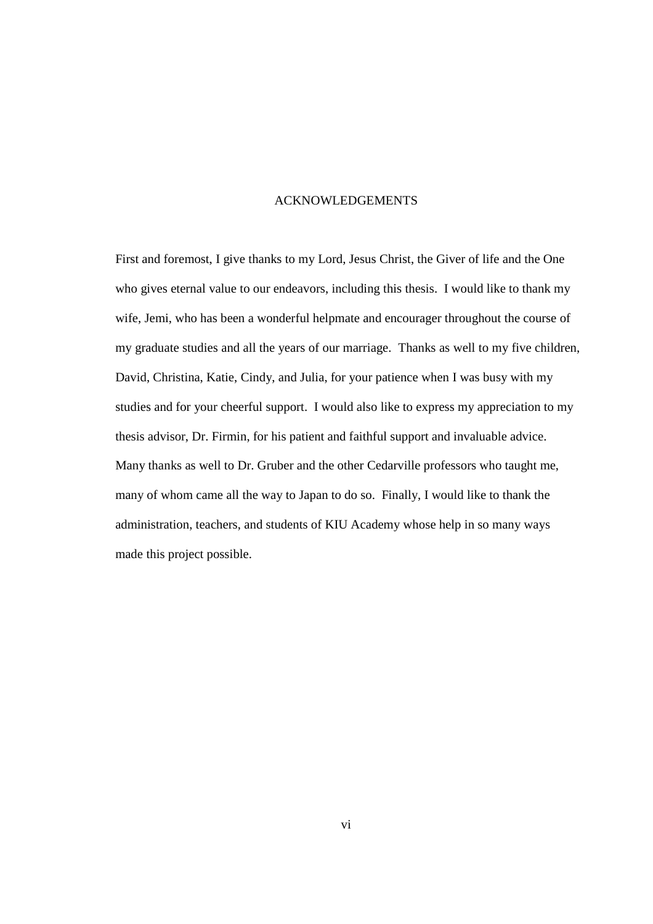#### ACKNOWLEDGEMENTS

First and foremost, I give thanks to my Lord, Jesus Christ, the Giver of life and the One who gives eternal value to our endeavors, including this thesis. I would like to thank my wife, Jemi, who has been a wonderful helpmate and encourager throughout the course of my graduate studies and all the years of our marriage. Thanks as well to my five children, David, Christina, Katie, Cindy, and Julia, for your patience when I was busy with my studies and for your cheerful support. I would also like to express my appreciation to my thesis advisor, Dr. Firmin, for his patient and faithful support and invaluable advice. Many thanks as well to Dr. Gruber and the other Cedarville professors who taught me, many of whom came all the way to Japan to do so. Finally, I would like to thank the administration, teachers, and students of KIU Academy whose help in so many ways made this project possible.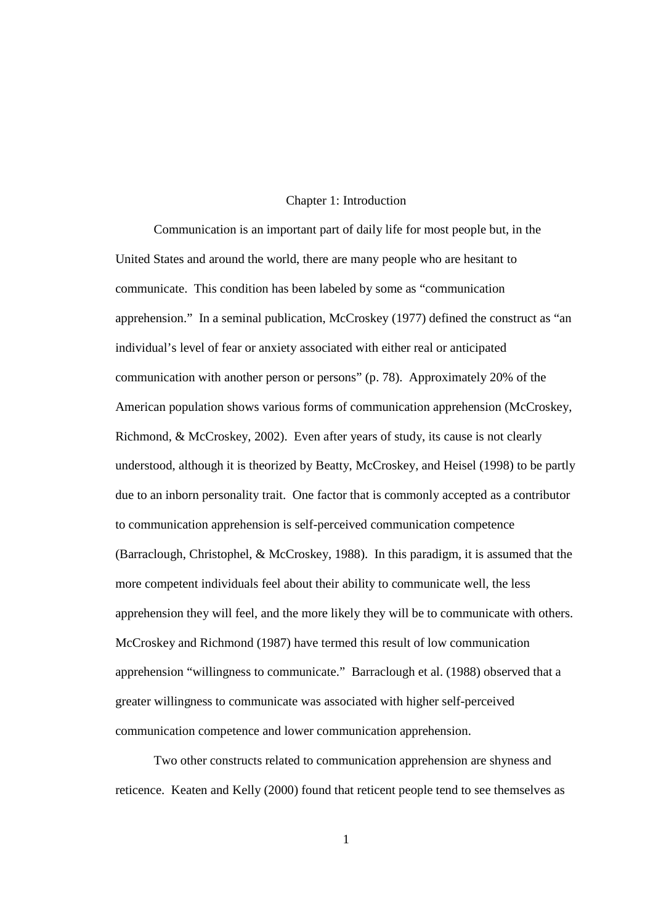#### Chapter 1: Introduction

Communication is an important part of daily life for most people but, in the United States and around the world, there are many people who are hesitant to communicate. This condition has been labeled by some as "communication apprehension." In a seminal publication, McCroskey (1977) defined the construct as "an individual's level of fear or anxiety associated with either real or anticipated communication with another person or persons" (p. 78). Approximately 20% of the American population shows various forms of communication apprehension (McCroskey, Richmond, & McCroskey, 2002). Even after years of study, its cause is not clearly understood, although it is theorized by Beatty, McCroskey, and Heisel (1998) to be partly due to an inborn personality trait. One factor that is commonly accepted as a contributor to communication apprehension is self-perceived communication competence (Barraclough, Christophel, & McCroskey, 1988). In this paradigm, it is assumed that the more competent individuals feel about their ability to communicate well, the less apprehension they will feel, and the more likely they will be to communicate with others. McCroskey and Richmond (1987) have termed this result of low communication apprehension "willingness to communicate." Barraclough et al. (1988) observed that a greater willingness to communicate was associated with higher self-perceived communication competence and lower communication apprehension.

Two other constructs related to communication apprehension are shyness and reticence. Keaten and Kelly (2000) found that reticent people tend to see themselves as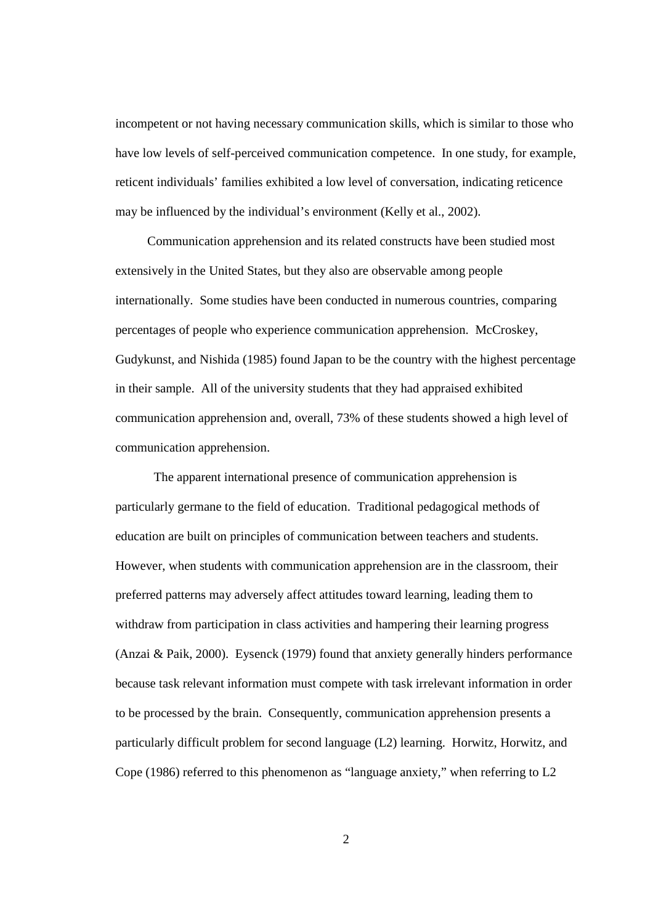incompetent or not having necessary communication skills, which is similar to those who have low levels of self-perceived communication competence. In one study, for example, reticent individuals' families exhibited a low level of conversation, indicating reticence may be influenced by the individual's environment (Kelly et al., 2002).

Communication apprehension and its related constructs have been studied most extensively in the United States, but they also are observable among people internationally. Some studies have been conducted in numerous countries, comparing percentages of people who experience communication apprehension. McCroskey, Gudykunst, and Nishida (1985) found Japan to be the country with the highest percentage in their sample. All of the university students that they had appraised exhibited communication apprehension and, overall, 73% of these students showed a high level of communication apprehension.

The apparent international presence of communication apprehension is particularly germane to the field of education. Traditional pedagogical methods of education are built on principles of communication between teachers and students. However, when students with communication apprehension are in the classroom, their preferred patterns may adversely affect attitudes toward learning, leading them to withdraw from participation in class activities and hampering their learning progress (Anzai & Paik, 2000). Eysenck (1979) found that anxiety generally hinders performance because task relevant information must compete with task irrelevant information in order to be processed by the brain. Consequently, communication apprehension presents a particularly difficult problem for second language (L2) learning. Horwitz, Horwitz, and Cope (1986) referred to this phenomenon as "language anxiety," when referring to L2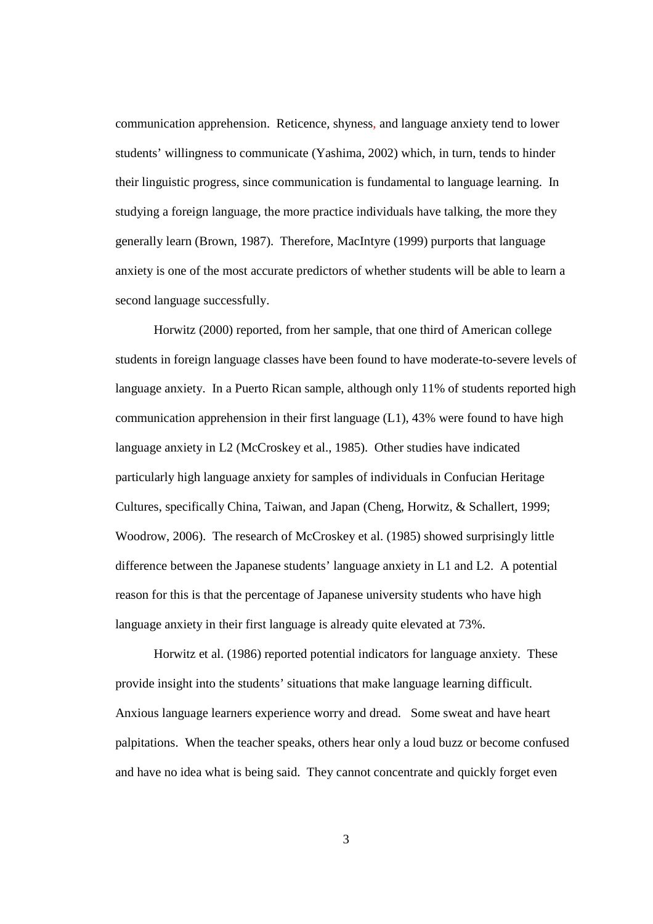communication apprehension. Reticence, shyness, and language anxiety tend to lower students' willingness to communicate (Yashima, 2002) which, in turn, tends to hinder their linguistic progress, since communication is fundamental to language learning. In studying a foreign language, the more practice individuals have talking, the more they generally learn (Brown, 1987). Therefore, MacIntyre (1999) purports that language anxiety is one of the most accurate predictors of whether students will be able to learn a second language successfully.

Horwitz (2000) reported, from her sample, that one third of American college students in foreign language classes have been found to have moderate-to-severe levels of language anxiety. In a Puerto Rican sample, although only 11% of students reported high communication apprehension in their first language  $(L1)$ , 43% were found to have high language anxiety in L2 (McCroskey et al., 1985). Other studies have indicated particularly high language anxiety for samples of individuals in Confucian Heritage Cultures, specifically China, Taiwan, and Japan (Cheng, Horwitz, & Schallert, 1999; Woodrow, 2006). The research of McCroskey et al. (1985) showed surprisingly little difference between the Japanese students' language anxiety in L1 and L2. A potential reason for this is that the percentage of Japanese university students who have high language anxiety in their first language is already quite elevated at 73%.

Horwitz et al. (1986) reported potential indicators for language anxiety. These provide insight into the students' situations that make language learning difficult. Anxious language learners experience worry and dread. Some sweat and have heart palpitations. When the teacher speaks, others hear only a loud buzz or become confused and have no idea what is being said. They cannot concentrate and quickly forget even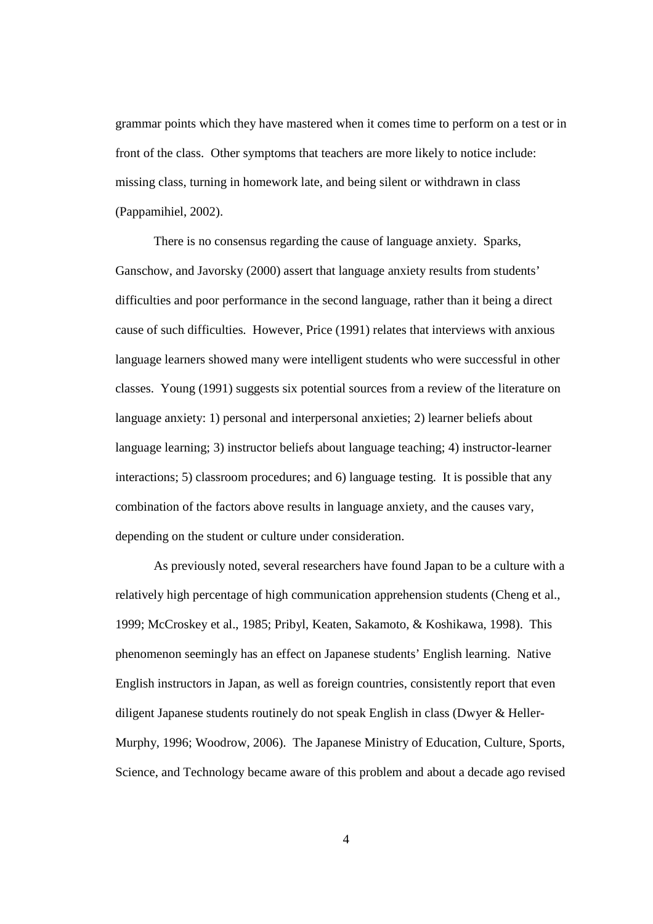grammar points which they have mastered when it comes time to perform on a test or in front of the class. Other symptoms that teachers are more likely to notice include: missing class, turning in homework late, and being silent or withdrawn in class (Pappamihiel, 2002).

There is no consensus regarding the cause of language anxiety. Sparks, Ganschow, and Javorsky (2000) assert that language anxiety results from students' difficulties and poor performance in the second language, rather than it being a direct cause of such difficulties. However, Price (1991) relates that interviews with anxious language learners showed many were intelligent students who were successful in other classes. Young (1991) suggests six potential sources from a review of the literature on language anxiety: 1) personal and interpersonal anxieties; 2) learner beliefs about language learning; 3) instructor beliefs about language teaching; 4) instructor-learner interactions; 5) classroom procedures; and 6) language testing. It is possible that any combination of the factors above results in language anxiety, and the causes vary, depending on the student or culture under consideration.

As previously noted, several researchers have found Japan to be a culture with a relatively high percentage of high communication apprehension students (Cheng et al., 1999; McCroskey et al., 1985; Pribyl, Keaten, Sakamoto, & Koshikawa, 1998). This phenomenon seemingly has an effect on Japanese students' English learning. Native English instructors in Japan, as well as foreign countries, consistently report that even diligent Japanese students routinely do not speak English in class (Dwyer & Heller-Murphy, 1996; Woodrow, 2006). The Japanese Ministry of Education, Culture, Sports, Science, and Technology became aware of this problem and about a decade ago revised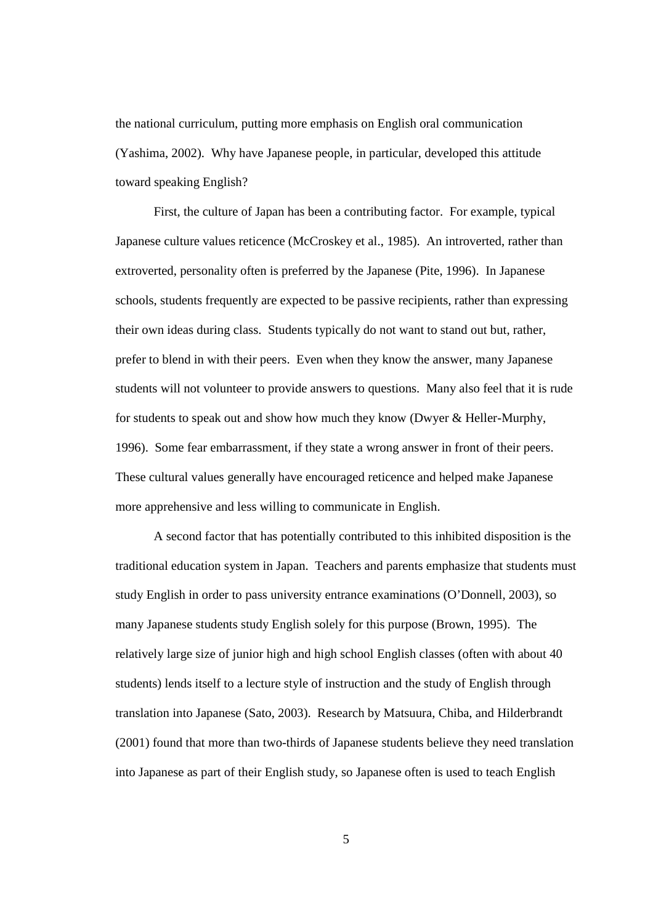the national curriculum, putting more emphasis on English oral communication (Yashima, 2002). Why have Japanese people, in particular, developed this attitude toward speaking English?

First, the culture of Japan has been a contributing factor. For example, typical Japanese culture values reticence (McCroskey et al., 1985). An introverted, rather than extroverted, personality often is preferred by the Japanese (Pite, 1996). In Japanese schools, students frequently are expected to be passive recipients, rather than expressing their own ideas during class. Students typically do not want to stand out but, rather, prefer to blend in with their peers. Even when they know the answer, many Japanese students will not volunteer to provide answers to questions. Many also feel that it is rude for students to speak out and show how much they know (Dwyer & Heller-Murphy, 1996). Some fear embarrassment, if they state a wrong answer in front of their peers. These cultural values generally have encouraged reticence and helped make Japanese more apprehensive and less willing to communicate in English.

A second factor that has potentially contributed to this inhibited disposition is the traditional education system in Japan. Teachers and parents emphasize that students must study English in order to pass university entrance examinations (O'Donnell, 2003), so many Japanese students study English solely for this purpose (Brown, 1995). The relatively large size of junior high and high school English classes (often with about 40 students) lends itself to a lecture style of instruction and the study of English through translation into Japanese (Sato, 2003). Research by Matsuura, Chiba, and Hilderbrandt (2001) found that more than two-thirds of Japanese students believe they need translation into Japanese as part of their English study, so Japanese often is used to teach English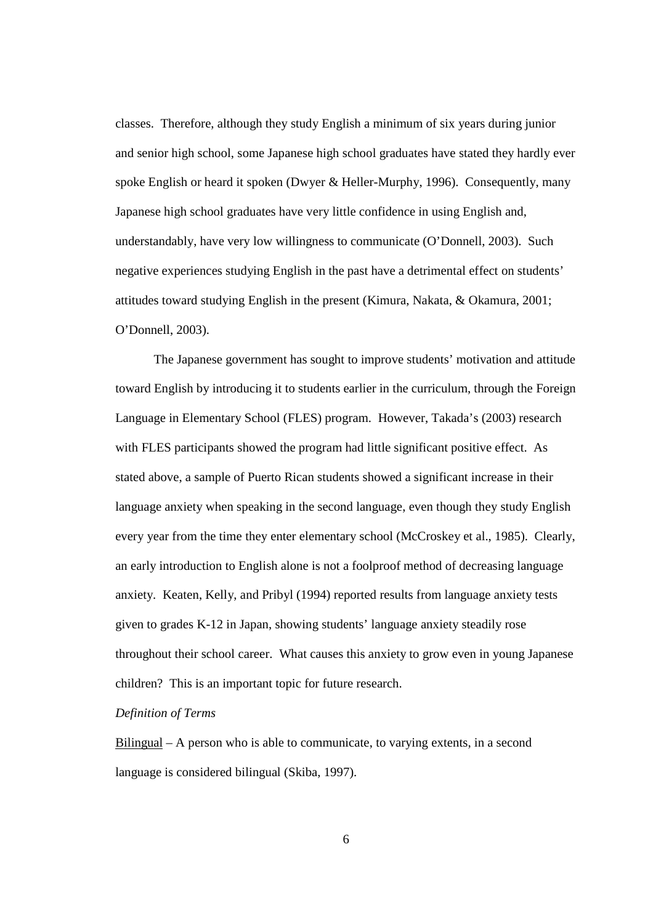classes. Therefore, although they study English a minimum of six years during junior and senior high school, some Japanese high school graduates have stated they hardly ever spoke English or heard it spoken (Dwyer & Heller-Murphy, 1996). Consequently, many Japanese high school graduates have very little confidence in using English and, understandably, have very low willingness to communicate (O'Donnell, 2003). Such negative experiences studying English in the past have a detrimental effect on students' attitudes toward studying English in the present (Kimura, Nakata, & Okamura, 2001; O'Donnell, 2003).

The Japanese government has sought to improve students' motivation and attitude toward English by introducing it to students earlier in the curriculum, through the Foreign Language in Elementary School (FLES) program. However, Takada's (2003) research with FLES participants showed the program had little significant positive effect. As stated above, a sample of Puerto Rican students showed a significant increase in their language anxiety when speaking in the second language, even though they study English every year from the time they enter elementary school (McCroskey et al., 1985). Clearly, an early introduction to English alone is not a foolproof method of decreasing language anxiety. Keaten, Kelly, and Pribyl (1994) reported results from language anxiety tests given to grades K-12 in Japan, showing students' language anxiety steadily rose throughout their school career. What causes this anxiety to grow even in young Japanese children? This is an important topic for future research.

#### *Definition of Terms*

Bilingual – A person who is able to communicate, to varying extents, in a second language is considered bilingual (Skiba, 1997).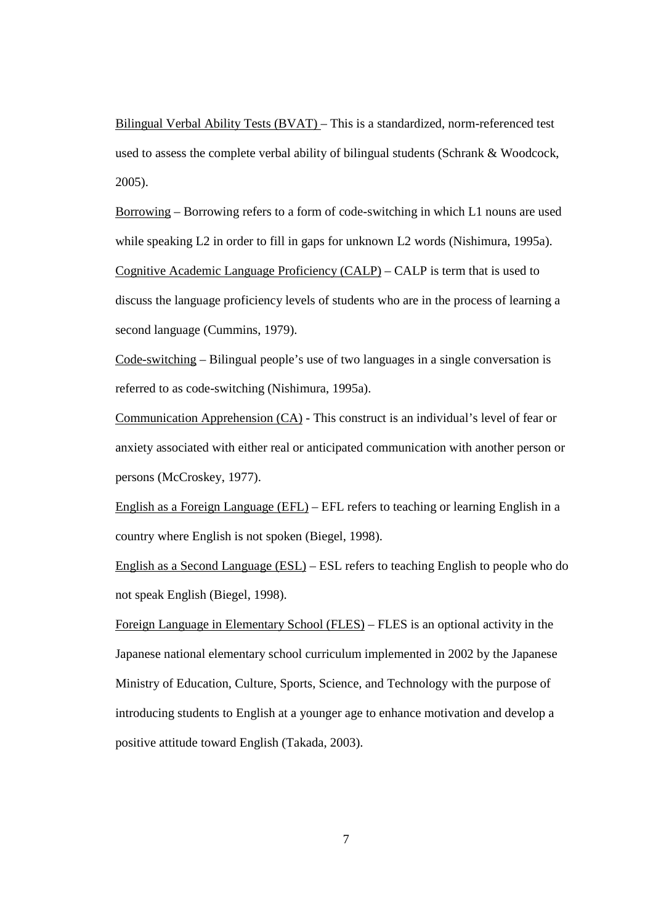Bilingual Verbal Ability Tests (BVAT) – This is a standardized, norm-referenced test used to assess the complete verbal ability of bilingual students (Schrank & Woodcock, 2005).

Borrowing – Borrowing refers to a form of code-switching in which L1 nouns are used while speaking L2 in order to fill in gaps for unknown L2 words (Nishimura, 1995a). Cognitive Academic Language Proficiency (CALP) – CALP is term that is used to discuss the language proficiency levels of students who are in the process of learning a second language (Cummins, 1979).

Code-switching – Bilingual people's use of two languages in a single conversation is referred to as code-switching (Nishimura, 1995a).

Communication Apprehension (CA) - This construct is an individual's level of fear or anxiety associated with either real or anticipated communication with another person or persons (McCroskey, 1977).

English as a Foreign Language (EFL) – EFL refers to teaching or learning English in a country where English is not spoken (Biegel, 1998).

English as a Second Language (ESL) – ESL refers to teaching English to people who do not speak English (Biegel, 1998).

Foreign Language in Elementary School (FLES) – FLES is an optional activity in the Japanese national elementary school curriculum implemented in 2002 by the Japanese Ministry of Education, Culture, Sports, Science, and Technology with the purpose of introducing students to English at a younger age to enhance motivation and develop a positive attitude toward English (Takada, 2003).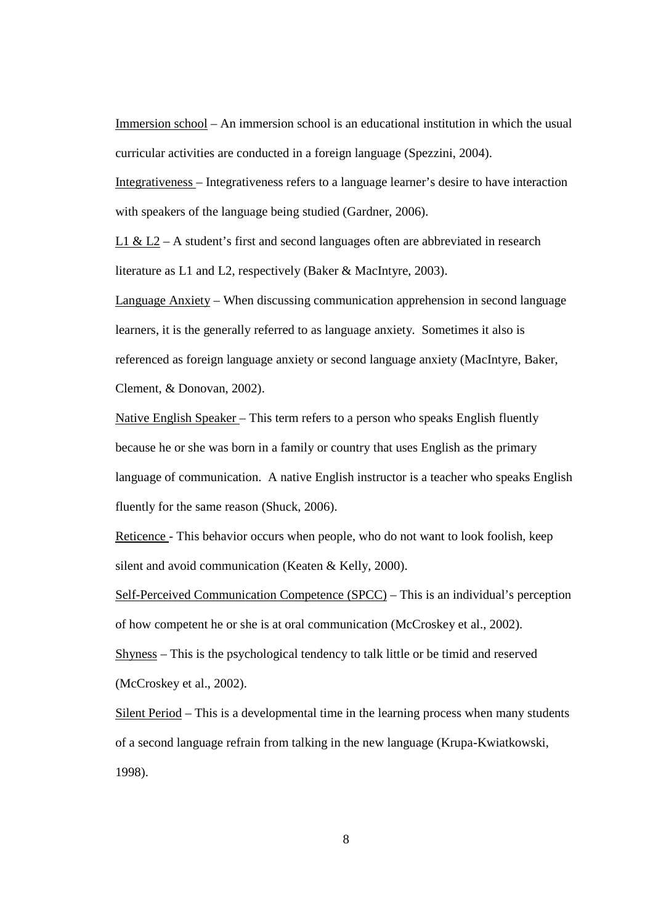Immersion school – An immersion school is an educational institution in which the usual curricular activities are conducted in a foreign language (Spezzini, 2004).

Integrativeness – Integrativeness refers to a language learner's desire to have interaction with speakers of the language being studied (Gardner, 2006).

L1 & L2 – A student's first and second languages often are abbreviated in research literature as L1 and L2, respectively (Baker & MacIntyre, 2003).

Language Anxiety – When discussing communication apprehension in second language learners, it is the generally referred to as language anxiety. Sometimes it also is referenced as foreign language anxiety or second language anxiety (MacIntyre, Baker, Clement, & Donovan, 2002).

Native English Speaker – This term refers to a person who speaks English fluently because he or she was born in a family or country that uses English as the primary language of communication. A native English instructor is a teacher who speaks English fluently for the same reason (Shuck, 2006).

Reticence - This behavior occurs when people, who do not want to look foolish, keep silent and avoid communication (Keaten & Kelly, 2000).

Self-Perceived Communication Competence (SPCC) – This is an individual's perception of how competent he or she is at oral communication (McCroskey et al., 2002).

Shyness – This is the psychological tendency to talk little or be timid and reserved (McCroskey et al., 2002).

Silent Period – This is a developmental time in the learning process when many students of a second language refrain from talking in the new language (Krupa-Kwiatkowski, 1998).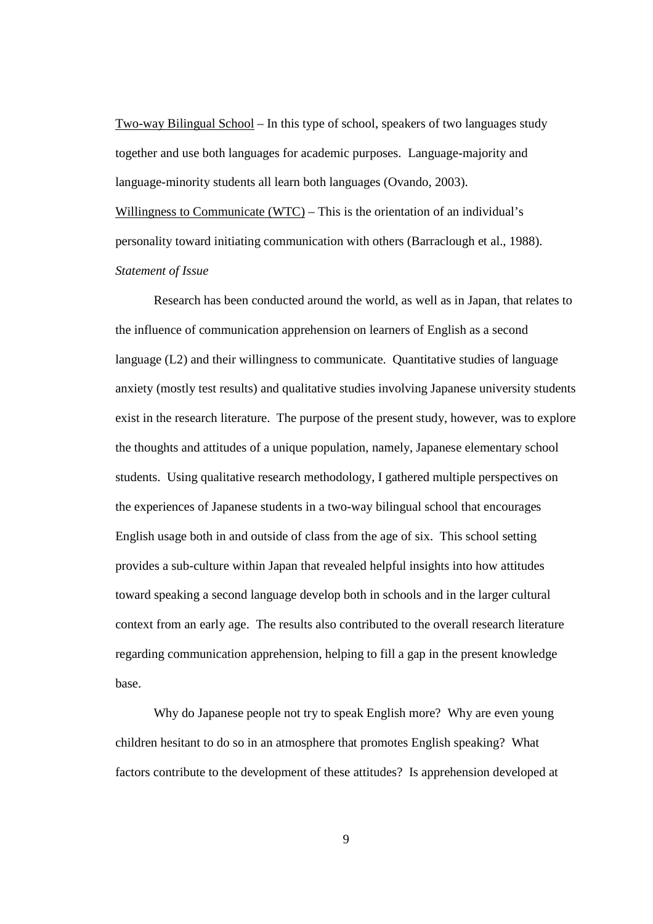Two-way Bilingual School – In this type of school, speakers of two languages study together and use both languages for academic purposes. Language-majority and language-minority students all learn both languages (Ovando, 2003). Willingness to Communicate (WTC) – This is the orientation of an individual's personality toward initiating communication with others (Barraclough et al., 1988). *Statement of Issue* 

Research has been conducted around the world, as well as in Japan, that relates to the influence of communication apprehension on learners of English as a second language (L2) and their willingness to communicate. Quantitative studies of language anxiety (mostly test results) and qualitative studies involving Japanese university students exist in the research literature. The purpose of the present study, however, was to explore the thoughts and attitudes of a unique population, namely, Japanese elementary school students. Using qualitative research methodology, I gathered multiple perspectives on the experiences of Japanese students in a two-way bilingual school that encourages English usage both in and outside of class from the age of six. This school setting provides a sub-culture within Japan that revealed helpful insights into how attitudes toward speaking a second language develop both in schools and in the larger cultural context from an early age. The results also contributed to the overall research literature regarding communication apprehension, helping to fill a gap in the present knowledge base.

Why do Japanese people not try to speak English more? Why are even young children hesitant to do so in an atmosphere that promotes English speaking? What factors contribute to the development of these attitudes? Is apprehension developed at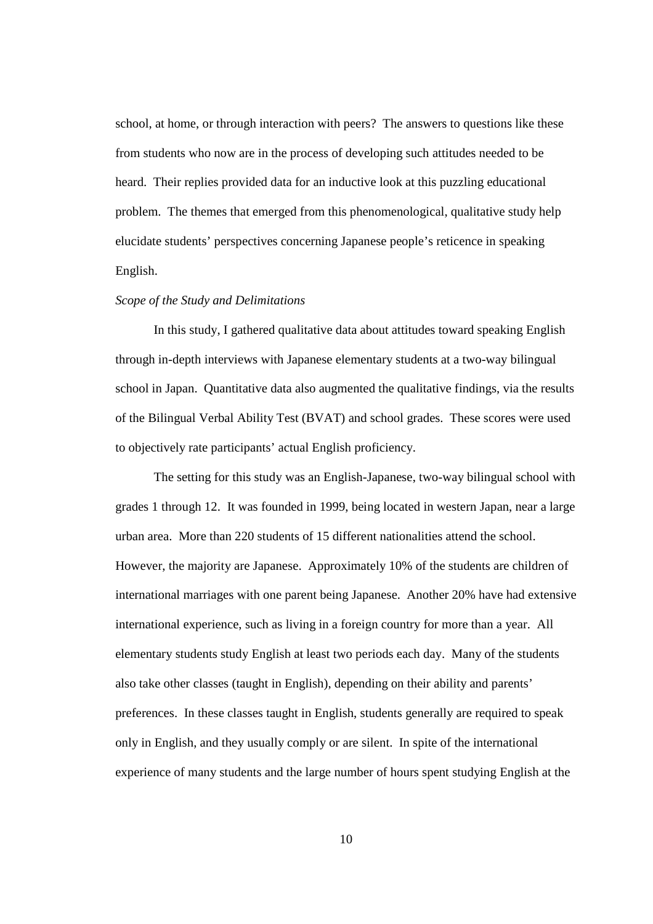school, at home, or through interaction with peers? The answers to questions like these from students who now are in the process of developing such attitudes needed to be heard. Their replies provided data for an inductive look at this puzzling educational problem. The themes that emerged from this phenomenological, qualitative study help elucidate students' perspectives concerning Japanese people's reticence in speaking English.

#### *Scope of the Study and Delimitations*

In this study, I gathered qualitative data about attitudes toward speaking English through in-depth interviews with Japanese elementary students at a two-way bilingual school in Japan. Quantitative data also augmented the qualitative findings, via the results of the Bilingual Verbal Ability Test (BVAT) and school grades. These scores were used to objectively rate participants' actual English proficiency.

The setting for this study was an English-Japanese, two-way bilingual school with grades 1 through 12. It was founded in 1999, being located in western Japan, near a large urban area. More than 220 students of 15 different nationalities attend the school. However, the majority are Japanese. Approximately 10% of the students are children of international marriages with one parent being Japanese. Another 20% have had extensive international experience, such as living in a foreign country for more than a year. All elementary students study English at least two periods each day. Many of the students also take other classes (taught in English), depending on their ability and parents' preferences. In these classes taught in English, students generally are required to speak only in English, and they usually comply or are silent. In spite of the international experience of many students and the large number of hours spent studying English at the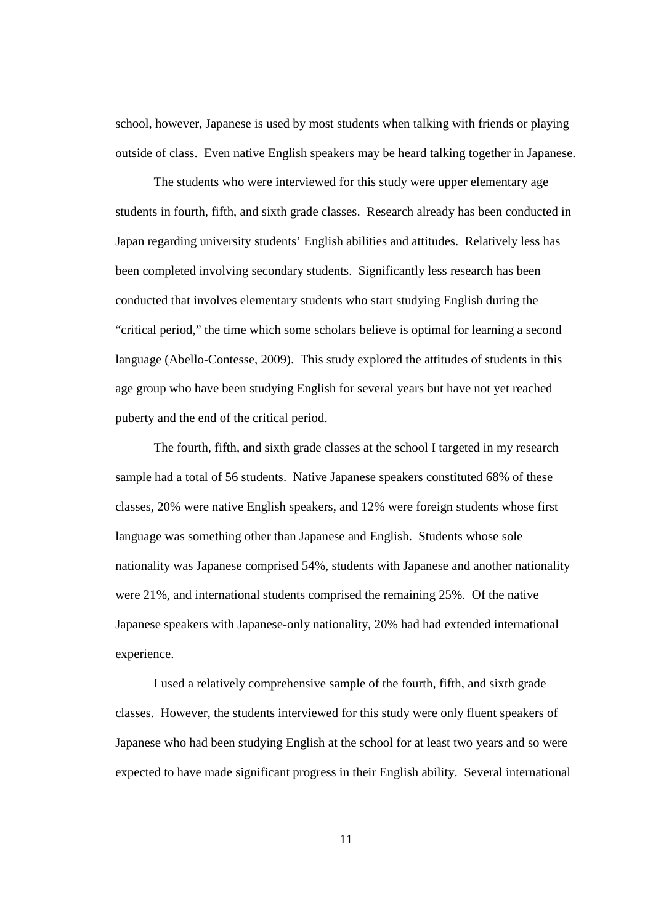school, however, Japanese is used by most students when talking with friends or playing outside of class. Even native English speakers may be heard talking together in Japanese.

The students who were interviewed for this study were upper elementary age students in fourth, fifth, and sixth grade classes. Research already has been conducted in Japan regarding university students' English abilities and attitudes. Relatively less has been completed involving secondary students. Significantly less research has been conducted that involves elementary students who start studying English during the "critical period," the time which some scholars believe is optimal for learning a second language (Abello-Contesse, 2009). This study explored the attitudes of students in this age group who have been studying English for several years but have not yet reached puberty and the end of the critical period.

The fourth, fifth, and sixth grade classes at the school I targeted in my research sample had a total of 56 students. Native Japanese speakers constituted 68% of these classes, 20% were native English speakers, and 12% were foreign students whose first language was something other than Japanese and English. Students whose sole nationality was Japanese comprised 54%, students with Japanese and another nationality were 21%, and international students comprised the remaining 25%. Of the native Japanese speakers with Japanese-only nationality, 20% had had extended international experience.

I used a relatively comprehensive sample of the fourth, fifth, and sixth grade classes. However, the students interviewed for this study were only fluent speakers of Japanese who had been studying English at the school for at least two years and so were expected to have made significant progress in their English ability. Several international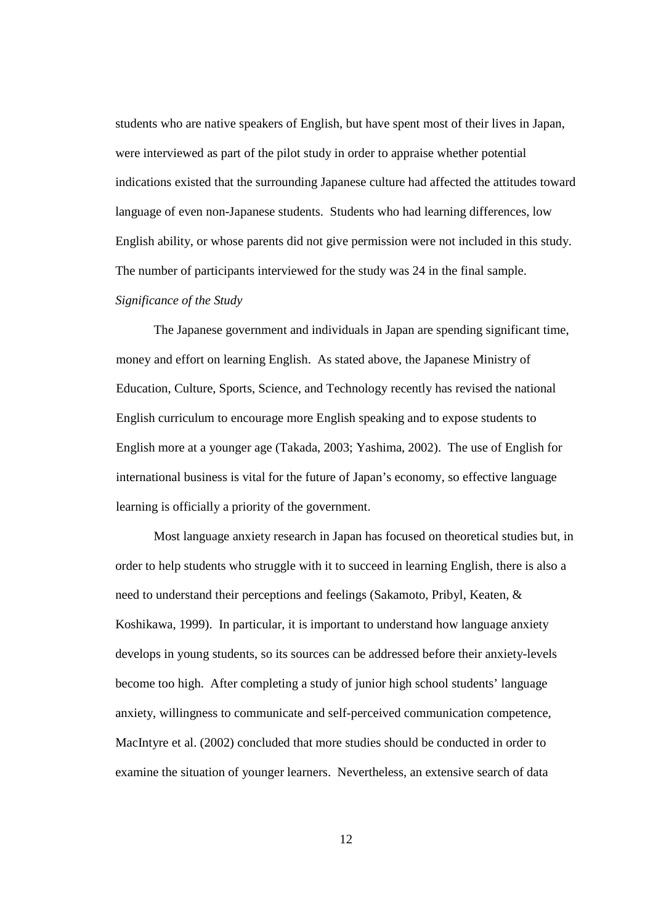students who are native speakers of English, but have spent most of their lives in Japan, were interviewed as part of the pilot study in order to appraise whether potential indications existed that the surrounding Japanese culture had affected the attitudes toward language of even non-Japanese students. Students who had learning differences, low English ability, or whose parents did not give permission were not included in this study. The number of participants interviewed for the study was 24 in the final sample.

#### *Significance of the Study*

The Japanese government and individuals in Japan are spending significant time, money and effort on learning English. As stated above, the Japanese Ministry of Education, Culture, Sports, Science, and Technology recently has revised the national English curriculum to encourage more English speaking and to expose students to English more at a younger age (Takada, 2003; Yashima, 2002). The use of English for international business is vital for the future of Japan's economy, so effective language learning is officially a priority of the government.

Most language anxiety research in Japan has focused on theoretical studies but, in order to help students who struggle with it to succeed in learning English, there is also a need to understand their perceptions and feelings (Sakamoto, Pribyl, Keaten, & Koshikawa, 1999). In particular, it is important to understand how language anxiety develops in young students, so its sources can be addressed before their anxiety-levels become too high. After completing a study of junior high school students' language anxiety, willingness to communicate and self-perceived communication competence, MacIntyre et al. (2002) concluded that more studies should be conducted in order to examine the situation of younger learners. Nevertheless, an extensive search of data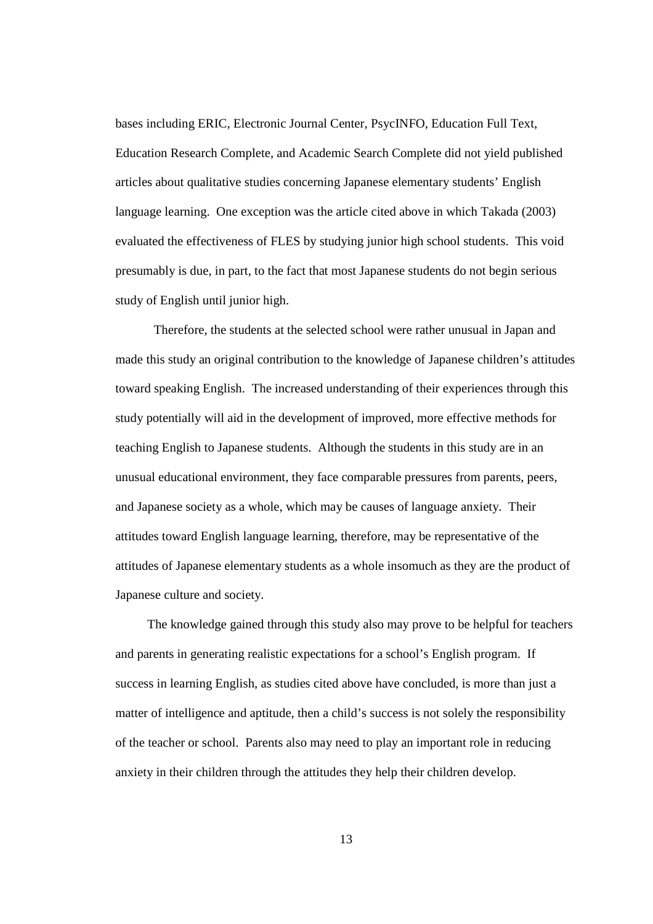bases including ERIC, Electronic Journal Center, PsycINFO, Education Full Text, Education Research Complete, and Academic Search Complete did not yield published articles about qualitative studies concerning Japanese elementary students' English language learning. One exception was the article cited above in which Takada (2003) evaluated the effectiveness of FLES by studying junior high school students. This void presumably is due, in part, to the fact that most Japanese students do not begin serious study of English until junior high.

Therefore, the students at the selected school were rather unusual in Japan and made this study an original contribution to the knowledge of Japanese children's attitudes toward speaking English. The increased understanding of their experiences through this study potentially will aid in the development of improved, more effective methods for teaching English to Japanese students. Although the students in this study are in an unusual educational environment, they face comparable pressures from parents, peers, and Japanese society as a whole, which may be causes of language anxiety. Their attitudes toward English language learning, therefore, may be representative of the attitudes of Japanese elementary students as a whole insomuch as they are the product of Japanese culture and society.

The knowledge gained through this study also may prove to be helpful for teachers and parents in generating realistic expectations for a school's English program. If success in learning English, as studies cited above have concluded, is more than just a matter of intelligence and aptitude, then a child's success is not solely the responsibility of the teacher or school. Parents also may need to play an important role in reducing anxiety in their children through the attitudes they help their children develop.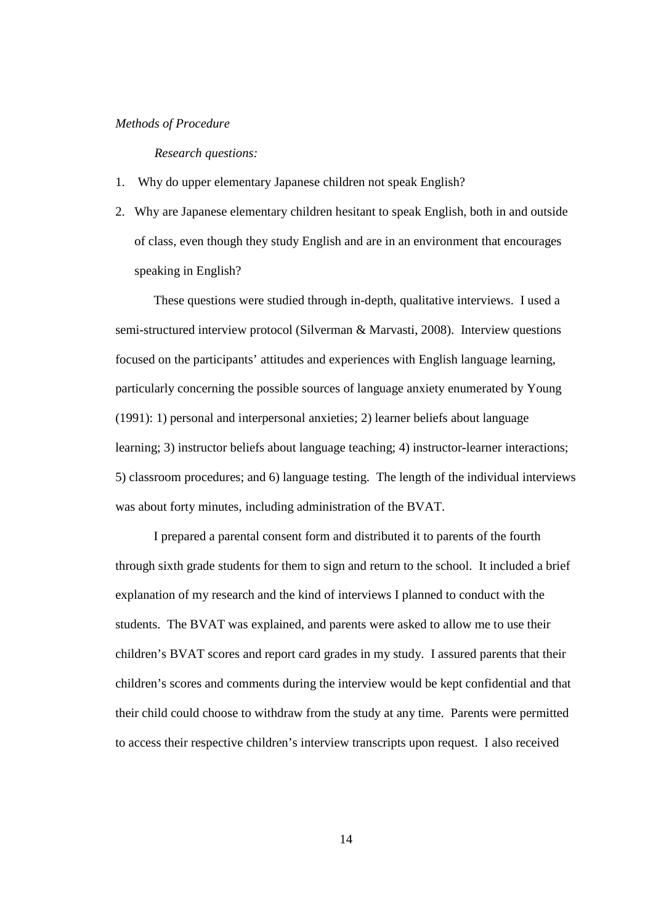#### *Methods of Procedure*

*Research questions:* 

- 1. Why do upper elementary Japanese children not speak English?
- 2. Why are Japanese elementary children hesitant to speak English, both in and outside of class, even though they study English and are in an environment that encourages speaking in English?

These questions were studied through in-depth, qualitative interviews. I used a semi-structured interview protocol (Silverman & Marvasti, 2008). Interview questions focused on the participants' attitudes and experiences with English language learning, particularly concerning the possible sources of language anxiety enumerated by Young (1991): 1) personal and interpersonal anxieties; 2) learner beliefs about language learning; 3) instructor beliefs about language teaching; 4) instructor-learner interactions; 5) classroom procedures; and 6) language testing. The length of the individual interviews was about forty minutes, including administration of the BVAT.

I prepared a parental consent form and distributed it to parents of the fourth through sixth grade students for them to sign and return to the school. It included a brief explanation of my research and the kind of interviews I planned to conduct with the students. The BVAT was explained, and parents were asked to allow me to use their children's BVAT scores and report card grades in my study. I assured parents that their children's scores and comments during the interview would be kept confidential and that their child could choose to withdraw from the study at any time. Parents were permitted to access their respective children's interview transcripts upon request. I also received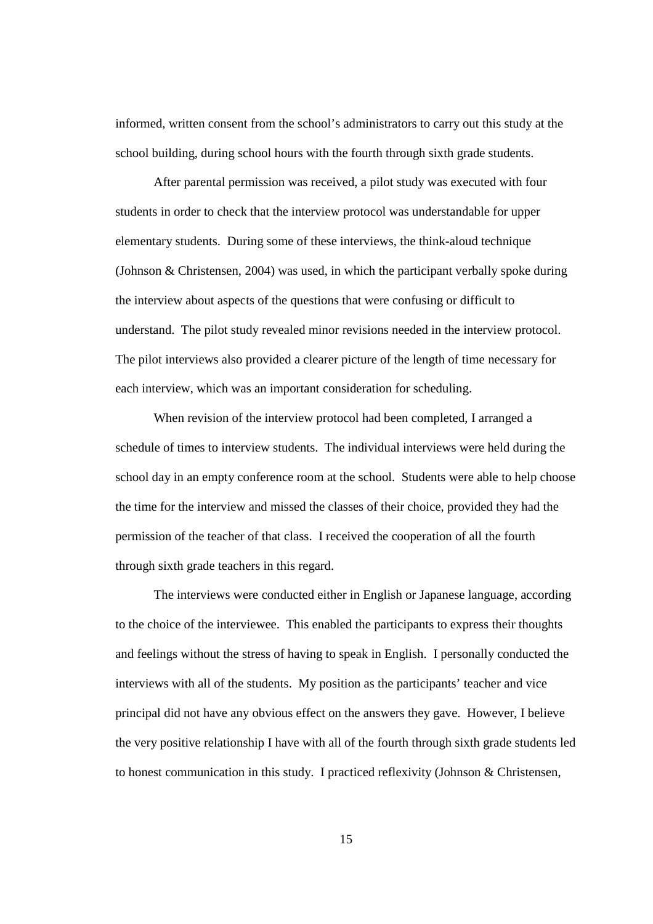informed, written consent from the school's administrators to carry out this study at the school building, during school hours with the fourth through sixth grade students.

After parental permission was received, a pilot study was executed with four students in order to check that the interview protocol was understandable for upper elementary students. During some of these interviews, the think-aloud technique (Johnson & Christensen, 2004) was used, in which the participant verbally spoke during the interview about aspects of the questions that were confusing or difficult to understand. The pilot study revealed minor revisions needed in the interview protocol. The pilot interviews also provided a clearer picture of the length of time necessary for each interview, which was an important consideration for scheduling.

When revision of the interview protocol had been completed, I arranged a schedule of times to interview students. The individual interviews were held during the school day in an empty conference room at the school. Students were able to help choose the time for the interview and missed the classes of their choice, provided they had the permission of the teacher of that class. I received the cooperation of all the fourth through sixth grade teachers in this regard.

The interviews were conducted either in English or Japanese language, according to the choice of the interviewee. This enabled the participants to express their thoughts and feelings without the stress of having to speak in English. I personally conducted the interviews with all of the students. My position as the participants' teacher and vice principal did not have any obvious effect on the answers they gave. However, I believe the very positive relationship I have with all of the fourth through sixth grade students led to honest communication in this study. I practiced reflexivity (Johnson & Christensen,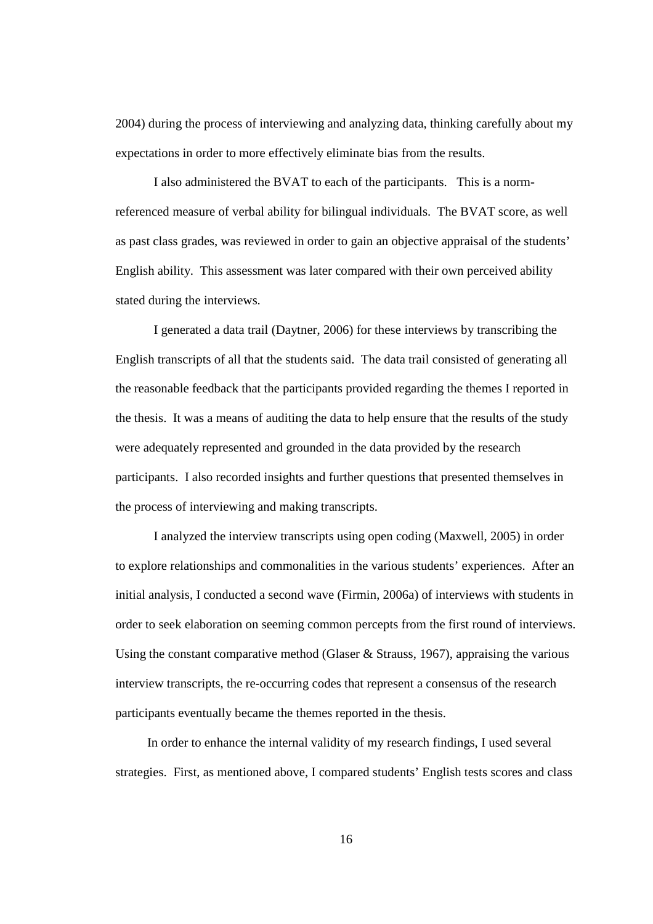2004) during the process of interviewing and analyzing data, thinking carefully about my expectations in order to more effectively eliminate bias from the results.

I also administered the BVAT to each of the participants. This is a normreferenced measure of verbal ability for bilingual individuals. The BVAT score, as well as past class grades, was reviewed in order to gain an objective appraisal of the students' English ability. This assessment was later compared with their own perceived ability stated during the interviews.

I generated a data trail (Daytner, 2006) for these interviews by transcribing the English transcripts of all that the students said. The data trail consisted of generating all the reasonable feedback that the participants provided regarding the themes I reported in the thesis. It was a means of auditing the data to help ensure that the results of the study were adequately represented and grounded in the data provided by the research participants. I also recorded insights and further questions that presented themselves in the process of interviewing and making transcripts.

I analyzed the interview transcripts using open coding (Maxwell, 2005) in order to explore relationships and commonalities in the various students' experiences. After an initial analysis, I conducted a second wave (Firmin, 2006a) of interviews with students in order to seek elaboration on seeming common percepts from the first round of interviews. Using the constant comparative method (Glaser & Strauss, 1967), appraising the various interview transcripts, the re-occurring codes that represent a consensus of the research participants eventually became the themes reported in the thesis.

In order to enhance the internal validity of my research findings, I used several strategies. First, as mentioned above, I compared students' English tests scores and class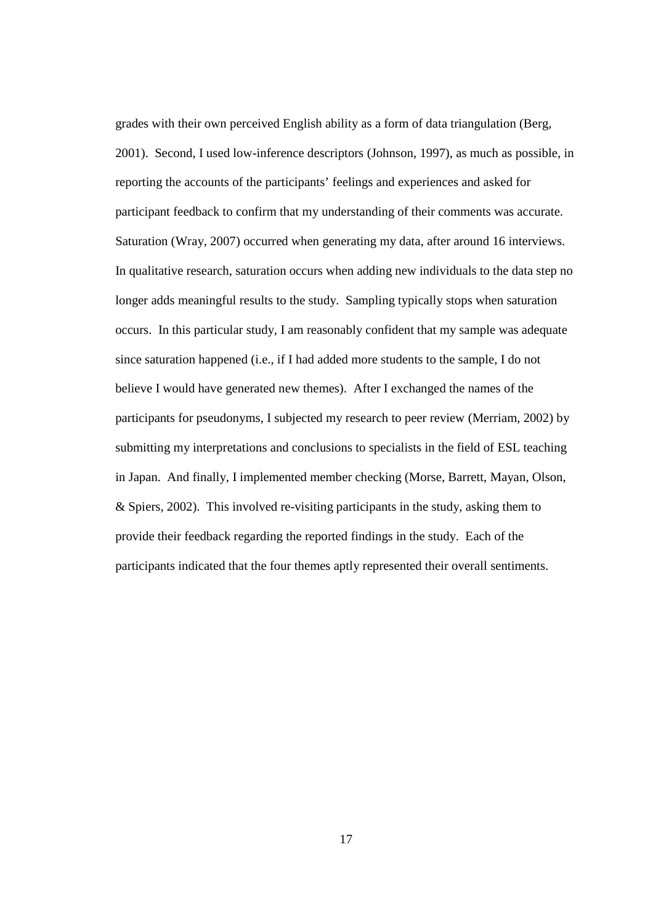grades with their own perceived English ability as a form of data triangulation (Berg, 2001). Second, I used low-inference descriptors (Johnson, 1997), as much as possible, in reporting the accounts of the participants' feelings and experiences and asked for participant feedback to confirm that my understanding of their comments was accurate. Saturation (Wray, 2007) occurred when generating my data, after around 16 interviews. In qualitative research, saturation occurs when adding new individuals to the data step no longer adds meaningful results to the study. Sampling typically stops when saturation occurs. In this particular study, I am reasonably confident that my sample was adequate since saturation happened (i.e., if I had added more students to the sample, I do not believe I would have generated new themes). After I exchanged the names of the participants for pseudonyms, I subjected my research to peer review (Merriam, 2002) by submitting my interpretations and conclusions to specialists in the field of ESL teaching in Japan. And finally, I implemented member checking (Morse, Barrett, Mayan, Olson, & Spiers, 2002). This involved re-visiting participants in the study, asking them to provide their feedback regarding the reported findings in the study. Each of the participants indicated that the four themes aptly represented their overall sentiments.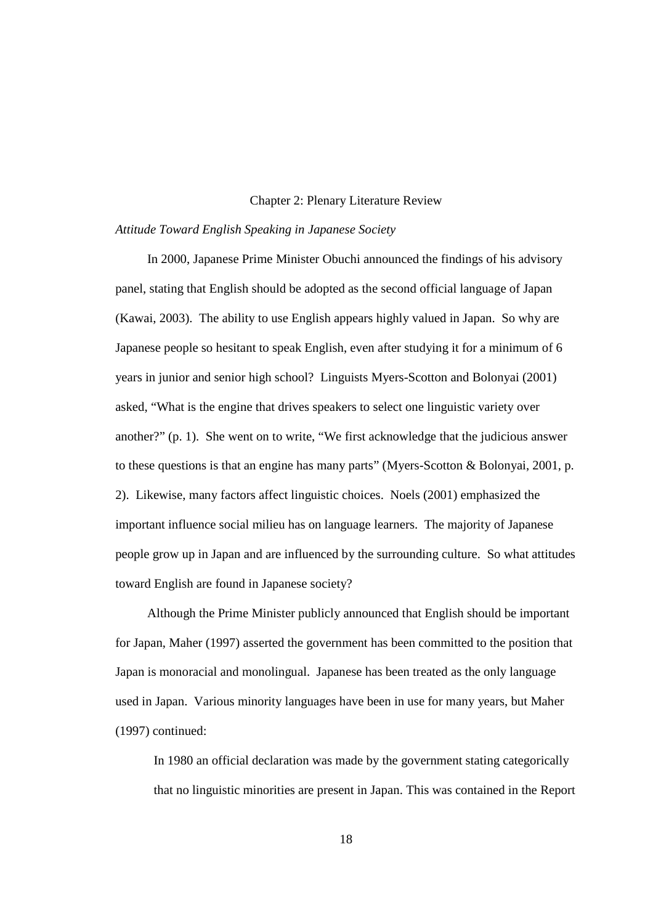#### Chapter 2: Plenary Literature Review

#### *Attitude Toward English Speaking in Japanese Society*

In 2000, Japanese Prime Minister Obuchi announced the findings of his advisory panel, stating that English should be adopted as the second official language of Japan (Kawai, 2003). The ability to use English appears highly valued in Japan. So why are Japanese people so hesitant to speak English, even after studying it for a minimum of 6 years in junior and senior high school? Linguists Myers-Scotton and Bolonyai (2001) asked, "What is the engine that drives speakers to select one linguistic variety over another?" (p. 1). She went on to write, "We first acknowledge that the judicious answer to these questions is that an engine has many parts" (Myers-Scotton & Bolonyai, 2001, p. 2). Likewise, many factors affect linguistic choices. Noels (2001) emphasized the important influence social milieu has on language learners. The majority of Japanese people grow up in Japan and are influenced by the surrounding culture. So what attitudes toward English are found in Japanese society?

Although the Prime Minister publicly announced that English should be important for Japan, Maher (1997) asserted the government has been committed to the position that Japan is monoracial and monolingual. Japanese has been treated as the only language used in Japan. Various minority languages have been in use for many years, but Maher (1997) continued:

In 1980 an official declaration was made by the government stating categorically that no linguistic minorities are present in Japan. This was contained in the Report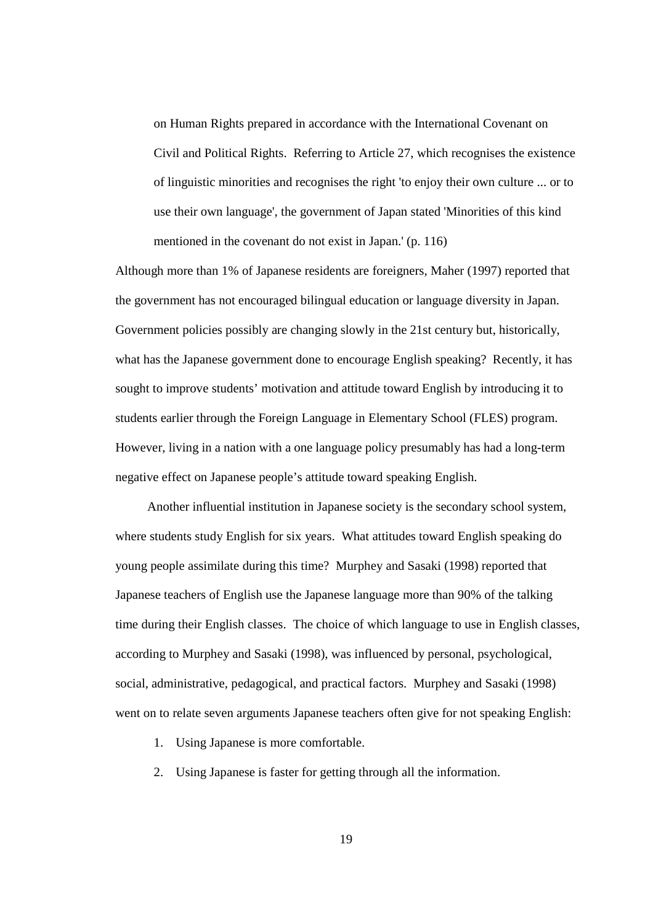on Human Rights prepared in accordance with the International Covenant on Civil and Political Rights. Referring to Article 27, which recognises the existence of linguistic minorities and recognises the right 'to enjoy their own culture ... or to use their own language', the government of Japan stated 'Minorities of this kind mentioned in the covenant do not exist in Japan.' (p. 116)

Although more than 1% of Japanese residents are foreigners, Maher (1997) reported that the government has not encouraged bilingual education or language diversity in Japan. Government policies possibly are changing slowly in the 21st century but, historically, what has the Japanese government done to encourage English speaking? Recently, it has sought to improve students' motivation and attitude toward English by introducing it to students earlier through the Foreign Language in Elementary School (FLES) program. However, living in a nation with a one language policy presumably has had a long-term negative effect on Japanese people's attitude toward speaking English.

Another influential institution in Japanese society is the secondary school system, where students study English for six years. What attitudes toward English speaking do young people assimilate during this time? Murphey and Sasaki (1998) reported that Japanese teachers of English use the Japanese language more than 90% of the talking time during their English classes. The choice of which language to use in English classes, according to Murphey and Sasaki (1998), was influenced by personal, psychological, social, administrative, pedagogical, and practical factors. Murphey and Sasaki (1998) went on to relate seven arguments Japanese teachers often give for not speaking English:

- 1. Using Japanese is more comfortable.
- 2. Using Japanese is faster for getting through all the information.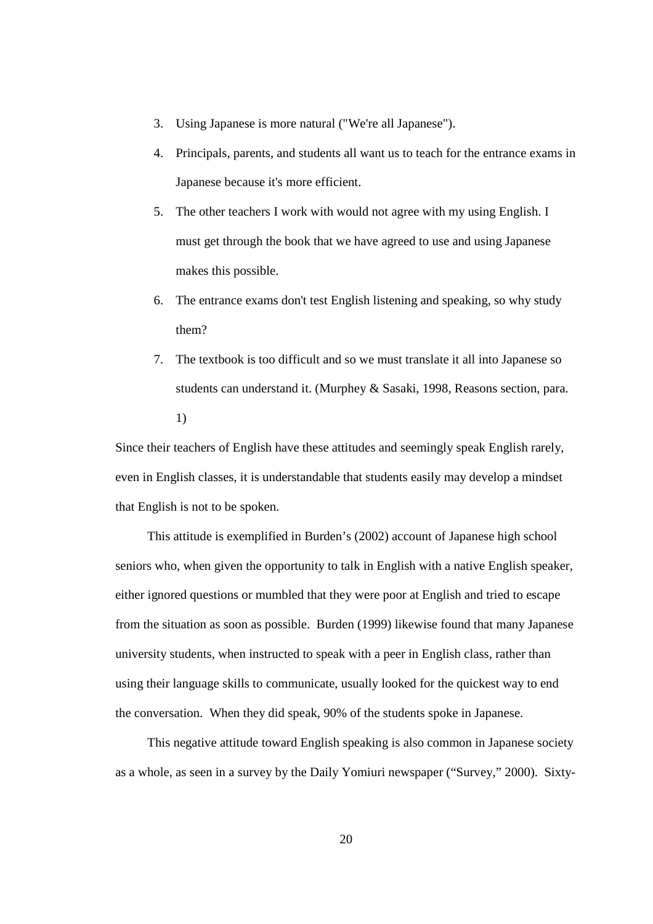- 3. Using Japanese is more natural ("We're all Japanese").
- 4. Principals, parents, and students all want us to teach for the entrance exams in Japanese because it's more efficient.
- 5. The other teachers I work with would not agree with my using English. I must get through the book that we have agreed to use and using Japanese makes this possible.
- 6. The entrance exams don't test English listening and speaking, so why study them?
- 7. The textbook is too difficult and so we must translate it all into Japanese so students can understand it. (Murphey & Sasaki, 1998, Reasons section, para. 1)

Since their teachers of English have these attitudes and seemingly speak English rarely, even in English classes, it is understandable that students easily may develop a mindset that English is not to be spoken.

This attitude is exemplified in Burden's (2002) account of Japanese high school seniors who, when given the opportunity to talk in English with a native English speaker, either ignored questions or mumbled that they were poor at English and tried to escape from the situation as soon as possible. Burden (1999) likewise found that many Japanese university students, when instructed to speak with a peer in English class, rather than using their language skills to communicate, usually looked for the quickest way to end the conversation. When they did speak, 90% of the students spoke in Japanese.

This negative attitude toward English speaking is also common in Japanese society as a whole, as seen in a survey by the Daily Yomiuri newspaper ("Survey," 2000). Sixty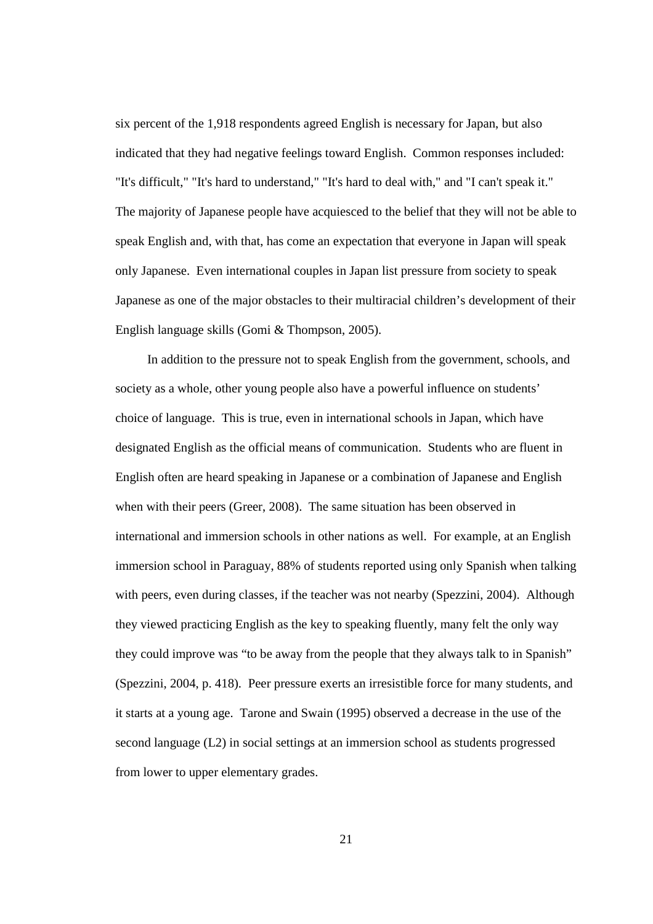six percent of the 1,918 respondents agreed English is necessary for Japan, but also indicated that they had negative feelings toward English. Common responses included: "It's difficult," "It's hard to understand," "It's hard to deal with," and "I can't speak it." The majority of Japanese people have acquiesced to the belief that they will not be able to speak English and, with that, has come an expectation that everyone in Japan will speak only Japanese. Even international couples in Japan list pressure from society to speak Japanese as one of the major obstacles to their multiracial children's development of their English language skills (Gomi & Thompson, 2005).

In addition to the pressure not to speak English from the government, schools, and society as a whole, other young people also have a powerful influence on students' choice of language. This is true, even in international schools in Japan, which have designated English as the official means of communication. Students who are fluent in English often are heard speaking in Japanese or a combination of Japanese and English when with their peers (Greer, 2008). The same situation has been observed in international and immersion schools in other nations as well. For example, at an English immersion school in Paraguay, 88% of students reported using only Spanish when talking with peers, even during classes, if the teacher was not nearby (Spezzini, 2004). Although they viewed practicing English as the key to speaking fluently, many felt the only way they could improve was "to be away from the people that they always talk to in Spanish" (Spezzini, 2004, p. 418). Peer pressure exerts an irresistible force for many students, and it starts at a young age. Tarone and Swain (1995) observed a decrease in the use of the second language (L2) in social settings at an immersion school as students progressed from lower to upper elementary grades.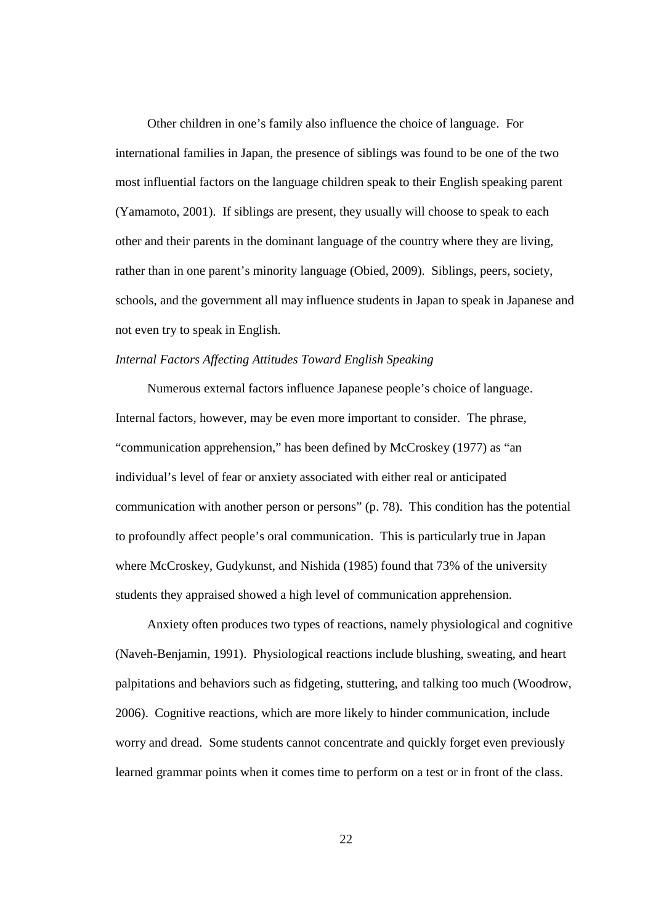Other children in one's family also influence the choice of language. For international families in Japan, the presence of siblings was found to be one of the two most influential factors on the language children speak to their English speaking parent (Yamamoto, 2001). If siblings are present, they usually will choose to speak to each other and their parents in the dominant language of the country where they are living, rather than in one parent's minority language (Obied, 2009). Siblings, peers, society, schools, and the government all may influence students in Japan to speak in Japanese and not even try to speak in English.

#### *Internal Factors Affecting Attitudes Toward English Speaking*

Numerous external factors influence Japanese people's choice of language. Internal factors, however, may be even more important to consider. The phrase, "communication apprehension," has been defined by McCroskey (1977) as "an individual's level of fear or anxiety associated with either real or anticipated communication with another person or persons" (p. 78). This condition has the potential to profoundly affect people's oral communication. This is particularly true in Japan where McCroskey, Gudykunst, and Nishida (1985) found that 73% of the university students they appraised showed a high level of communication apprehension.

Anxiety often produces two types of reactions, namely physiological and cognitive (Naveh-Benjamin, 1991). Physiological reactions include blushing, sweating, and heart palpitations and behaviors such as fidgeting, stuttering, and talking too much (Woodrow, 2006). Cognitive reactions, which are more likely to hinder communication, include worry and dread. Some students cannot concentrate and quickly forget even previously learned grammar points when it comes time to perform on a test or in front of the class.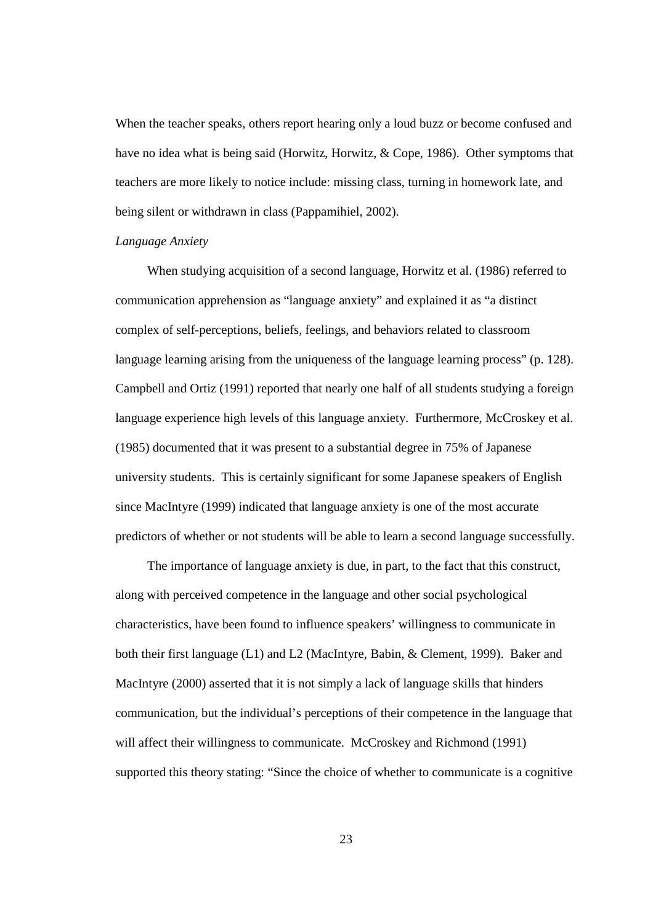When the teacher speaks, others report hearing only a loud buzz or become confused and have no idea what is being said (Horwitz, Horwitz, & Cope, 1986). Other symptoms that teachers are more likely to notice include: missing class, turning in homework late, and being silent or withdrawn in class (Pappamihiel, 2002).

#### *Language Anxiety*

When studying acquisition of a second language, Horwitz et al. (1986) referred to communication apprehension as "language anxiety" and explained it as "a distinct complex of self-perceptions, beliefs, feelings, and behaviors related to classroom language learning arising from the uniqueness of the language learning process" (p. 128). Campbell and Ortiz (1991) reported that nearly one half of all students studying a foreign language experience high levels of this language anxiety. Furthermore, McCroskey et al. (1985) documented that it was present to a substantial degree in 75% of Japanese university students. This is certainly significant for some Japanese speakers of English since MacIntyre (1999) indicated that language anxiety is one of the most accurate predictors of whether or not students will be able to learn a second language successfully.

The importance of language anxiety is due, in part, to the fact that this construct, along with perceived competence in the language and other social psychological characteristics, have been found to influence speakers' willingness to communicate in both their first language (L1) and L2 (MacIntyre, Babin, & Clement, 1999). Baker and MacIntyre (2000) asserted that it is not simply a lack of language skills that hinders communication, but the individual's perceptions of their competence in the language that will affect their willingness to communicate. McCroskey and Richmond (1991) supported this theory stating: "Since the choice of whether to communicate is a cognitive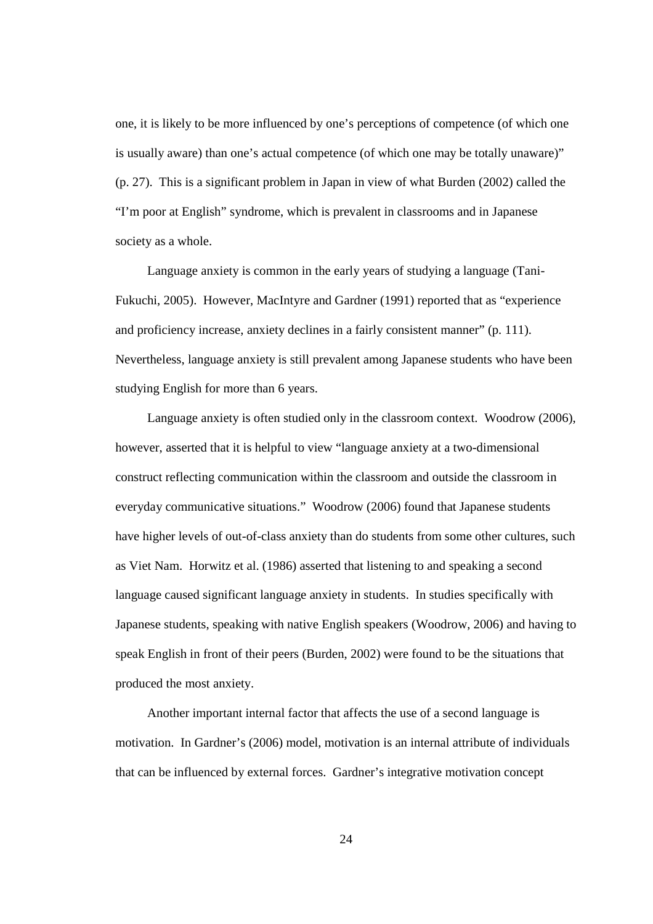one, it is likely to be more influenced by one's perceptions of competence (of which one is usually aware) than one's actual competence (of which one may be totally unaware)" (p. 27). This is a significant problem in Japan in view of what Burden (2002) called the "I'm poor at English" syndrome, which is prevalent in classrooms and in Japanese society as a whole.

Language anxiety is common in the early years of studying a language (Tani-Fukuchi, 2005). However, MacIntyre and Gardner (1991) reported that as "experience and proficiency increase, anxiety declines in a fairly consistent manner" (p. 111). Nevertheless, language anxiety is still prevalent among Japanese students who have been studying English for more than 6 years.

Language anxiety is often studied only in the classroom context. Woodrow (2006), however, asserted that it is helpful to view "language anxiety at a two-dimensional construct reflecting communication within the classroom and outside the classroom in everyday communicative situations." Woodrow (2006) found that Japanese students have higher levels of out-of-class anxiety than do students from some other cultures, such as Viet Nam. Horwitz et al. (1986) asserted that listening to and speaking a second language caused significant language anxiety in students. In studies specifically with Japanese students, speaking with native English speakers (Woodrow, 2006) and having to speak English in front of their peers (Burden, 2002) were found to be the situations that produced the most anxiety.

Another important internal factor that affects the use of a second language is motivation. In Gardner's (2006) model, motivation is an internal attribute of individuals that can be influenced by external forces. Gardner's integrative motivation concept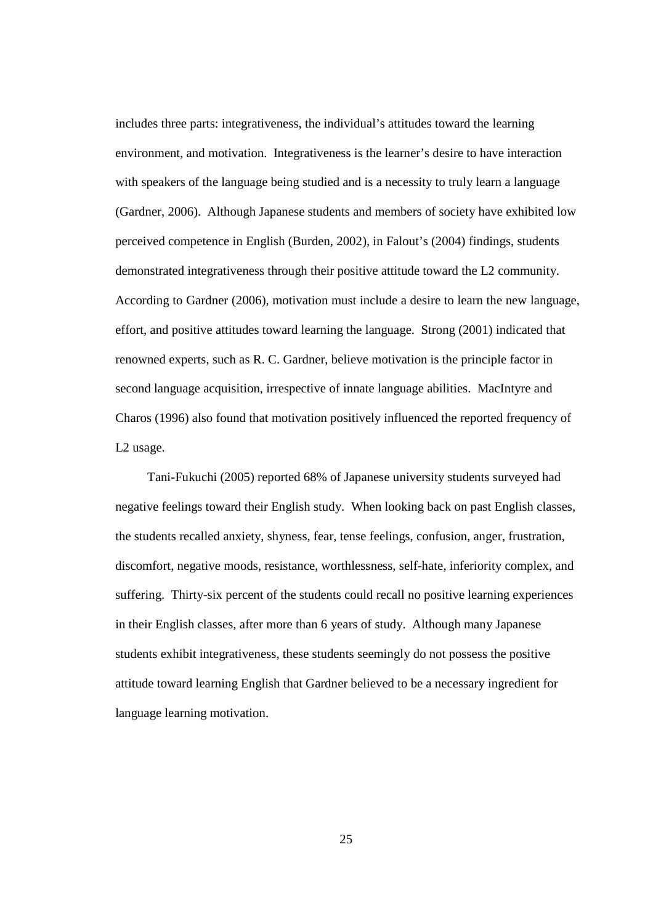includes three parts: integrativeness, the individual's attitudes toward the learning environment, and motivation. Integrativeness is the learner's desire to have interaction with speakers of the language being studied and is a necessity to truly learn a language (Gardner, 2006). Although Japanese students and members of society have exhibited low perceived competence in English (Burden, 2002), in Falout's (2004) findings, students demonstrated integrativeness through their positive attitude toward the L2 community. According to Gardner (2006), motivation must include a desire to learn the new language, effort, and positive attitudes toward learning the language. Strong (2001) indicated that renowned experts, such as R. C. Gardner, believe motivation is the principle factor in second language acquisition, irrespective of innate language abilities. MacIntyre and Charos (1996) also found that motivation positively influenced the reported frequency of L2 usage.

Tani-Fukuchi (2005) reported 68% of Japanese university students surveyed had negative feelings toward their English study. When looking back on past English classes, the students recalled anxiety, shyness, fear, tense feelings, confusion, anger, frustration, discomfort, negative moods, resistance, worthlessness, self-hate, inferiority complex, and suffering. Thirty-six percent of the students could recall no positive learning experiences in their English classes, after more than 6 years of study. Although many Japanese students exhibit integrativeness, these students seemingly do not possess the positive attitude toward learning English that Gardner believed to be a necessary ingredient for language learning motivation.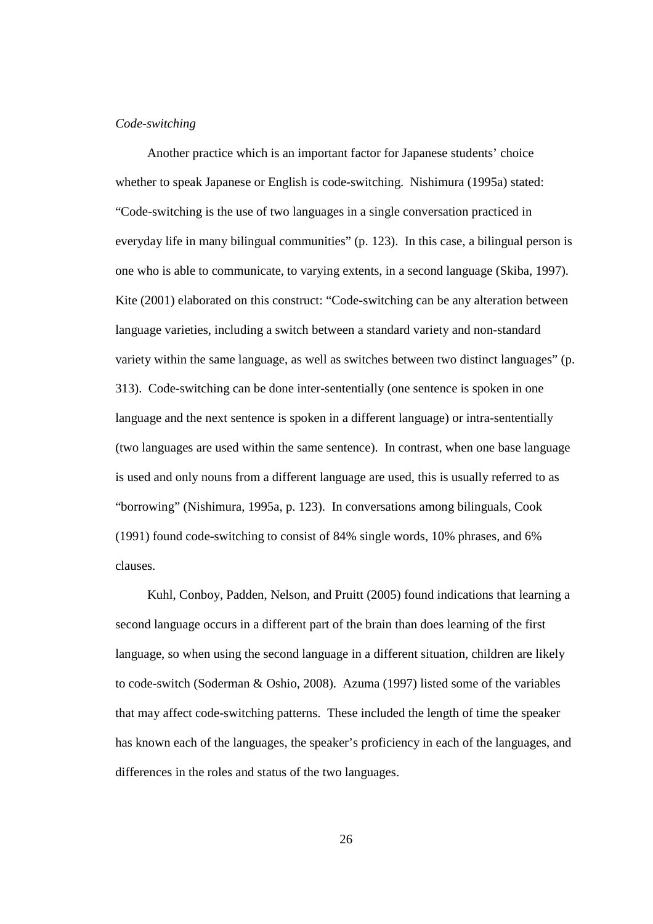#### *Code-switching*

Another practice which is an important factor for Japanese students' choice whether to speak Japanese or English is code-switching. Nishimura (1995a) stated: "Code-switching is the use of two languages in a single conversation practiced in everyday life in many bilingual communities" (p. 123). In this case, a bilingual person is one who is able to communicate, to varying extents, in a second language (Skiba, 1997). Kite (2001) elaborated on this construct: "Code-switching can be any alteration between language varieties, including a switch between a standard variety and non-standard variety within the same language, as well as switches between two distinct languages" (p. 313). Code-switching can be done inter-sententially (one sentence is spoken in one language and the next sentence is spoken in a different language) or intra-sententially (two languages are used within the same sentence). In contrast, when one base language is used and only nouns from a different language are used, this is usually referred to as "borrowing" (Nishimura, 1995a, p. 123). In conversations among bilinguals, Cook (1991) found code-switching to consist of 84% single words, 10% phrases, and 6% clauses.

Kuhl, Conboy, Padden, Nelson, and Pruitt (2005) found indications that learning a second language occurs in a different part of the brain than does learning of the first language, so when using the second language in a different situation, children are likely to code-switch (Soderman & Oshio, 2008). Azuma (1997) listed some of the variables that may affect code-switching patterns. These included the length of time the speaker has known each of the languages, the speaker's proficiency in each of the languages, and differences in the roles and status of the two languages.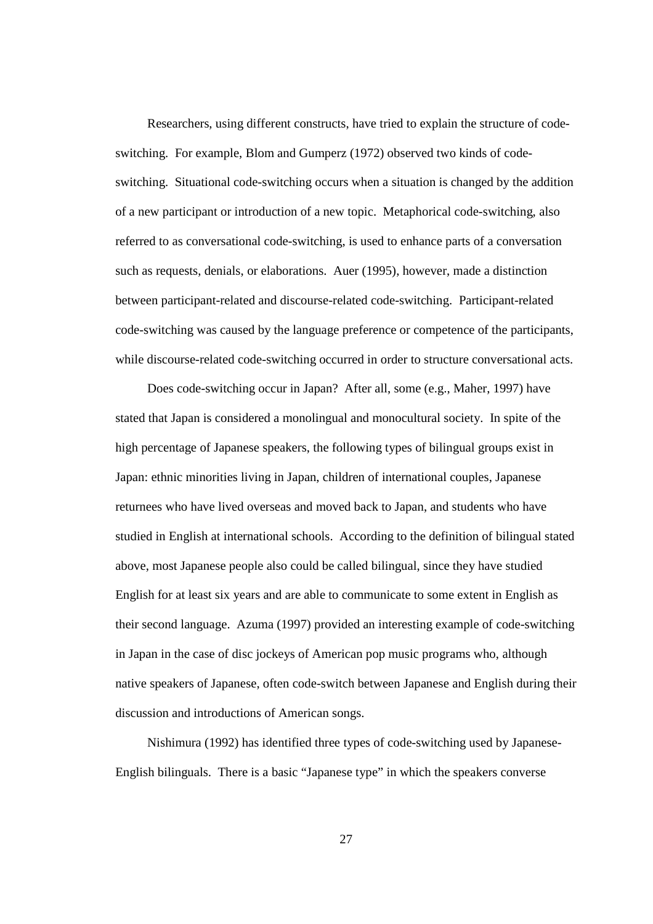Researchers, using different constructs, have tried to explain the structure of codeswitching. For example, Blom and Gumperz (1972) observed two kinds of codeswitching. Situational code-switching occurs when a situation is changed by the addition of a new participant or introduction of a new topic. Metaphorical code-switching, also referred to as conversational code-switching, is used to enhance parts of a conversation such as requests, denials, or elaborations. Auer (1995), however, made a distinction between participant-related and discourse-related code-switching. Participant-related code-switching was caused by the language preference or competence of the participants, while discourse-related code-switching occurred in order to structure conversational acts.

Does code-switching occur in Japan? After all, some (e.g., Maher, 1997) have stated that Japan is considered a monolingual and monocultural society. In spite of the high percentage of Japanese speakers, the following types of bilingual groups exist in Japan: ethnic minorities living in Japan, children of international couples, Japanese returnees who have lived overseas and moved back to Japan, and students who have studied in English at international schools. According to the definition of bilingual stated above, most Japanese people also could be called bilingual, since they have studied English for at least six years and are able to communicate to some extent in English as their second language. Azuma (1997) provided an interesting example of code-switching in Japan in the case of disc jockeys of American pop music programs who, although native speakers of Japanese, often code-switch between Japanese and English during their discussion and introductions of American songs.

Nishimura (1992) has identified three types of code-switching used by Japanese-English bilinguals. There is a basic "Japanese type" in which the speakers converse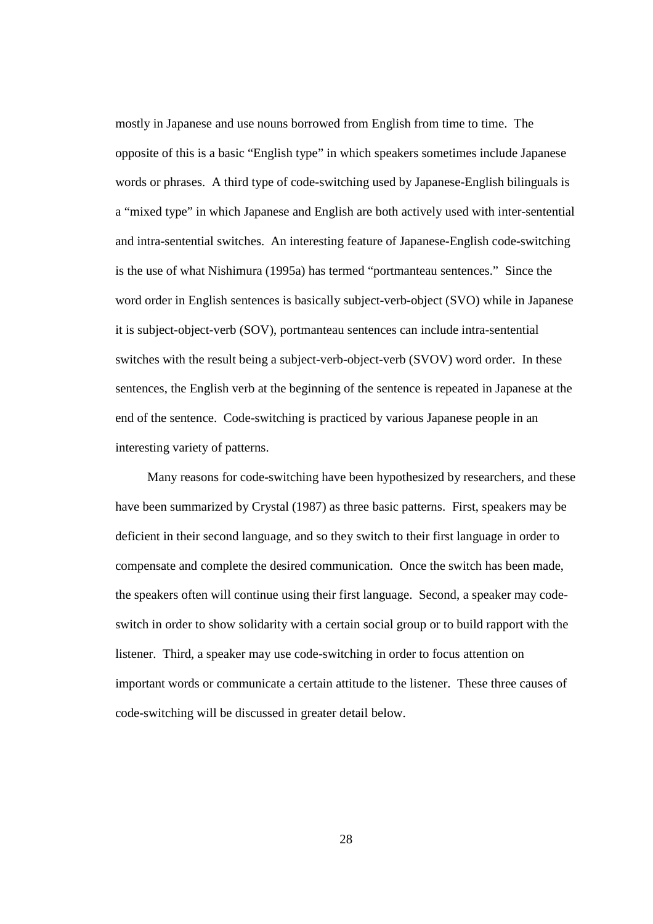mostly in Japanese and use nouns borrowed from English from time to time. The opposite of this is a basic "English type" in which speakers sometimes include Japanese words or phrases. A third type of code-switching used by Japanese-English bilinguals is a "mixed type" in which Japanese and English are both actively used with inter-sentential and intra-sentential switches. An interesting feature of Japanese-English code-switching is the use of what Nishimura (1995a) has termed "portmanteau sentences." Since the word order in English sentences is basically subject-verb-object (SVO) while in Japanese it is subject-object-verb (SOV), portmanteau sentences can include intra-sentential switches with the result being a subject-verb-object-verb (SVOV) word order. In these sentences, the English verb at the beginning of the sentence is repeated in Japanese at the end of the sentence. Code-switching is practiced by various Japanese people in an interesting variety of patterns.

Many reasons for code-switching have been hypothesized by researchers, and these have been summarized by Crystal (1987) as three basic patterns. First, speakers may be deficient in their second language, and so they switch to their first language in order to compensate and complete the desired communication. Once the switch has been made, the speakers often will continue using their first language. Second, a speaker may codeswitch in order to show solidarity with a certain social group or to build rapport with the listener. Third, a speaker may use code-switching in order to focus attention on important words or communicate a certain attitude to the listener. These three causes of code-switching will be discussed in greater detail below.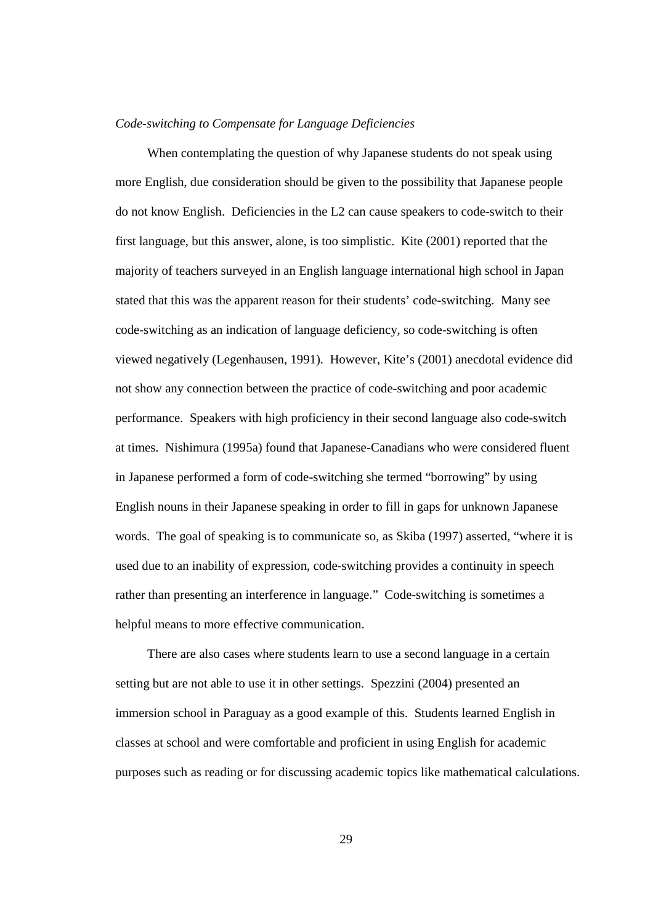#### *Code-switching to Compensate for Language Deficiencies*

When contemplating the question of why Japanese students do not speak using more English, due consideration should be given to the possibility that Japanese people do not know English. Deficiencies in the L2 can cause speakers to code-switch to their first language, but this answer, alone, is too simplistic. Kite (2001) reported that the majority of teachers surveyed in an English language international high school in Japan stated that this was the apparent reason for their students' code-switching. Many see code-switching as an indication of language deficiency, so code-switching is often viewed negatively (Legenhausen, 1991). However, Kite's (2001) anecdotal evidence did not show any connection between the practice of code-switching and poor academic performance. Speakers with high proficiency in their second language also code-switch at times. Nishimura (1995a) found that Japanese-Canadians who were considered fluent in Japanese performed a form of code-switching she termed "borrowing" by using English nouns in their Japanese speaking in order to fill in gaps for unknown Japanese words. The goal of speaking is to communicate so, as Skiba (1997) asserted, "where it is used due to an inability of expression, code-switching provides a continuity in speech rather than presenting an interference in language." Code-switching is sometimes a helpful means to more effective communication.

There are also cases where students learn to use a second language in a certain setting but are not able to use it in other settings. Spezzini (2004) presented an immersion school in Paraguay as a good example of this. Students learned English in classes at school and were comfortable and proficient in using English for academic purposes such as reading or for discussing academic topics like mathematical calculations.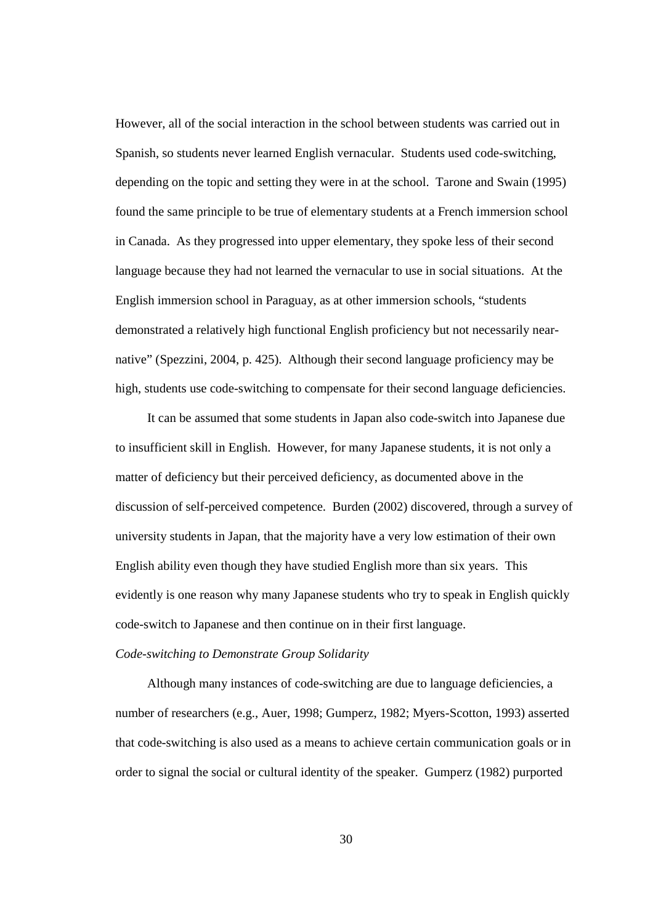However, all of the social interaction in the school between students was carried out in Spanish, so students never learned English vernacular. Students used code-switching, depending on the topic and setting they were in at the school. Tarone and Swain (1995) found the same principle to be true of elementary students at a French immersion school in Canada. As they progressed into upper elementary, they spoke less of their second language because they had not learned the vernacular to use in social situations. At the English immersion school in Paraguay, as at other immersion schools, "students demonstrated a relatively high functional English proficiency but not necessarily nearnative" (Spezzini, 2004, p. 425). Although their second language proficiency may be high, students use code-switching to compensate for their second language deficiencies.

It can be assumed that some students in Japan also code-switch into Japanese due to insufficient skill in English. However, for many Japanese students, it is not only a matter of deficiency but their perceived deficiency, as documented above in the discussion of self-perceived competence. Burden (2002) discovered, through a survey of university students in Japan, that the majority have a very low estimation of their own English ability even though they have studied English more than six years. This evidently is one reason why many Japanese students who try to speak in English quickly code-switch to Japanese and then continue on in their first language.

# *Code-switching to Demonstrate Group Solidarity*

Although many instances of code-switching are due to language deficiencies, a number of researchers (e.g., Auer, 1998; Gumperz, 1982; Myers-Scotton, 1993) asserted that code-switching is also used as a means to achieve certain communication goals or in order to signal the social or cultural identity of the speaker. Gumperz (1982) purported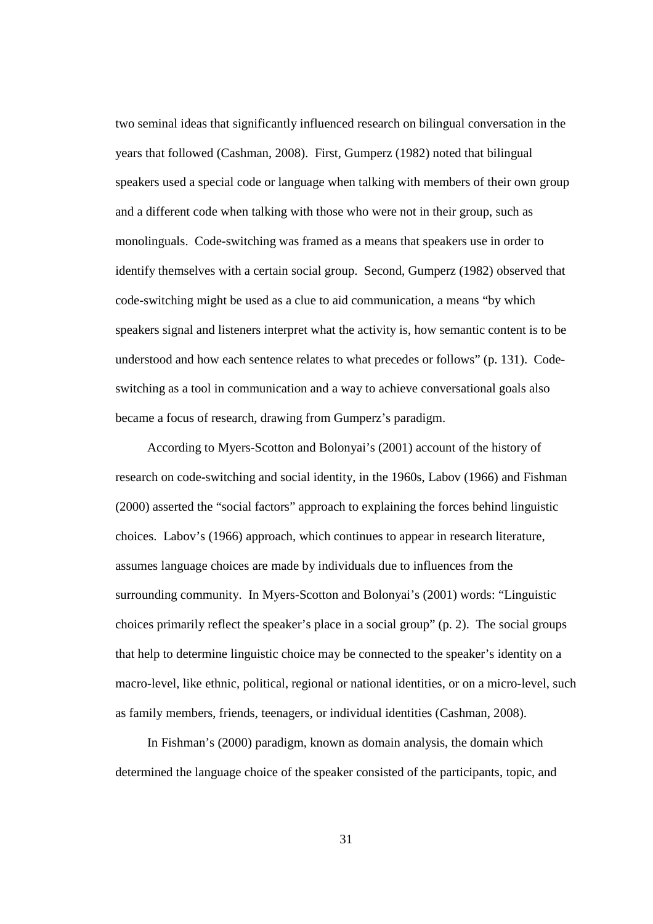two seminal ideas that significantly influenced research on bilingual conversation in the years that followed (Cashman, 2008). First, Gumperz (1982) noted that bilingual speakers used a special code or language when talking with members of their own group and a different code when talking with those who were not in their group, such as monolinguals. Code-switching was framed as a means that speakers use in order to identify themselves with a certain social group. Second, Gumperz (1982) observed that code-switching might be used as a clue to aid communication, a means "by which speakers signal and listeners interpret what the activity is, how semantic content is to be understood and how each sentence relates to what precedes or follows" (p. 131). Codeswitching as a tool in communication and a way to achieve conversational goals also became a focus of research, drawing from Gumperz's paradigm.

According to Myers-Scotton and Bolonyai's (2001) account of the history of research on code-switching and social identity, in the 1960s, Labov (1966) and Fishman (2000) asserted the "social factors" approach to explaining the forces behind linguistic choices. Labov's (1966) approach, which continues to appear in research literature, assumes language choices are made by individuals due to influences from the surrounding community. In Myers-Scotton and Bolonyai's (2001) words: "Linguistic choices primarily reflect the speaker's place in a social group" (p. 2). The social groups that help to determine linguistic choice may be connected to the speaker's identity on a macro-level, like ethnic, political, regional or national identities, or on a micro-level, such as family members, friends, teenagers, or individual identities (Cashman, 2008).

In Fishman's (2000) paradigm, known as domain analysis, the domain which determined the language choice of the speaker consisted of the participants, topic, and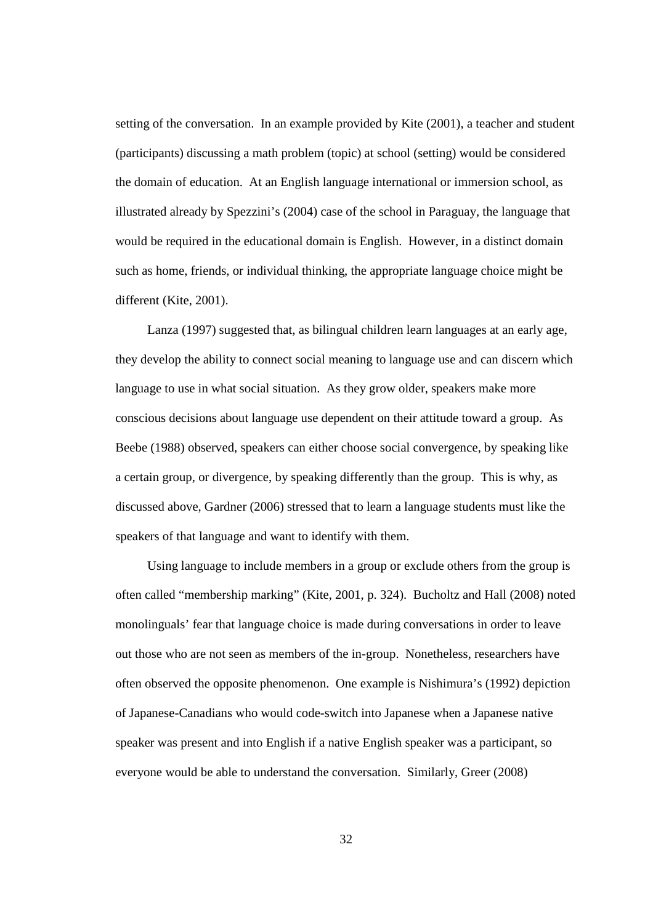setting of the conversation. In an example provided by Kite (2001), a teacher and student (participants) discussing a math problem (topic) at school (setting) would be considered the domain of education. At an English language international or immersion school, as illustrated already by Spezzini's (2004) case of the school in Paraguay, the language that would be required in the educational domain is English. However, in a distinct domain such as home, friends, or individual thinking, the appropriate language choice might be different (Kite, 2001).

Lanza (1997) suggested that, as bilingual children learn languages at an early age, they develop the ability to connect social meaning to language use and can discern which language to use in what social situation. As they grow older, speakers make more conscious decisions about language use dependent on their attitude toward a group. As Beebe (1988) observed, speakers can either choose social convergence, by speaking like a certain group, or divergence, by speaking differently than the group. This is why, as discussed above, Gardner (2006) stressed that to learn a language students must like the speakers of that language and want to identify with them.

Using language to include members in a group or exclude others from the group is often called "membership marking" (Kite, 2001, p. 324). Bucholtz and Hall (2008) noted monolinguals' fear that language choice is made during conversations in order to leave out those who are not seen as members of the in-group. Nonetheless, researchers have often observed the opposite phenomenon. One example is Nishimura's (1992) depiction of Japanese-Canadians who would code-switch into Japanese when a Japanese native speaker was present and into English if a native English speaker was a participant, so everyone would be able to understand the conversation. Similarly, Greer (2008)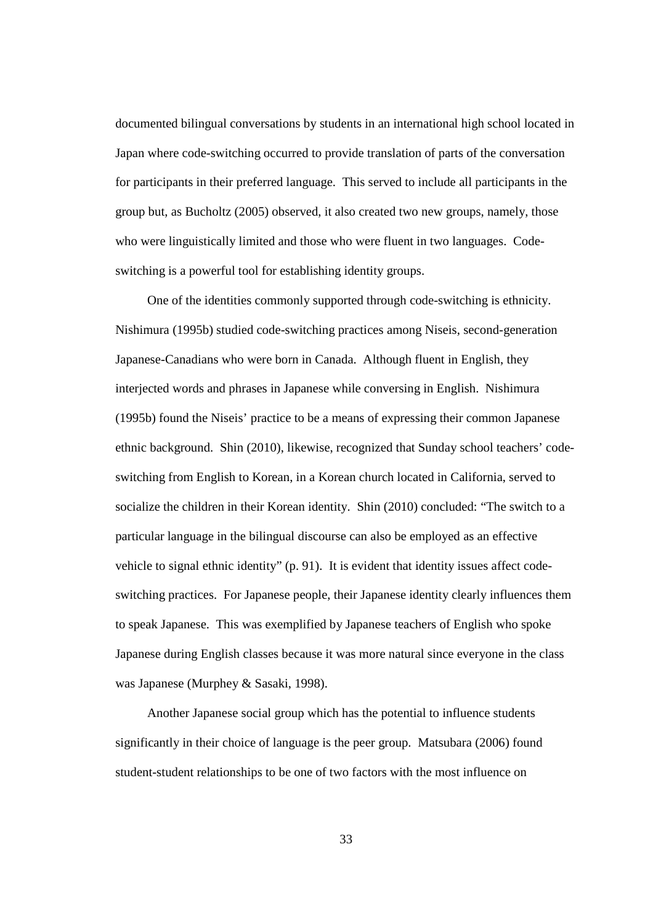documented bilingual conversations by students in an international high school located in Japan where code-switching occurred to provide translation of parts of the conversation for participants in their preferred language. This served to include all participants in the group but, as Bucholtz (2005) observed, it also created two new groups, namely, those who were linguistically limited and those who were fluent in two languages. Codeswitching is a powerful tool for establishing identity groups.

One of the identities commonly supported through code-switching is ethnicity. Nishimura (1995b) studied code-switching practices among Niseis, second-generation Japanese-Canadians who were born in Canada. Although fluent in English, they interjected words and phrases in Japanese while conversing in English. Nishimura (1995b) found the Niseis' practice to be a means of expressing their common Japanese ethnic background. Shin (2010), likewise, recognized that Sunday school teachers' codeswitching from English to Korean, in a Korean church located in California, served to socialize the children in their Korean identity. Shin (2010) concluded: "The switch to a particular language in the bilingual discourse can also be employed as an effective vehicle to signal ethnic identity" (p. 91). It is evident that identity issues affect codeswitching practices. For Japanese people, their Japanese identity clearly influences them to speak Japanese. This was exemplified by Japanese teachers of English who spoke Japanese during English classes because it was more natural since everyone in the class was Japanese (Murphey & Sasaki, 1998).

Another Japanese social group which has the potential to influence students significantly in their choice of language is the peer group. Matsubara (2006) found student-student relationships to be one of two factors with the most influence on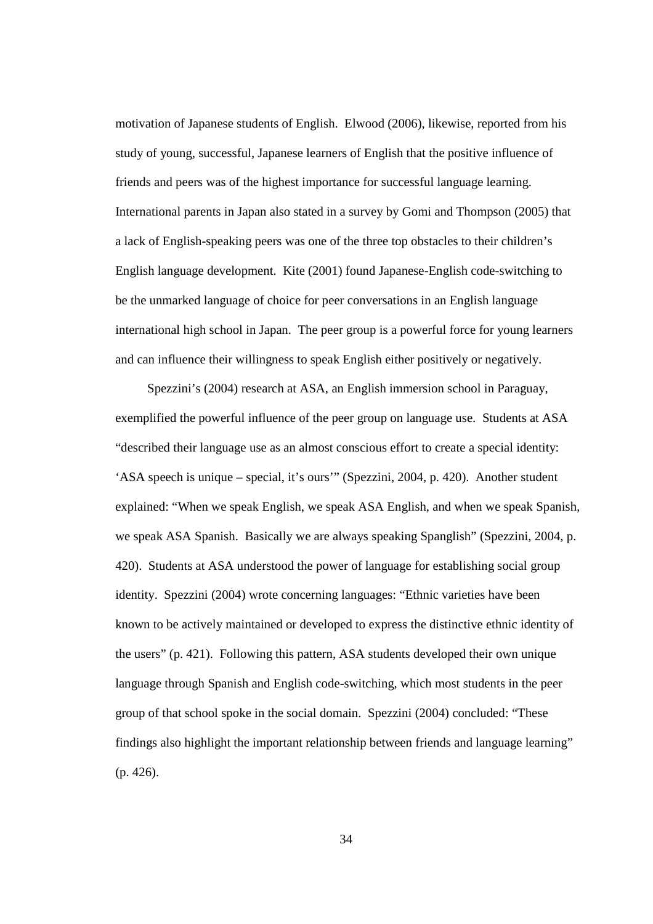motivation of Japanese students of English. Elwood (2006), likewise, reported from his study of young, successful, Japanese learners of English that the positive influence of friends and peers was of the highest importance for successful language learning. International parents in Japan also stated in a survey by Gomi and Thompson (2005) that a lack of English-speaking peers was one of the three top obstacles to their children's English language development. Kite (2001) found Japanese-English code-switching to be the unmarked language of choice for peer conversations in an English language international high school in Japan. The peer group is a powerful force for young learners and can influence their willingness to speak English either positively or negatively.

Spezzini's (2004) research at ASA, an English immersion school in Paraguay, exemplified the powerful influence of the peer group on language use. Students at ASA "described their language use as an almost conscious effort to create a special identity: 'ASA speech is unique – special, it's ours'" (Spezzini, 2004, p. 420). Another student explained: "When we speak English, we speak ASA English, and when we speak Spanish, we speak ASA Spanish. Basically we are always speaking Spanglish" (Spezzini, 2004, p. 420). Students at ASA understood the power of language for establishing social group identity. Spezzini (2004) wrote concerning languages: "Ethnic varieties have been known to be actively maintained or developed to express the distinctive ethnic identity of the users" (p. 421). Following this pattern, ASA students developed their own unique language through Spanish and English code-switching, which most students in the peer group of that school spoke in the social domain. Spezzini (2004) concluded: "These findings also highlight the important relationship between friends and language learning" (p. 426).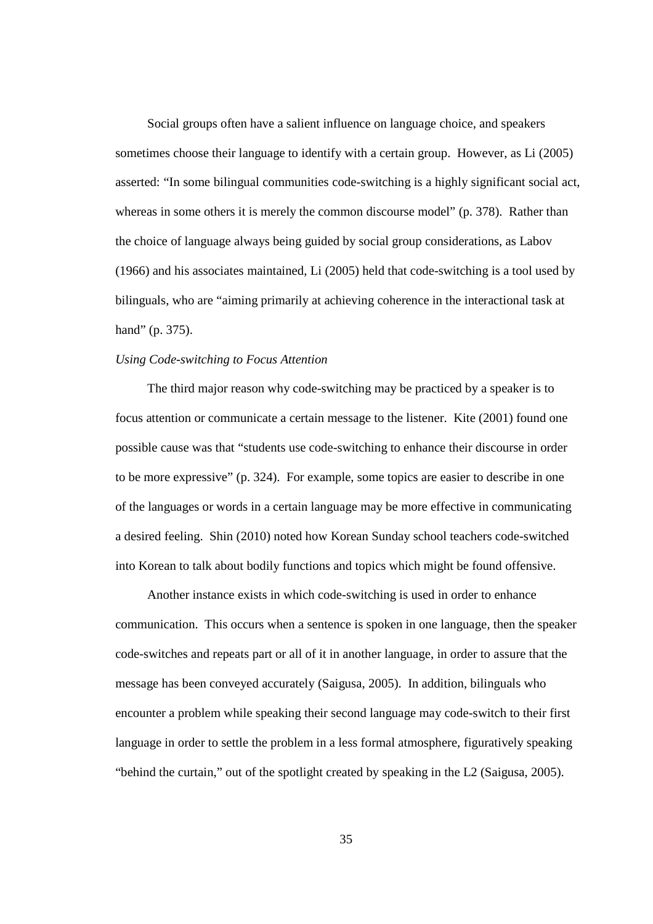Social groups often have a salient influence on language choice, and speakers sometimes choose their language to identify with a certain group. However, as Li (2005) asserted: "In some bilingual communities code-switching is a highly significant social act, whereas in some others it is merely the common discourse model" (p. 378). Rather than the choice of language always being guided by social group considerations, as Labov (1966) and his associates maintained, Li (2005) held that code-switching is a tool used by bilinguals, who are "aiming primarily at achieving coherence in the interactional task at hand" (p. 375).

#### *Using Code-switching to Focus Attention*

The third major reason why code-switching may be practiced by a speaker is to focus attention or communicate a certain message to the listener. Kite (2001) found one possible cause was that "students use code-switching to enhance their discourse in order to be more expressive" (p. 324). For example, some topics are easier to describe in one of the languages or words in a certain language may be more effective in communicating a desired feeling. Shin (2010) noted how Korean Sunday school teachers code-switched into Korean to talk about bodily functions and topics which might be found offensive.

Another instance exists in which code-switching is used in order to enhance communication. This occurs when a sentence is spoken in one language, then the speaker code-switches and repeats part or all of it in another language, in order to assure that the message has been conveyed accurately (Saigusa, 2005). In addition, bilinguals who encounter a problem while speaking their second language may code-switch to their first language in order to settle the problem in a less formal atmosphere, figuratively speaking "behind the curtain," out of the spotlight created by speaking in the L2 (Saigusa, 2005).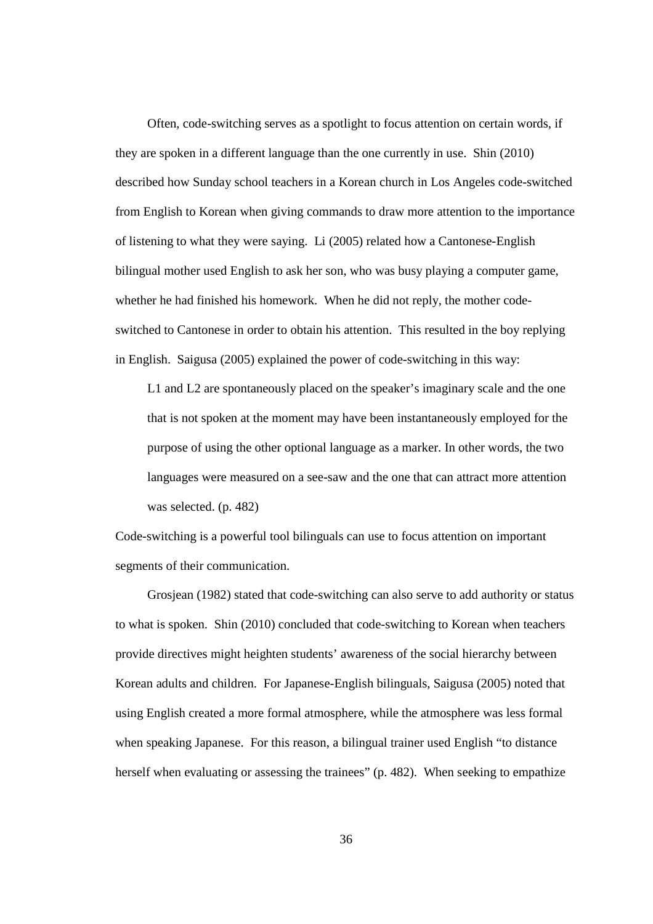Often, code-switching serves as a spotlight to focus attention on certain words, if they are spoken in a different language than the one currently in use. Shin (2010) described how Sunday school teachers in a Korean church in Los Angeles code-switched from English to Korean when giving commands to draw more attention to the importance of listening to what they were saying. Li (2005) related how a Cantonese-English bilingual mother used English to ask her son, who was busy playing a computer game, whether he had finished his homework. When he did not reply, the mother codeswitched to Cantonese in order to obtain his attention. This resulted in the boy replying in English. Saigusa (2005) explained the power of code-switching in this way:

L1 and L2 are spontaneously placed on the speaker's imaginary scale and the one that is not spoken at the moment may have been instantaneously employed for the purpose of using the other optional language as a marker. In other words, the two languages were measured on a see-saw and the one that can attract more attention was selected. (p. 482)

Code-switching is a powerful tool bilinguals can use to focus attention on important segments of their communication.

Grosjean (1982) stated that code-switching can also serve to add authority or status to what is spoken. Shin (2010) concluded that code-switching to Korean when teachers provide directives might heighten students' awareness of the social hierarchy between Korean adults and children. For Japanese-English bilinguals, Saigusa (2005) noted that using English created a more formal atmosphere, while the atmosphere was less formal when speaking Japanese. For this reason, a bilingual trainer used English "to distance herself when evaluating or assessing the trainees" (p. 482). When seeking to empathize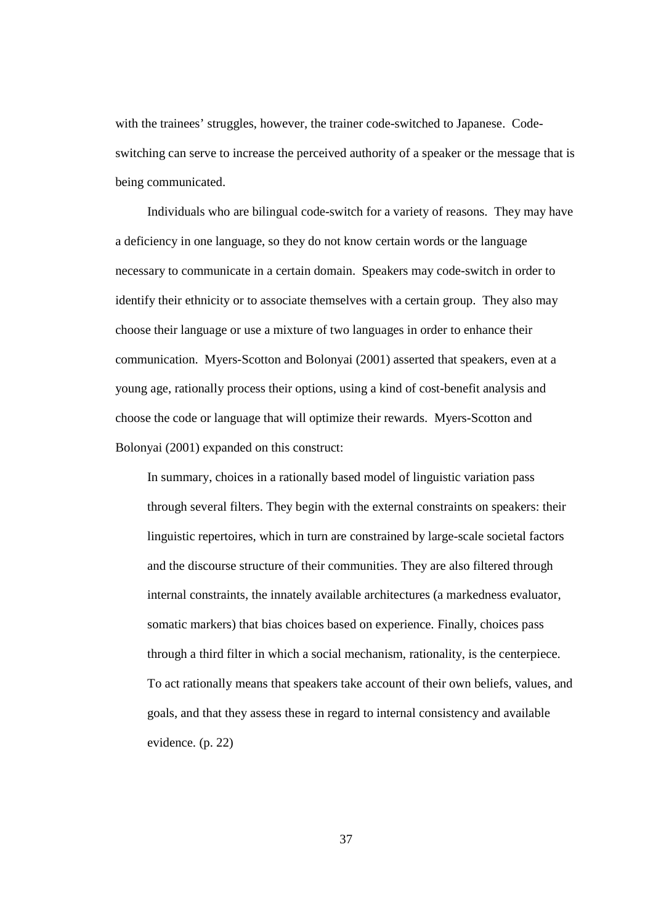with the trainees' struggles, however, the trainer code-switched to Japanese. Codeswitching can serve to increase the perceived authority of a speaker or the message that is being communicated.

Individuals who are bilingual code-switch for a variety of reasons. They may have a deficiency in one language, so they do not know certain words or the language necessary to communicate in a certain domain. Speakers may code-switch in order to identify their ethnicity or to associate themselves with a certain group. They also may choose their language or use a mixture of two languages in order to enhance their communication. Myers-Scotton and Bolonyai (2001) asserted that speakers, even at a young age, rationally process their options, using a kind of cost-benefit analysis and choose the code or language that will optimize their rewards. Myers-Scotton and Bolonyai (2001) expanded on this construct:

In summary, choices in a rationally based model of linguistic variation pass through several filters. They begin with the external constraints on speakers: their linguistic repertoires, which in turn are constrained by large-scale societal factors and the discourse structure of their communities. They are also filtered through internal constraints, the innately available architectures (a markedness evaluator, somatic markers) that bias choices based on experience. Finally, choices pass through a third filter in which a social mechanism, rationality, is the centerpiece. To act rationally means that speakers take account of their own beliefs, values, and goals, and that they assess these in regard to internal consistency and available evidence. (p. 22)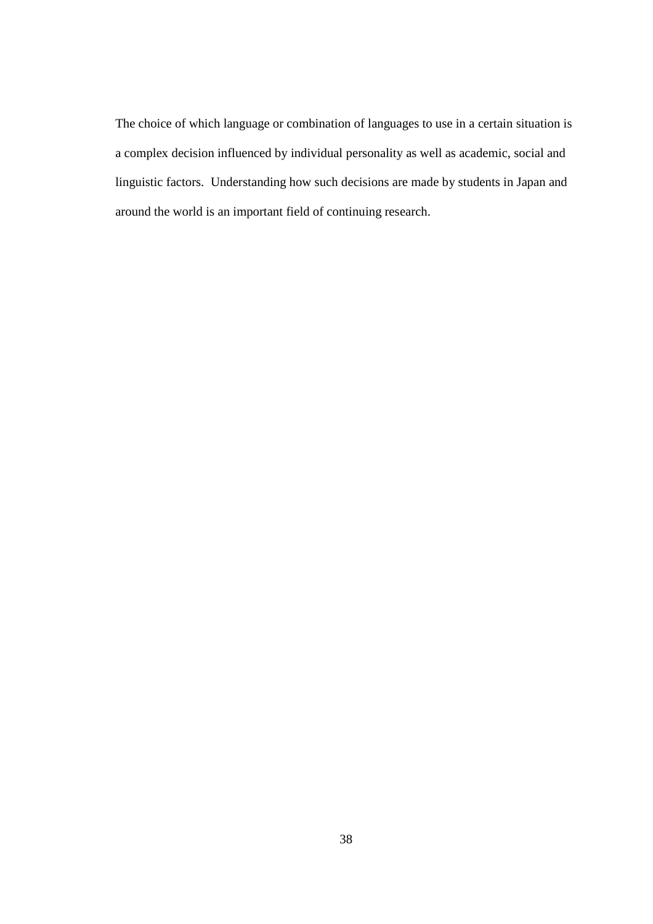The choice of which language or combination of languages to use in a certain situation is a complex decision influenced by individual personality as well as academic, social and linguistic factors. Understanding how such decisions are made by students in Japan and around the world is an important field of continuing research.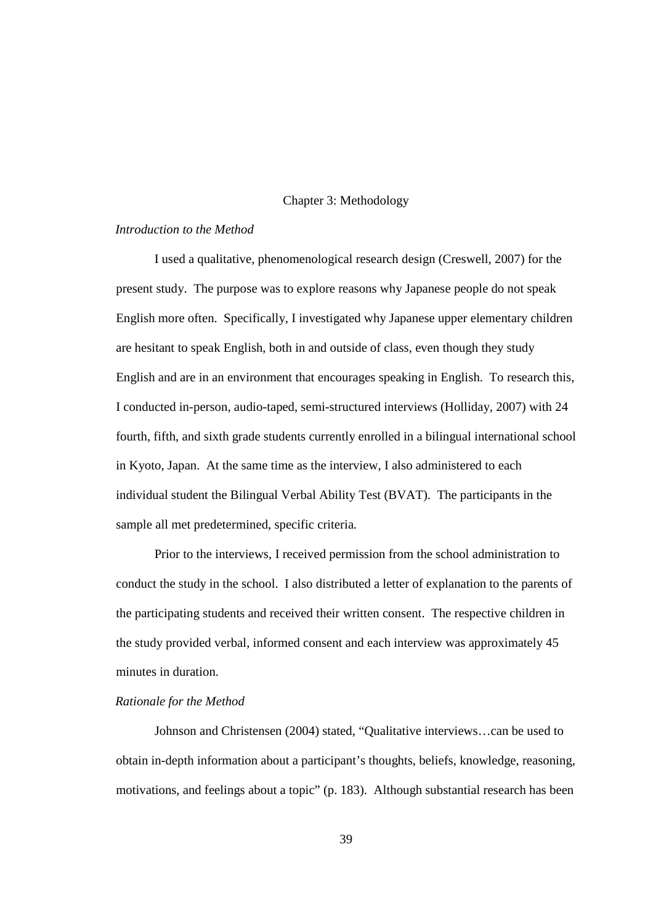## Chapter 3: Methodology

## *Introduction to the Method*

I used a qualitative, phenomenological research design (Creswell, 2007) for the present study. The purpose was to explore reasons why Japanese people do not speak English more often. Specifically, I investigated why Japanese upper elementary children are hesitant to speak English, both in and outside of class, even though they study English and are in an environment that encourages speaking in English. To research this, I conducted in-person, audio-taped, semi-structured interviews (Holliday, 2007) with 24 fourth, fifth, and sixth grade students currently enrolled in a bilingual international school in Kyoto, Japan. At the same time as the interview, I also administered to each individual student the Bilingual Verbal Ability Test (BVAT). The participants in the sample all met predetermined, specific criteria.

Prior to the interviews, I received permission from the school administration to conduct the study in the school. I also distributed a letter of explanation to the parents of the participating students and received their written consent. The respective children in the study provided verbal, informed consent and each interview was approximately 45 minutes in duration.

### *Rationale for the Method*

Johnson and Christensen (2004) stated, "Qualitative interviews…can be used to obtain in-depth information about a participant's thoughts, beliefs, knowledge, reasoning, motivations, and feelings about a topic" (p. 183). Although substantial research has been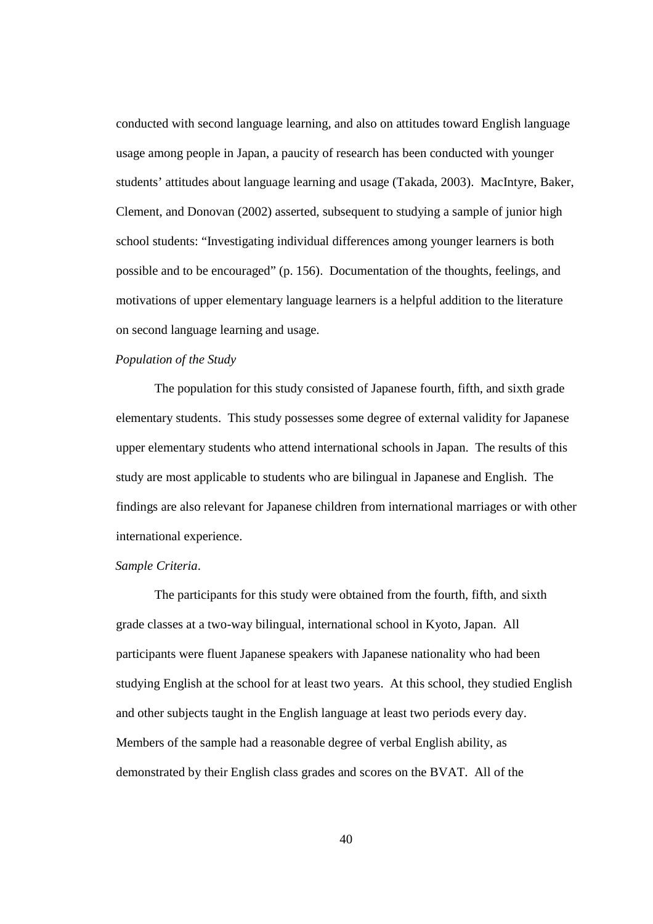conducted with second language learning, and also on attitudes toward English language usage among people in Japan, a paucity of research has been conducted with younger students' attitudes about language learning and usage (Takada, 2003). MacIntyre, Baker, Clement, and Donovan (2002) asserted, subsequent to studying a sample of junior high school students: "Investigating individual differences among younger learners is both possible and to be encouraged" (p. 156). Documentation of the thoughts, feelings, and motivations of upper elementary language learners is a helpful addition to the literature on second language learning and usage.

# *Population of the Study*

The population for this study consisted of Japanese fourth, fifth, and sixth grade elementary students. This study possesses some degree of external validity for Japanese upper elementary students who attend international schools in Japan. The results of this study are most applicable to students who are bilingual in Japanese and English. The findings are also relevant for Japanese children from international marriages or with other international experience.

#### *Sample Criteria*.

The participants for this study were obtained from the fourth, fifth, and sixth grade classes at a two-way bilingual, international school in Kyoto, Japan. All participants were fluent Japanese speakers with Japanese nationality who had been studying English at the school for at least two years. At this school, they studied English and other subjects taught in the English language at least two periods every day. Members of the sample had a reasonable degree of verbal English ability, as demonstrated by their English class grades and scores on the BVAT. All of the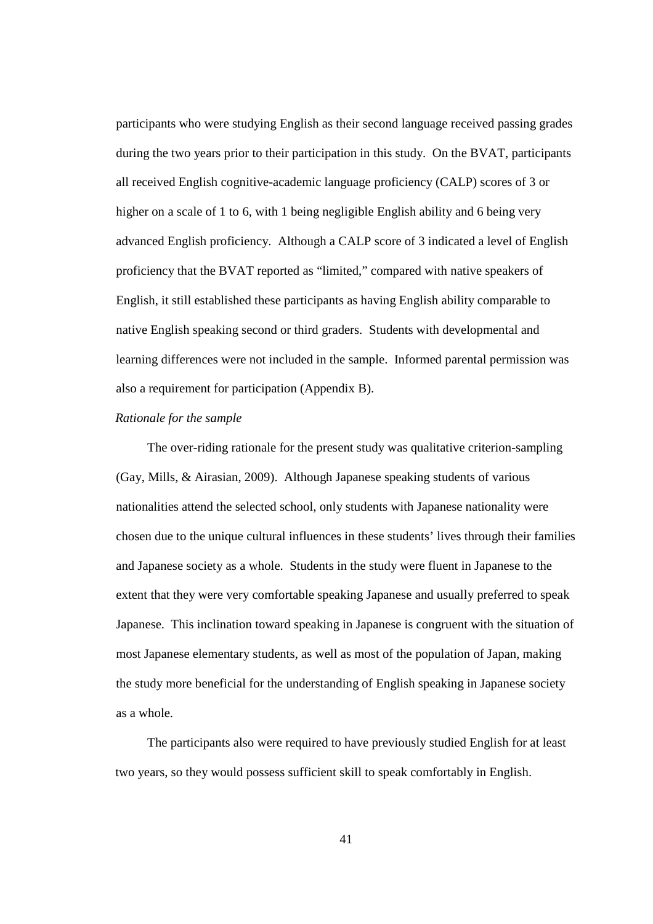participants who were studying English as their second language received passing grades during the two years prior to their participation in this study. On the BVAT, participants all received English cognitive-academic language proficiency (CALP) scores of 3 or higher on a scale of 1 to 6, with 1 being negligible English ability and 6 being very advanced English proficiency. Although a CALP score of 3 indicated a level of English proficiency that the BVAT reported as "limited," compared with native speakers of English, it still established these participants as having English ability comparable to native English speaking second or third graders. Students with developmental and learning differences were not included in the sample. Informed parental permission was also a requirement for participation (Appendix B).

### *Rationale for the sample*

The over-riding rationale for the present study was qualitative criterion-sampling (Gay, Mills, & Airasian, 2009). Although Japanese speaking students of various nationalities attend the selected school, only students with Japanese nationality were chosen due to the unique cultural influences in these students' lives through their families and Japanese society as a whole. Students in the study were fluent in Japanese to the extent that they were very comfortable speaking Japanese and usually preferred to speak Japanese. This inclination toward speaking in Japanese is congruent with the situation of most Japanese elementary students, as well as most of the population of Japan, making the study more beneficial for the understanding of English speaking in Japanese society as a whole.

The participants also were required to have previously studied English for at least two years, so they would possess sufficient skill to speak comfortably in English.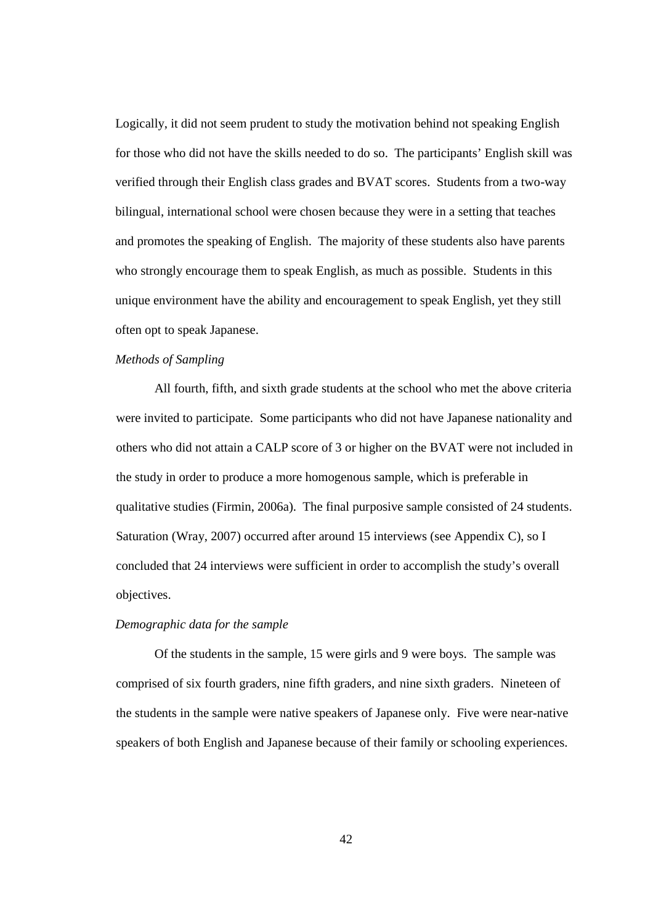Logically, it did not seem prudent to study the motivation behind not speaking English for those who did not have the skills needed to do so. The participants' English skill was verified through their English class grades and BVAT scores. Students from a two-way bilingual, international school were chosen because they were in a setting that teaches and promotes the speaking of English. The majority of these students also have parents who strongly encourage them to speak English, as much as possible. Students in this unique environment have the ability and encouragement to speak English, yet they still often opt to speak Japanese.

# *Methods of Sampling*

All fourth, fifth, and sixth grade students at the school who met the above criteria were invited to participate. Some participants who did not have Japanese nationality and others who did not attain a CALP score of 3 or higher on the BVAT were not included in the study in order to produce a more homogenous sample, which is preferable in qualitative studies (Firmin, 2006a). The final purposive sample consisted of 24 students. Saturation (Wray, 2007) occurred after around 15 interviews (see Appendix C), so I concluded that 24 interviews were sufficient in order to accomplish the study's overall objectives.

#### *Demographic data for the sample*

Of the students in the sample, 15 were girls and 9 were boys. The sample was comprised of six fourth graders, nine fifth graders, and nine sixth graders. Nineteen of the students in the sample were native speakers of Japanese only. Five were near-native speakers of both English and Japanese because of their family or schooling experiences.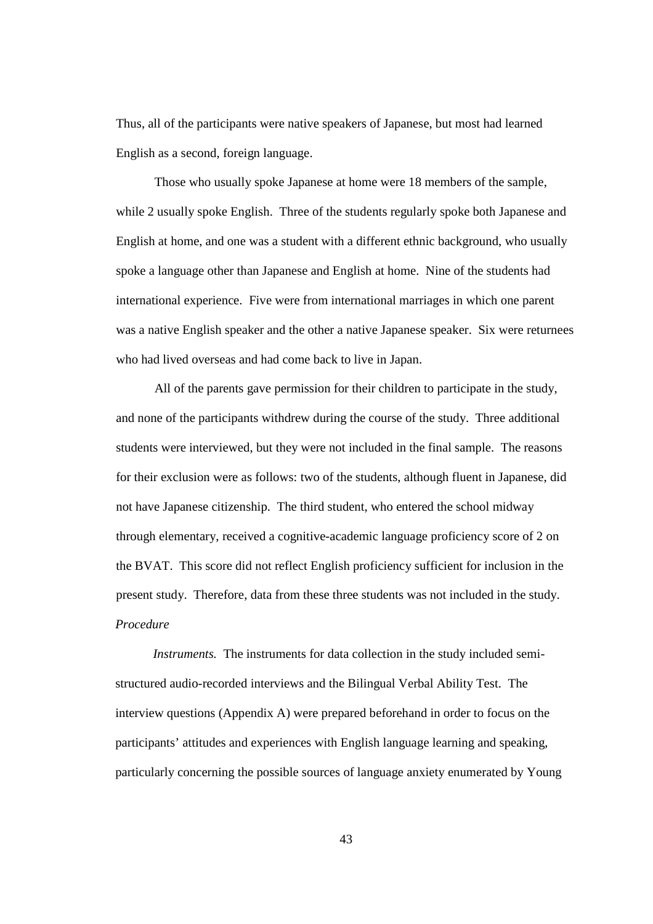Thus, all of the participants were native speakers of Japanese, but most had learned English as a second, foreign language.

Those who usually spoke Japanese at home were 18 members of the sample, while 2 usually spoke English. Three of the students regularly spoke both Japanese and English at home, and one was a student with a different ethnic background, who usually spoke a language other than Japanese and English at home. Nine of the students had international experience. Five were from international marriages in which one parent was a native English speaker and the other a native Japanese speaker. Six were returnees who had lived overseas and had come back to live in Japan.

All of the parents gave permission for their children to participate in the study, and none of the participants withdrew during the course of the study. Three additional students were interviewed, but they were not included in the final sample. The reasons for their exclusion were as follows: two of the students, although fluent in Japanese, did not have Japanese citizenship. The third student, who entered the school midway through elementary, received a cognitive-academic language proficiency score of 2 on the BVAT. This score did not reflect English proficiency sufficient for inclusion in the present study. Therefore, data from these three students was not included in the study. *Procedure* 

*Instruments.* The instruments for data collection in the study included semistructured audio-recorded interviews and the Bilingual Verbal Ability Test. The interview questions (Appendix A) were prepared beforehand in order to focus on the participants' attitudes and experiences with English language learning and speaking, particularly concerning the possible sources of language anxiety enumerated by Young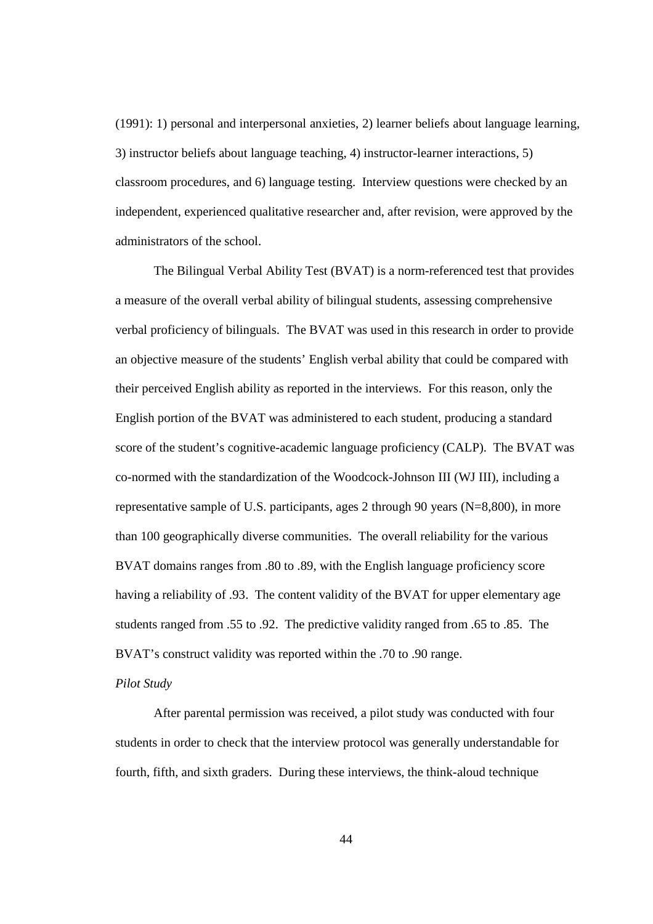(1991): 1) personal and interpersonal anxieties, 2) learner beliefs about language learning, 3) instructor beliefs about language teaching, 4) instructor-learner interactions, 5) classroom procedures, and 6) language testing. Interview questions were checked by an independent, experienced qualitative researcher and, after revision, were approved by the administrators of the school.

The Bilingual Verbal Ability Test (BVAT) is a norm-referenced test that provides a measure of the overall verbal ability of bilingual students, assessing comprehensive verbal proficiency of bilinguals. The BVAT was used in this research in order to provide an objective measure of the students' English verbal ability that could be compared with their perceived English ability as reported in the interviews. For this reason, only the English portion of the BVAT was administered to each student, producing a standard score of the student's cognitive-academic language proficiency (CALP). The BVAT was co-normed with the standardization of the Woodcock-Johnson III (WJ III), including a representative sample of U.S. participants, ages 2 through 90 years (N=8,800), in more than 100 geographically diverse communities. The overall reliability for the various BVAT domains ranges from .80 to .89, with the English language proficiency score having a reliability of .93. The content validity of the BVAT for upper elementary age students ranged from .55 to .92. The predictive validity ranged from .65 to .85. The BVAT's construct validity was reported within the .70 to .90 range.

### *Pilot Study*

After parental permission was received, a pilot study was conducted with four students in order to check that the interview protocol was generally understandable for fourth, fifth, and sixth graders. During these interviews, the think-aloud technique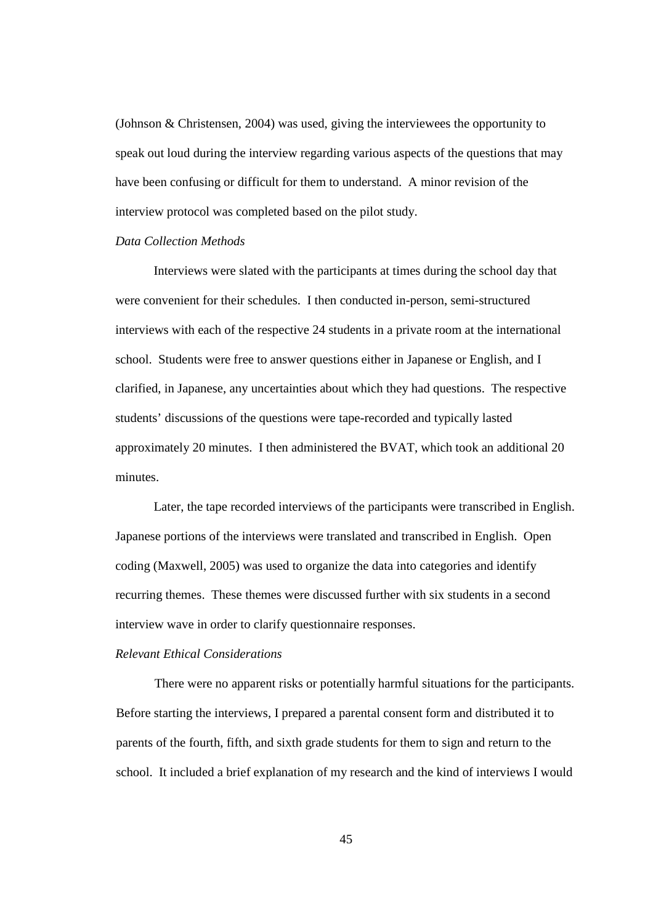(Johnson & Christensen, 2004) was used, giving the interviewees the opportunity to speak out loud during the interview regarding various aspects of the questions that may have been confusing or difficult for them to understand. A minor revision of the interview protocol was completed based on the pilot study.

## *Data Collection Methods*

Interviews were slated with the participants at times during the school day that were convenient for their schedules. I then conducted in-person, semi-structured interviews with each of the respective 24 students in a private room at the international school. Students were free to answer questions either in Japanese or English, and I clarified, in Japanese, any uncertainties about which they had questions. The respective students' discussions of the questions were tape-recorded and typically lasted approximately 20 minutes. I then administered the BVAT, which took an additional 20 minutes.

Later, the tape recorded interviews of the participants were transcribed in English. Japanese portions of the interviews were translated and transcribed in English. Open coding (Maxwell, 2005) was used to organize the data into categories and identify recurring themes. These themes were discussed further with six students in a second interview wave in order to clarify questionnaire responses.

# *Relevant Ethical Considerations*

There were no apparent risks or potentially harmful situations for the participants. Before starting the interviews, I prepared a parental consent form and distributed it to parents of the fourth, fifth, and sixth grade students for them to sign and return to the school. It included a brief explanation of my research and the kind of interviews I would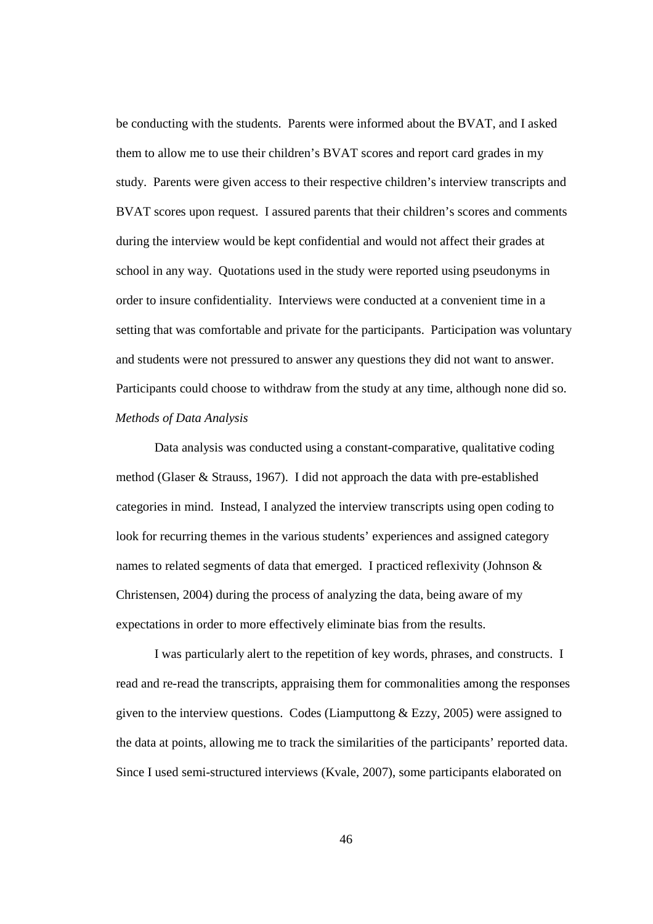be conducting with the students. Parents were informed about the BVAT, and I asked them to allow me to use their children's BVAT scores and report card grades in my study. Parents were given access to their respective children's interview transcripts and BVAT scores upon request. I assured parents that their children's scores and comments during the interview would be kept confidential and would not affect their grades at school in any way. Quotations used in the study were reported using pseudonyms in order to insure confidentiality. Interviews were conducted at a convenient time in a setting that was comfortable and private for the participants. Participation was voluntary and students were not pressured to answer any questions they did not want to answer. Participants could choose to withdraw from the study at any time, although none did so. *Methods of Data Analysis* 

Data analysis was conducted using a constant-comparative, qualitative coding method (Glaser & Strauss, 1967). I did not approach the data with pre-established categories in mind. Instead, I analyzed the interview transcripts using open coding to look for recurring themes in the various students' experiences and assigned category names to related segments of data that emerged. I practiced reflexivity (Johnson & Christensen, 2004) during the process of analyzing the data, being aware of my expectations in order to more effectively eliminate bias from the results.

I was particularly alert to the repetition of key words, phrases, and constructs. I read and re-read the transcripts, appraising them for commonalities among the responses given to the interview questions. Codes (Liamputtong  $&$  Ezzy, 2005) were assigned to the data at points, allowing me to track the similarities of the participants' reported data. Since I used semi-structured interviews (Kvale, 2007), some participants elaborated on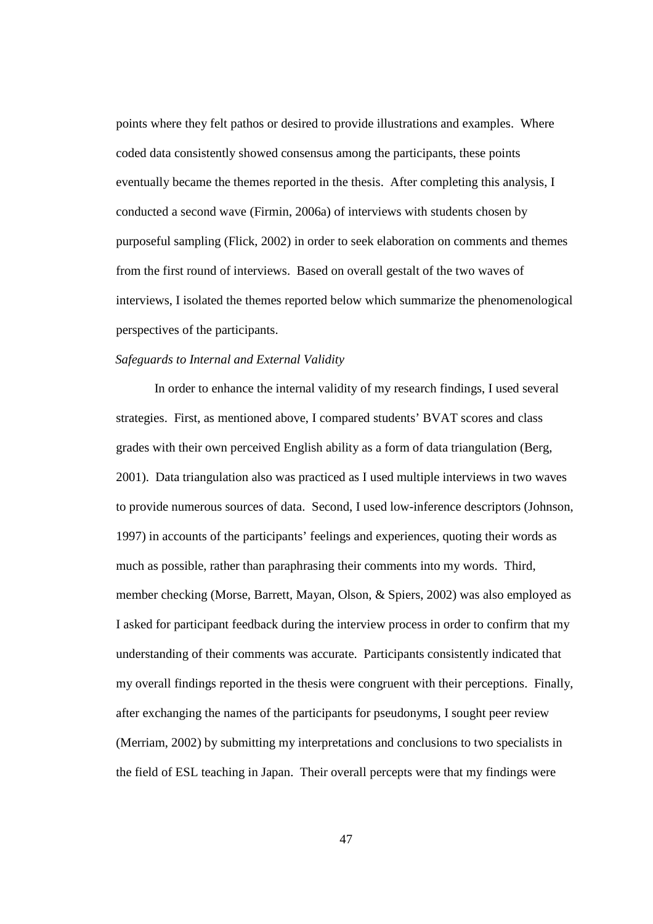points where they felt pathos or desired to provide illustrations and examples. Where coded data consistently showed consensus among the participants, these points eventually became the themes reported in the thesis. After completing this analysis, I conducted a second wave (Firmin, 2006a) of interviews with students chosen by purposeful sampling (Flick, 2002) in order to seek elaboration on comments and themes from the first round of interviews. Based on overall gestalt of the two waves of interviews, I isolated the themes reported below which summarize the phenomenological perspectives of the participants.

## *Safeguards to Internal and External Validity*

In order to enhance the internal validity of my research findings, I used several strategies. First, as mentioned above, I compared students' BVAT scores and class grades with their own perceived English ability as a form of data triangulation (Berg, 2001). Data triangulation also was practiced as I used multiple interviews in two waves to provide numerous sources of data. Second, I used low-inference descriptors (Johnson, 1997) in accounts of the participants' feelings and experiences, quoting their words as much as possible, rather than paraphrasing their comments into my words. Third, member checking (Morse, Barrett, Mayan, Olson, & Spiers, 2002) was also employed as I asked for participant feedback during the interview process in order to confirm that my understanding of their comments was accurate. Participants consistently indicated that my overall findings reported in the thesis were congruent with their perceptions. Finally, after exchanging the names of the participants for pseudonyms, I sought peer review (Merriam, 2002) by submitting my interpretations and conclusions to two specialists in the field of ESL teaching in Japan. Their overall percepts were that my findings were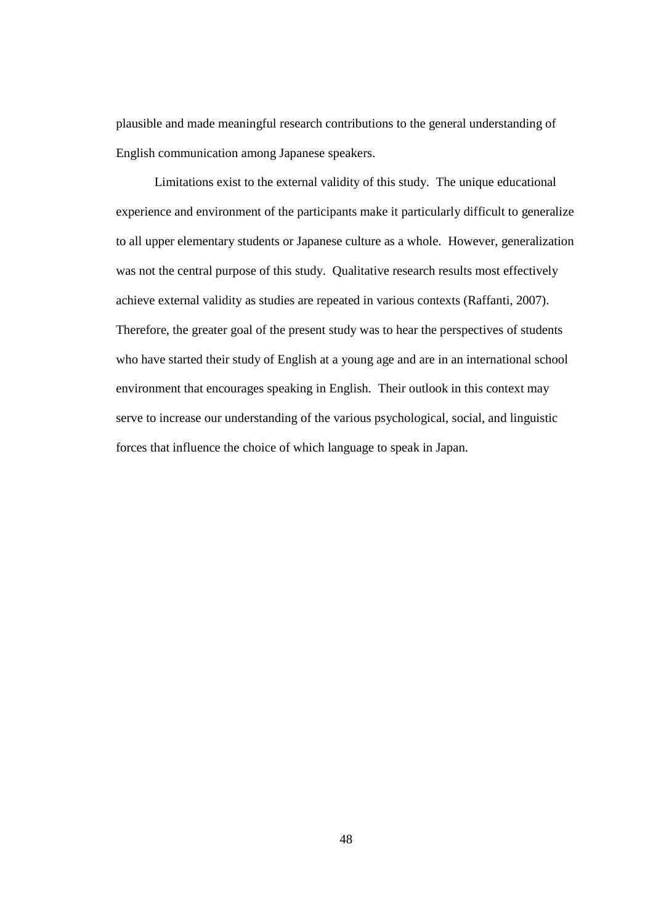plausible and made meaningful research contributions to the general understanding of English communication among Japanese speakers.

Limitations exist to the external validity of this study. The unique educational experience and environment of the participants make it particularly difficult to generalize to all upper elementary students or Japanese culture as a whole. However, generalization was not the central purpose of this study. Qualitative research results most effectively achieve external validity as studies are repeated in various contexts (Raffanti, 2007). Therefore, the greater goal of the present study was to hear the perspectives of students who have started their study of English at a young age and are in an international school environment that encourages speaking in English. Their outlook in this context may serve to increase our understanding of the various psychological, social, and linguistic forces that influence the choice of which language to speak in Japan.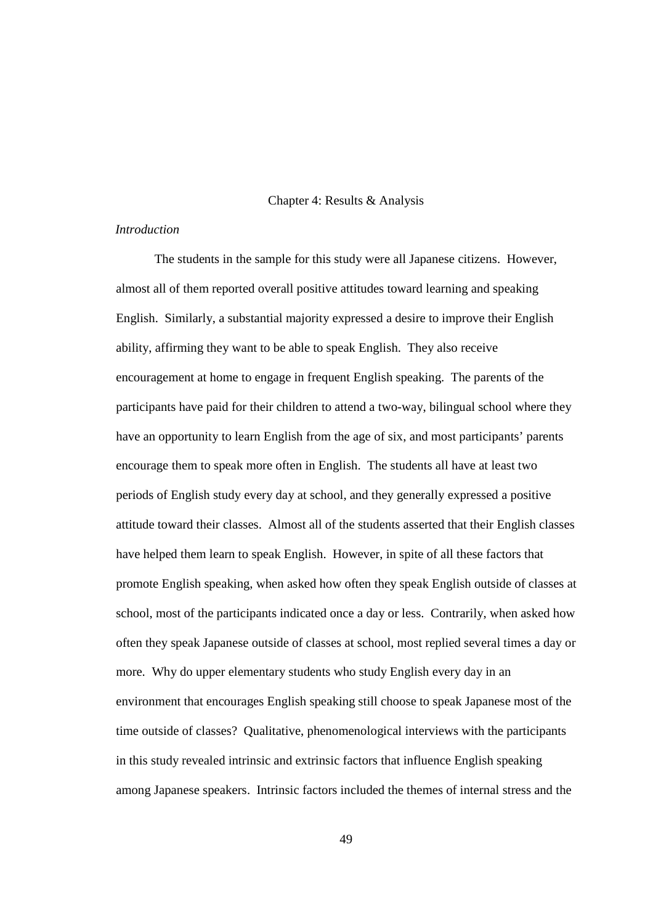## Chapter 4: Results & Analysis

# *Introduction*

The students in the sample for this study were all Japanese citizens. However, almost all of them reported overall positive attitudes toward learning and speaking English. Similarly, a substantial majority expressed a desire to improve their English ability, affirming they want to be able to speak English. They also receive encouragement at home to engage in frequent English speaking. The parents of the participants have paid for their children to attend a two-way, bilingual school where they have an opportunity to learn English from the age of six, and most participants' parents encourage them to speak more often in English. The students all have at least two periods of English study every day at school, and they generally expressed a positive attitude toward their classes. Almost all of the students asserted that their English classes have helped them learn to speak English. However, in spite of all these factors that promote English speaking, when asked how often they speak English outside of classes at school, most of the participants indicated once a day or less. Contrarily, when asked how often they speak Japanese outside of classes at school, most replied several times a day or more. Why do upper elementary students who study English every day in an environment that encourages English speaking still choose to speak Japanese most of the time outside of classes? Qualitative, phenomenological interviews with the participants in this study revealed intrinsic and extrinsic factors that influence English speaking among Japanese speakers. Intrinsic factors included the themes of internal stress and the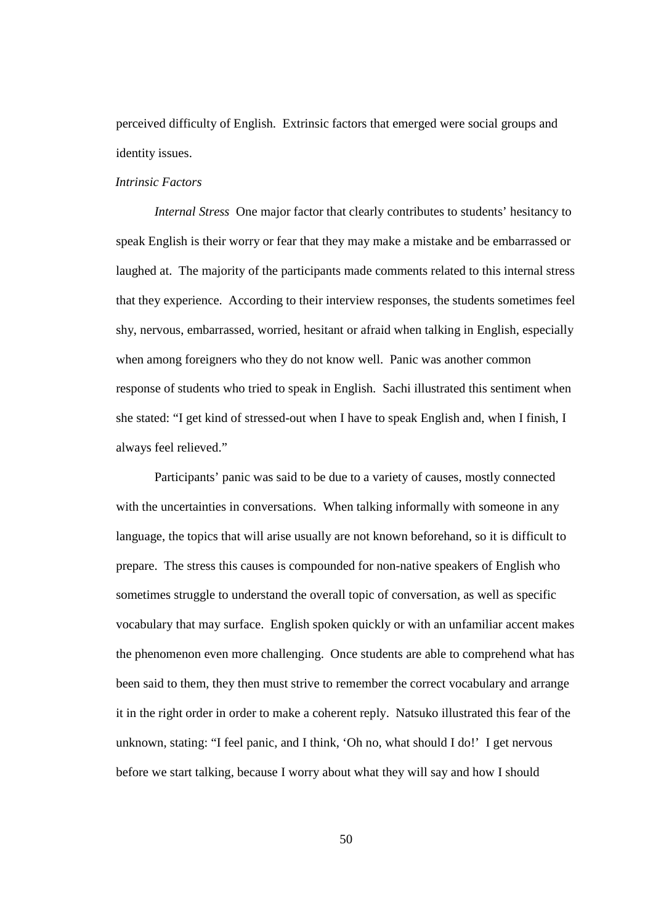perceived difficulty of English. Extrinsic factors that emerged were social groups and identity issues.

### *Intrinsic Factors*

*Internal Stress* One major factor that clearly contributes to students' hesitancy to speak English is their worry or fear that they may make a mistake and be embarrassed or laughed at. The majority of the participants made comments related to this internal stress that they experience. According to their interview responses, the students sometimes feel shy, nervous, embarrassed, worried, hesitant or afraid when talking in English, especially when among foreigners who they do not know well. Panic was another common response of students who tried to speak in English. Sachi illustrated this sentiment when she stated: "I get kind of stressed-out when I have to speak English and, when I finish, I always feel relieved."

Participants' panic was said to be due to a variety of causes, mostly connected with the uncertainties in conversations. When talking informally with someone in any language, the topics that will arise usually are not known beforehand, so it is difficult to prepare. The stress this causes is compounded for non-native speakers of English who sometimes struggle to understand the overall topic of conversation, as well as specific vocabulary that may surface. English spoken quickly or with an unfamiliar accent makes the phenomenon even more challenging. Once students are able to comprehend what has been said to them, they then must strive to remember the correct vocabulary and arrange it in the right order in order to make a coherent reply. Natsuko illustrated this fear of the unknown, stating: "I feel panic, and I think, 'Oh no, what should I do!' I get nervous before we start talking, because I worry about what they will say and how I should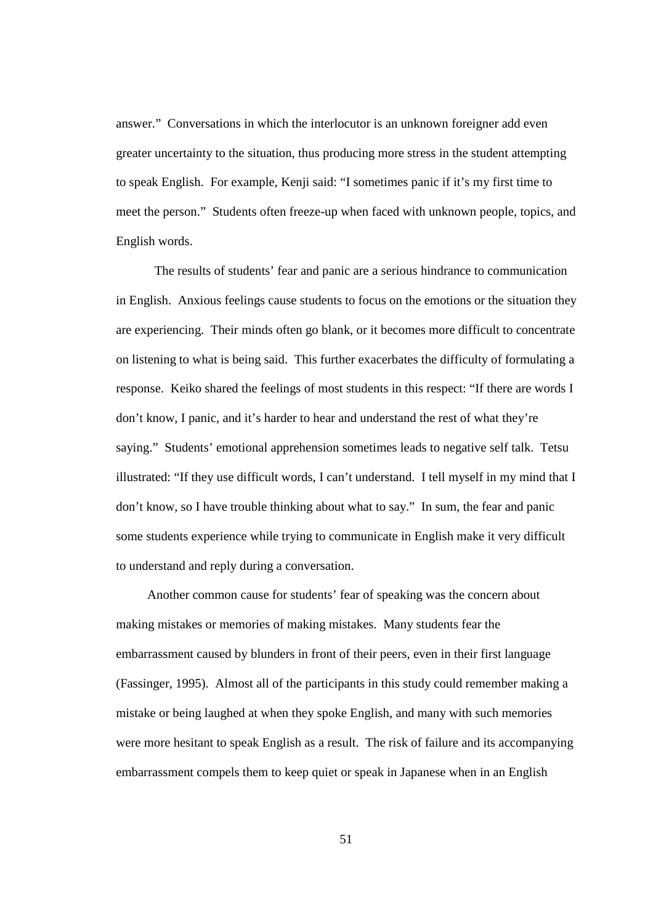answer." Conversations in which the interlocutor is an unknown foreigner add even greater uncertainty to the situation, thus producing more stress in the student attempting to speak English. For example, Kenji said: "I sometimes panic if it's my first time to meet the person." Students often freeze-up when faced with unknown people, topics, and English words.

The results of students' fear and panic are a serious hindrance to communication in English. Anxious feelings cause students to focus on the emotions or the situation they are experiencing. Their minds often go blank, or it becomes more difficult to concentrate on listening to what is being said. This further exacerbates the difficulty of formulating a response. Keiko shared the feelings of most students in this respect: "If there are words I don't know, I panic, and it's harder to hear and understand the rest of what they're saying." Students' emotional apprehension sometimes leads to negative self talk. Tetsu illustrated: "If they use difficult words, I can't understand. I tell myself in my mind that I don't know, so I have trouble thinking about what to say." In sum, the fear and panic some students experience while trying to communicate in English make it very difficult to understand and reply during a conversation.

Another common cause for students' fear of speaking was the concern about making mistakes or memories of making mistakes. Many students fear the embarrassment caused by blunders in front of their peers, even in their first language (Fassinger, 1995). Almost all of the participants in this study could remember making a mistake or being laughed at when they spoke English, and many with such memories were more hesitant to speak English as a result. The risk of failure and its accompanying embarrassment compels them to keep quiet or speak in Japanese when in an English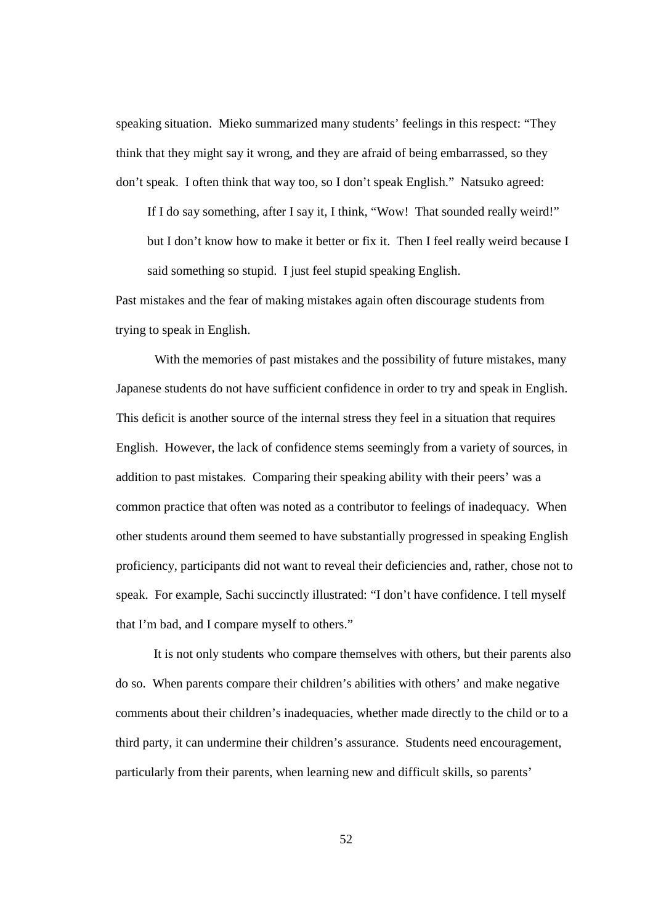speaking situation. Mieko summarized many students' feelings in this respect: "They think that they might say it wrong, and they are afraid of being embarrassed, so they don't speak. I often think that way too, so I don't speak English." Natsuko agreed:

If I do say something, after I say it, I think, "Wow! That sounded really weird!" but I don't know how to make it better or fix it. Then I feel really weird because I said something so stupid. I just feel stupid speaking English.

Past mistakes and the fear of making mistakes again often discourage students from trying to speak in English.

With the memories of past mistakes and the possibility of future mistakes, many Japanese students do not have sufficient confidence in order to try and speak in English. This deficit is another source of the internal stress they feel in a situation that requires English. However, the lack of confidence stems seemingly from a variety of sources, in addition to past mistakes. Comparing their speaking ability with their peers' was a common practice that often was noted as a contributor to feelings of inadequacy. When other students around them seemed to have substantially progressed in speaking English proficiency, participants did not want to reveal their deficiencies and, rather, chose not to speak. For example, Sachi succinctly illustrated: "I don't have confidence. I tell myself that I'm bad, and I compare myself to others."

It is not only students who compare themselves with others, but their parents also do so. When parents compare their children's abilities with others' and make negative comments about their children's inadequacies, whether made directly to the child or to a third party, it can undermine their children's assurance. Students need encouragement, particularly from their parents, when learning new and difficult skills, so parents'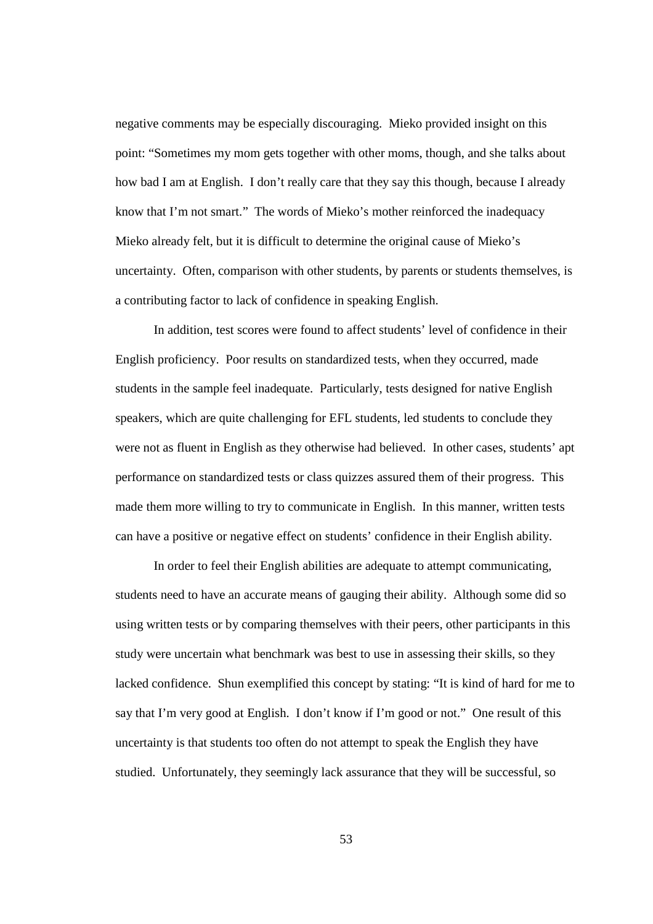negative comments may be especially discouraging. Mieko provided insight on this point: "Sometimes my mom gets together with other moms, though, and she talks about how bad I am at English. I don't really care that they say this though, because I already know that I'm not smart." The words of Mieko's mother reinforced the inadequacy Mieko already felt, but it is difficult to determine the original cause of Mieko's uncertainty. Often, comparison with other students, by parents or students themselves, is a contributing factor to lack of confidence in speaking English.

In addition, test scores were found to affect students' level of confidence in their English proficiency. Poor results on standardized tests, when they occurred, made students in the sample feel inadequate. Particularly, tests designed for native English speakers, which are quite challenging for EFL students, led students to conclude they were not as fluent in English as they otherwise had believed. In other cases, students' apt performance on standardized tests or class quizzes assured them of their progress. This made them more willing to try to communicate in English. In this manner, written tests can have a positive or negative effect on students' confidence in their English ability.

In order to feel their English abilities are adequate to attempt communicating, students need to have an accurate means of gauging their ability. Although some did so using written tests or by comparing themselves with their peers, other participants in this study were uncertain what benchmark was best to use in assessing their skills, so they lacked confidence. Shun exemplified this concept by stating: "It is kind of hard for me to say that I'm very good at English. I don't know if I'm good or not." One result of this uncertainty is that students too often do not attempt to speak the English they have studied. Unfortunately, they seemingly lack assurance that they will be successful, so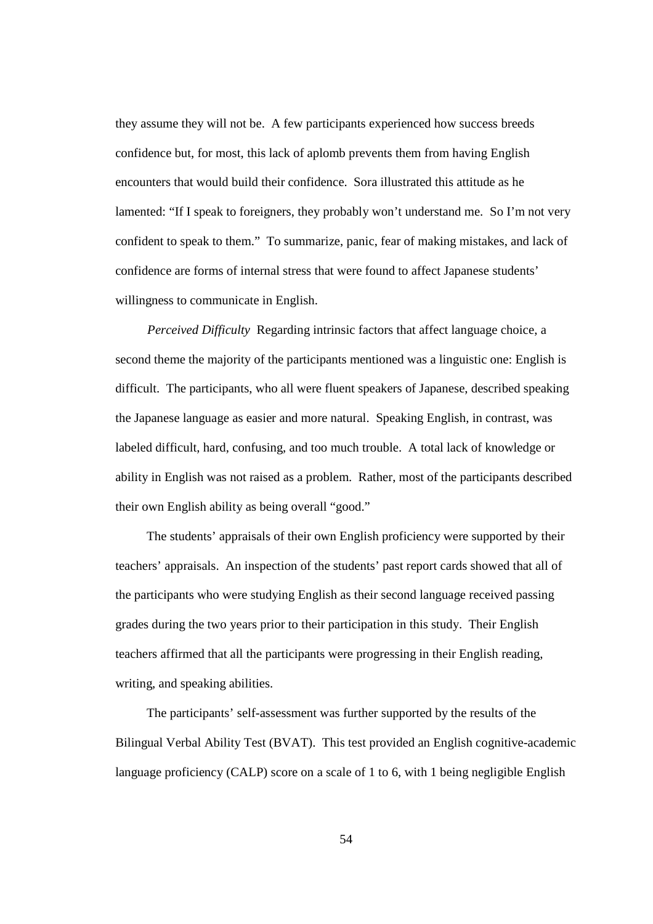they assume they will not be. A few participants experienced how success breeds confidence but, for most, this lack of aplomb prevents them from having English encounters that would build their confidence. Sora illustrated this attitude as he lamented: "If I speak to foreigners, they probably won't understand me. So I'm not very confident to speak to them." To summarize, panic, fear of making mistakes, and lack of confidence are forms of internal stress that were found to affect Japanese students' willingness to communicate in English.

*Perceived Difficulty* Regarding intrinsic factors that affect language choice, a second theme the majority of the participants mentioned was a linguistic one: English is difficult. The participants, who all were fluent speakers of Japanese, described speaking the Japanese language as easier and more natural. Speaking English, in contrast, was labeled difficult, hard, confusing, and too much trouble. A total lack of knowledge or ability in English was not raised as a problem. Rather, most of the participants described their own English ability as being overall "good."

The students' appraisals of their own English proficiency were supported by their teachers' appraisals. An inspection of the students' past report cards showed that all of the participants who were studying English as their second language received passing grades during the two years prior to their participation in this study. Their English teachers affirmed that all the participants were progressing in their English reading, writing, and speaking abilities.

The participants' self-assessment was further supported by the results of the Bilingual Verbal Ability Test (BVAT). This test provided an English cognitive-academic language proficiency (CALP) score on a scale of 1 to 6, with 1 being negligible English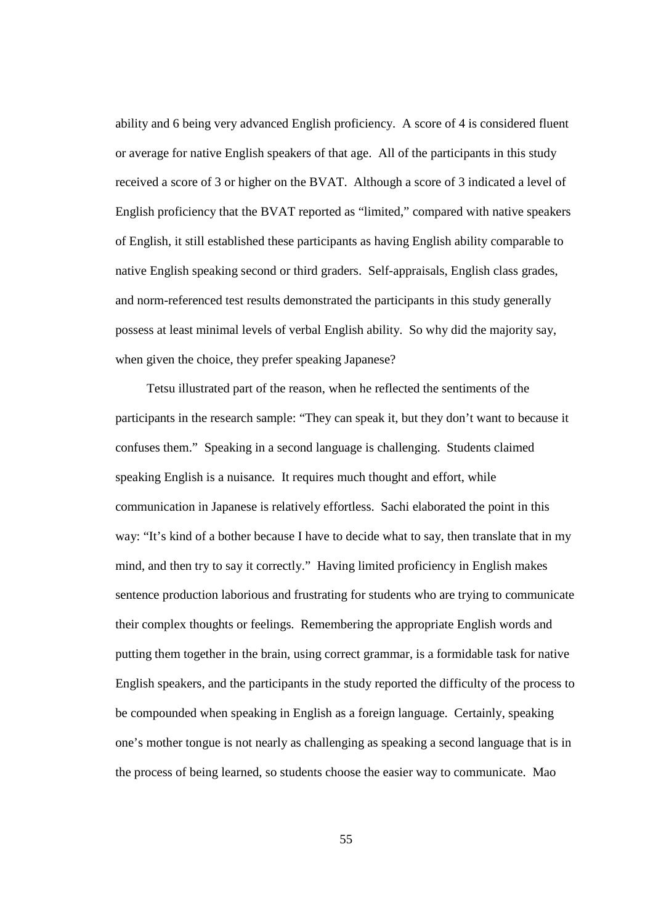ability and 6 being very advanced English proficiency. A score of 4 is considered fluent or average for native English speakers of that age. All of the participants in this study received a score of 3 or higher on the BVAT. Although a score of 3 indicated a level of English proficiency that the BVAT reported as "limited," compared with native speakers of English, it still established these participants as having English ability comparable to native English speaking second or third graders. Self-appraisals, English class grades, and norm-referenced test results demonstrated the participants in this study generally possess at least minimal levels of verbal English ability. So why did the majority say, when given the choice, they prefer speaking Japanese?

Tetsu illustrated part of the reason, when he reflected the sentiments of the participants in the research sample: "They can speak it, but they don't want to because it confuses them." Speaking in a second language is challenging. Students claimed speaking English is a nuisance. It requires much thought and effort, while communication in Japanese is relatively effortless. Sachi elaborated the point in this way: "It's kind of a bother because I have to decide what to say, then translate that in my mind, and then try to say it correctly." Having limited proficiency in English makes sentence production laborious and frustrating for students who are trying to communicate their complex thoughts or feelings. Remembering the appropriate English words and putting them together in the brain, using correct grammar, is a formidable task for native English speakers, and the participants in the study reported the difficulty of the process to be compounded when speaking in English as a foreign language. Certainly, speaking one's mother tongue is not nearly as challenging as speaking a second language that is in the process of being learned, so students choose the easier way to communicate. Mao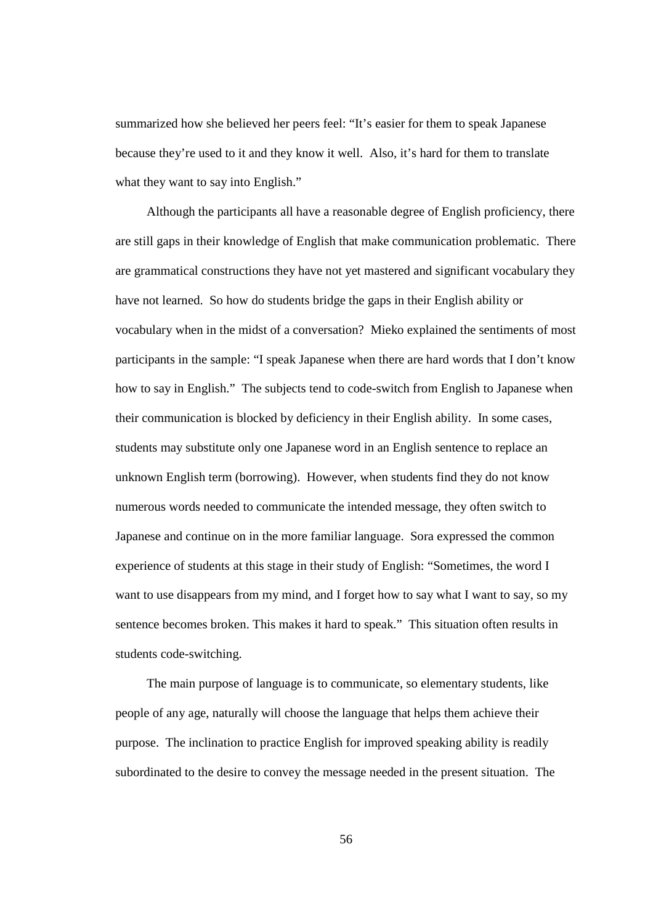summarized how she believed her peers feel: "It's easier for them to speak Japanese because they're used to it and they know it well. Also, it's hard for them to translate what they want to say into English."

Although the participants all have a reasonable degree of English proficiency, there are still gaps in their knowledge of English that make communication problematic. There are grammatical constructions they have not yet mastered and significant vocabulary they have not learned. So how do students bridge the gaps in their English ability or vocabulary when in the midst of a conversation? Mieko explained the sentiments of most participants in the sample: "I speak Japanese when there are hard words that I don't know how to say in English." The subjects tend to code-switch from English to Japanese when their communication is blocked by deficiency in their English ability. In some cases, students may substitute only one Japanese word in an English sentence to replace an unknown English term (borrowing). However, when students find they do not know numerous words needed to communicate the intended message, they often switch to Japanese and continue on in the more familiar language. Sora expressed the common experience of students at this stage in their study of English: "Sometimes, the word I want to use disappears from my mind, and I forget how to say what I want to say, so my sentence becomes broken. This makes it hard to speak." This situation often results in students code-switching.

The main purpose of language is to communicate, so elementary students, like people of any age, naturally will choose the language that helps them achieve their purpose. The inclination to practice English for improved speaking ability is readily subordinated to the desire to convey the message needed in the present situation. The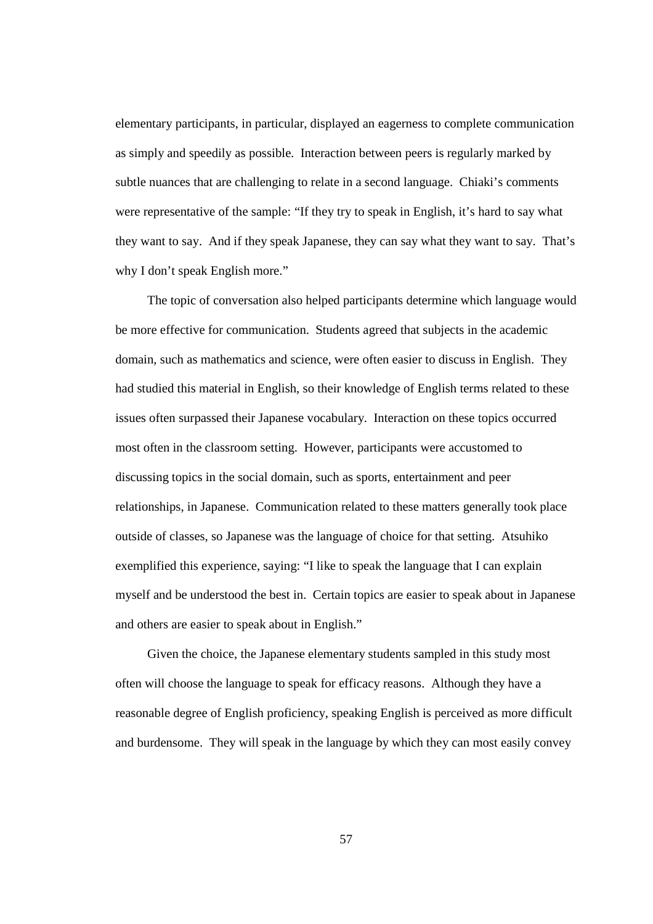elementary participants, in particular, displayed an eagerness to complete communication as simply and speedily as possible. Interaction between peers is regularly marked by subtle nuances that are challenging to relate in a second language. Chiaki's comments were representative of the sample: "If they try to speak in English, it's hard to say what they want to say. And if they speak Japanese, they can say what they want to say. That's why I don't speak English more."

The topic of conversation also helped participants determine which language would be more effective for communication. Students agreed that subjects in the academic domain, such as mathematics and science, were often easier to discuss in English. They had studied this material in English, so their knowledge of English terms related to these issues often surpassed their Japanese vocabulary. Interaction on these topics occurred most often in the classroom setting. However, participants were accustomed to discussing topics in the social domain, such as sports, entertainment and peer relationships, in Japanese. Communication related to these matters generally took place outside of classes, so Japanese was the language of choice for that setting. Atsuhiko exemplified this experience, saying: "I like to speak the language that I can explain myself and be understood the best in. Certain topics are easier to speak about in Japanese and others are easier to speak about in English."

Given the choice, the Japanese elementary students sampled in this study most often will choose the language to speak for efficacy reasons. Although they have a reasonable degree of English proficiency, speaking English is perceived as more difficult and burdensome. They will speak in the language by which they can most easily convey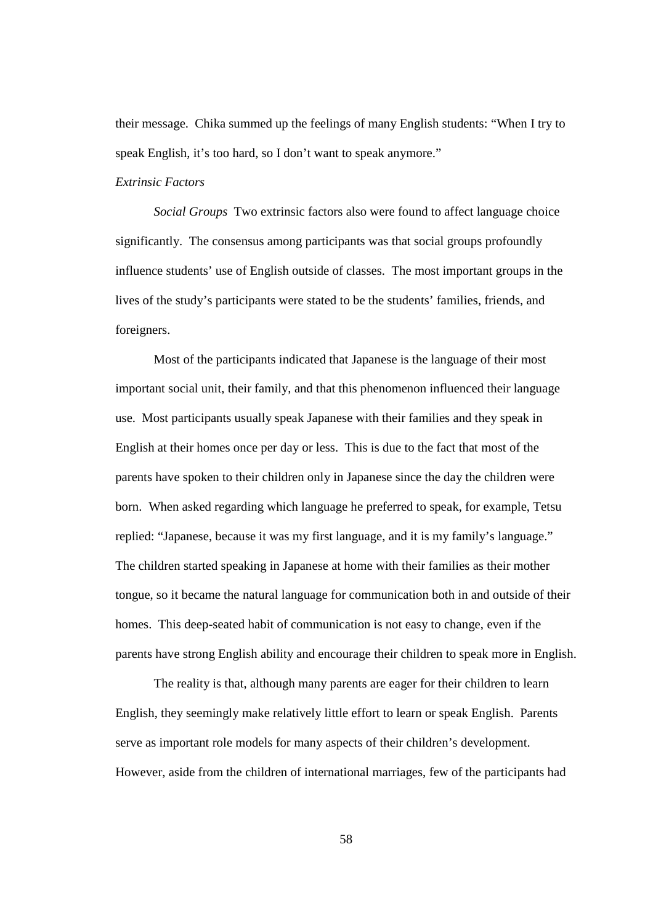their message. Chika summed up the feelings of many English students: "When I try to speak English, it's too hard, so I don't want to speak anymore."

#### *Extrinsic Factors*

*Social Groups* Two extrinsic factors also were found to affect language choice significantly. The consensus among participants was that social groups profoundly influence students' use of English outside of classes. The most important groups in the lives of the study's participants were stated to be the students' families, friends, and foreigners.

Most of the participants indicated that Japanese is the language of their most important social unit, their family, and that this phenomenon influenced their language use. Most participants usually speak Japanese with their families and they speak in English at their homes once per day or less. This is due to the fact that most of the parents have spoken to their children only in Japanese since the day the children were born. When asked regarding which language he preferred to speak, for example, Tetsu replied: "Japanese, because it was my first language, and it is my family's language." The children started speaking in Japanese at home with their families as their mother tongue, so it became the natural language for communication both in and outside of their homes. This deep-seated habit of communication is not easy to change, even if the parents have strong English ability and encourage their children to speak more in English.

The reality is that, although many parents are eager for their children to learn English, they seemingly make relatively little effort to learn or speak English. Parents serve as important role models for many aspects of their children's development. However, aside from the children of international marriages, few of the participants had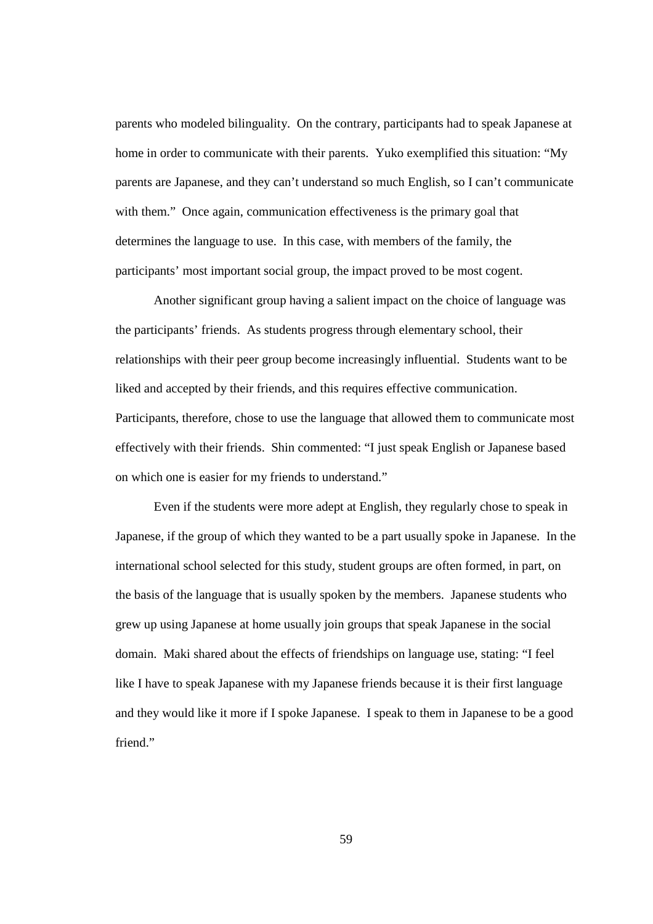parents who modeled bilinguality. On the contrary, participants had to speak Japanese at home in order to communicate with their parents. Yuko exemplified this situation: "My parents are Japanese, and they can't understand so much English, so I can't communicate with them." Once again, communication effectiveness is the primary goal that determines the language to use. In this case, with members of the family, the participants' most important social group, the impact proved to be most cogent.

Another significant group having a salient impact on the choice of language was the participants' friends. As students progress through elementary school, their relationships with their peer group become increasingly influential. Students want to be liked and accepted by their friends, and this requires effective communication. Participants, therefore, chose to use the language that allowed them to communicate most effectively with their friends. Shin commented: "I just speak English or Japanese based on which one is easier for my friends to understand."

Even if the students were more adept at English, they regularly chose to speak in Japanese, if the group of which they wanted to be a part usually spoke in Japanese. In the international school selected for this study, student groups are often formed, in part, on the basis of the language that is usually spoken by the members. Japanese students who grew up using Japanese at home usually join groups that speak Japanese in the social domain. Maki shared about the effects of friendships on language use, stating: "I feel like I have to speak Japanese with my Japanese friends because it is their first language and they would like it more if I spoke Japanese. I speak to them in Japanese to be a good friend."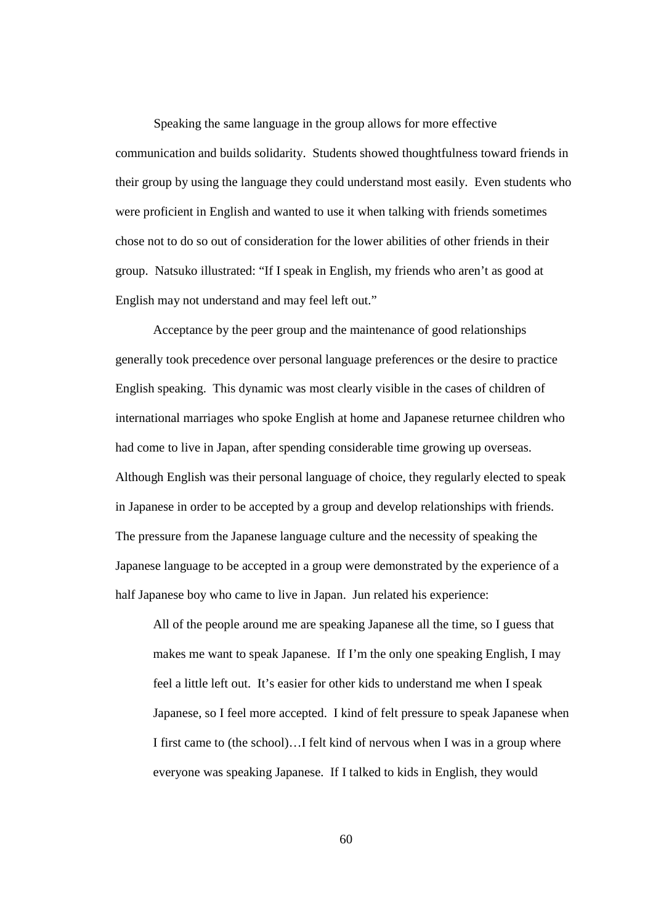Speaking the same language in the group allows for more effective communication and builds solidarity. Students showed thoughtfulness toward friends in their group by using the language they could understand most easily. Even students who were proficient in English and wanted to use it when talking with friends sometimes chose not to do so out of consideration for the lower abilities of other friends in their group. Natsuko illustrated: "If I speak in English, my friends who aren't as good at English may not understand and may feel left out."

Acceptance by the peer group and the maintenance of good relationships generally took precedence over personal language preferences or the desire to practice English speaking. This dynamic was most clearly visible in the cases of children of international marriages who spoke English at home and Japanese returnee children who had come to live in Japan, after spending considerable time growing up overseas. Although English was their personal language of choice, they regularly elected to speak in Japanese in order to be accepted by a group and develop relationships with friends. The pressure from the Japanese language culture and the necessity of speaking the Japanese language to be accepted in a group were demonstrated by the experience of a half Japanese boy who came to live in Japan. Jun related his experience:

All of the people around me are speaking Japanese all the time, so I guess that makes me want to speak Japanese. If I'm the only one speaking English, I may feel a little left out. It's easier for other kids to understand me when I speak Japanese, so I feel more accepted. I kind of felt pressure to speak Japanese when I first came to (the school)…I felt kind of nervous when I was in a group where everyone was speaking Japanese. If I talked to kids in English, they would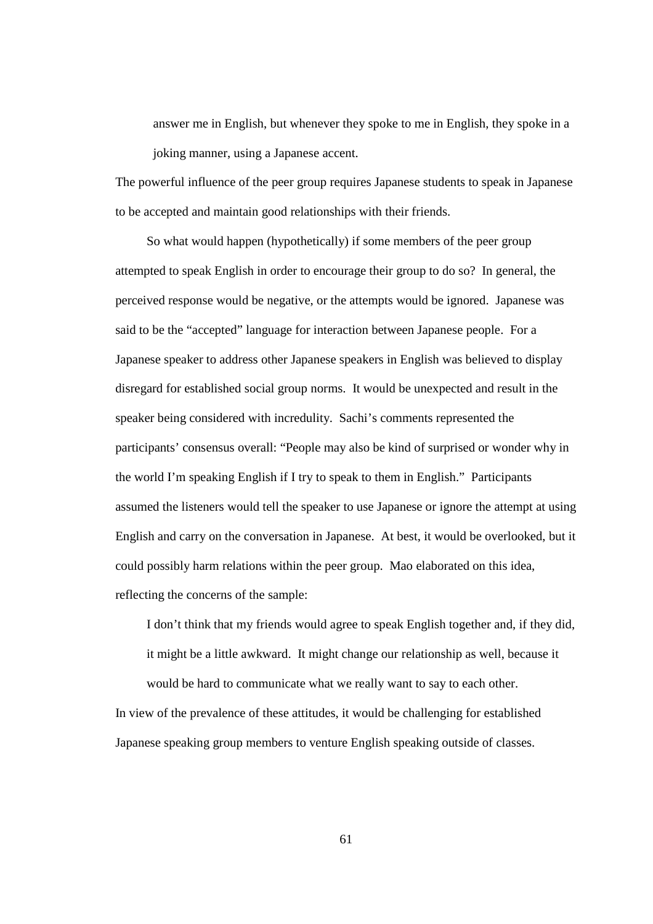answer me in English, but whenever they spoke to me in English, they spoke in a joking manner, using a Japanese accent.

The powerful influence of the peer group requires Japanese students to speak in Japanese to be accepted and maintain good relationships with their friends.

So what would happen (hypothetically) if some members of the peer group attempted to speak English in order to encourage their group to do so? In general, the perceived response would be negative, or the attempts would be ignored. Japanese was said to be the "accepted" language for interaction between Japanese people. For a Japanese speaker to address other Japanese speakers in English was believed to display disregard for established social group norms. It would be unexpected and result in the speaker being considered with incredulity. Sachi's comments represented the participants' consensus overall: "People may also be kind of surprised or wonder why in the world I'm speaking English if I try to speak to them in English." Participants assumed the listeners would tell the speaker to use Japanese or ignore the attempt at using English and carry on the conversation in Japanese. At best, it would be overlooked, but it could possibly harm relations within the peer group. Mao elaborated on this idea, reflecting the concerns of the sample:

I don't think that my friends would agree to speak English together and, if they did, it might be a little awkward. It might change our relationship as well, because it would be hard to communicate what we really want to say to each other.

In view of the prevalence of these attitudes, it would be challenging for established Japanese speaking group members to venture English speaking outside of classes.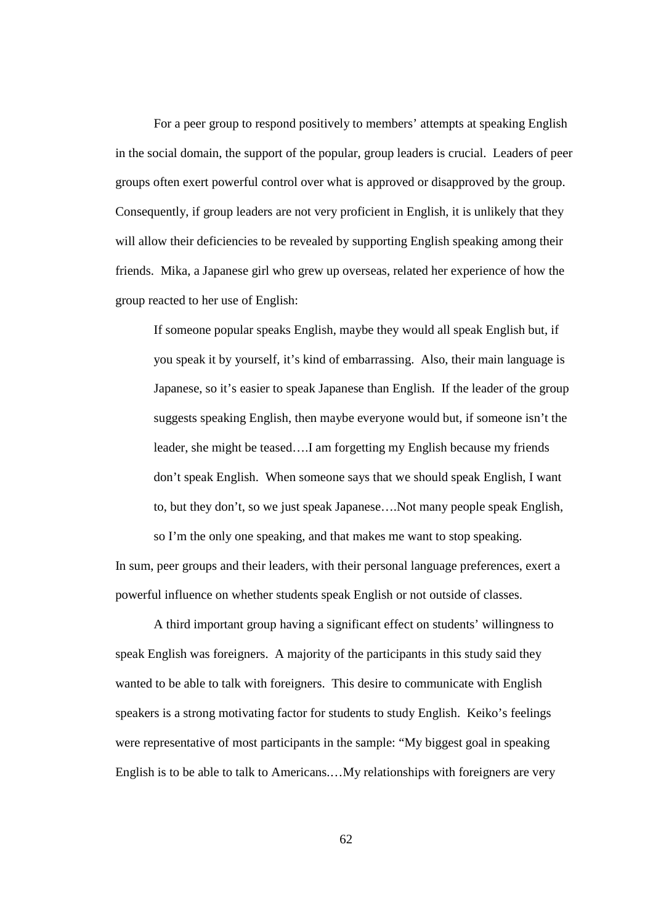For a peer group to respond positively to members' attempts at speaking English in the social domain, the support of the popular, group leaders is crucial. Leaders of peer groups often exert powerful control over what is approved or disapproved by the group. Consequently, if group leaders are not very proficient in English, it is unlikely that they will allow their deficiencies to be revealed by supporting English speaking among their friends. Mika, a Japanese girl who grew up overseas, related her experience of how the group reacted to her use of English:

If someone popular speaks English, maybe they would all speak English but, if you speak it by yourself, it's kind of embarrassing. Also, their main language is Japanese, so it's easier to speak Japanese than English. If the leader of the group suggests speaking English, then maybe everyone would but, if someone isn't the leader, she might be teased….I am forgetting my English because my friends don't speak English. When someone says that we should speak English, I want to, but they don't, so we just speak Japanese….Not many people speak English, so I'm the only one speaking, and that makes me want to stop speaking.

In sum, peer groups and their leaders, with their personal language preferences, exert a powerful influence on whether students speak English or not outside of classes.

A third important group having a significant effect on students' willingness to speak English was foreigners. A majority of the participants in this study said they wanted to be able to talk with foreigners. This desire to communicate with English speakers is a strong motivating factor for students to study English. Keiko's feelings were representative of most participants in the sample: "My biggest goal in speaking English is to be able to talk to Americans.…My relationships with foreigners are very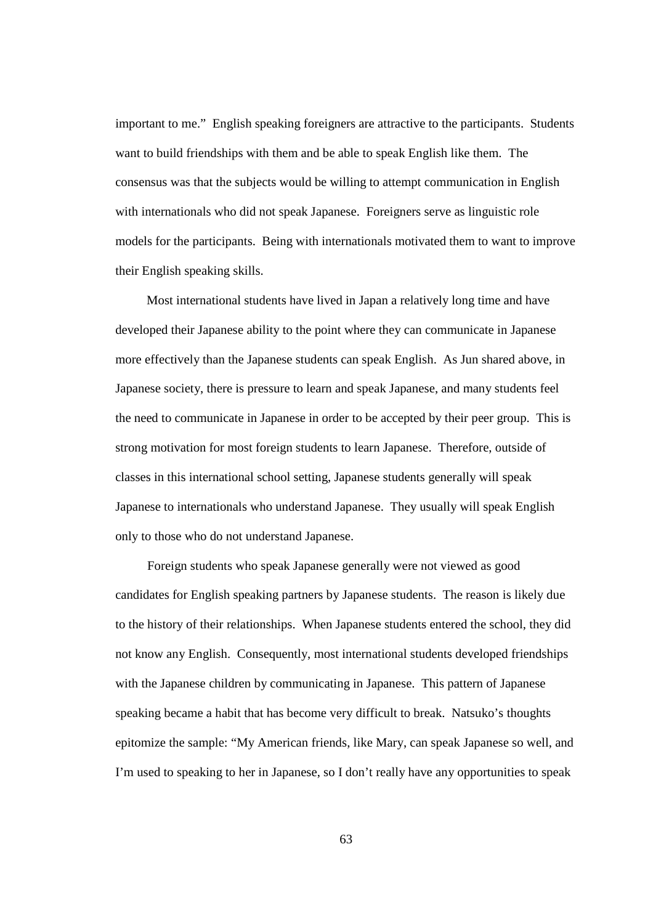important to me." English speaking foreigners are attractive to the participants. Students want to build friendships with them and be able to speak English like them. The consensus was that the subjects would be willing to attempt communication in English with internationals who did not speak Japanese. Foreigners serve as linguistic role models for the participants. Being with internationals motivated them to want to improve their English speaking skills.

Most international students have lived in Japan a relatively long time and have developed their Japanese ability to the point where they can communicate in Japanese more effectively than the Japanese students can speak English. As Jun shared above, in Japanese society, there is pressure to learn and speak Japanese, and many students feel the need to communicate in Japanese in order to be accepted by their peer group. This is strong motivation for most foreign students to learn Japanese. Therefore, outside of classes in this international school setting, Japanese students generally will speak Japanese to internationals who understand Japanese. They usually will speak English only to those who do not understand Japanese.

Foreign students who speak Japanese generally were not viewed as good candidates for English speaking partners by Japanese students. The reason is likely due to the history of their relationships. When Japanese students entered the school, they did not know any English. Consequently, most international students developed friendships with the Japanese children by communicating in Japanese. This pattern of Japanese speaking became a habit that has become very difficult to break. Natsuko's thoughts epitomize the sample: "My American friends, like Mary, can speak Japanese so well, and I'm used to speaking to her in Japanese, so I don't really have any opportunities to speak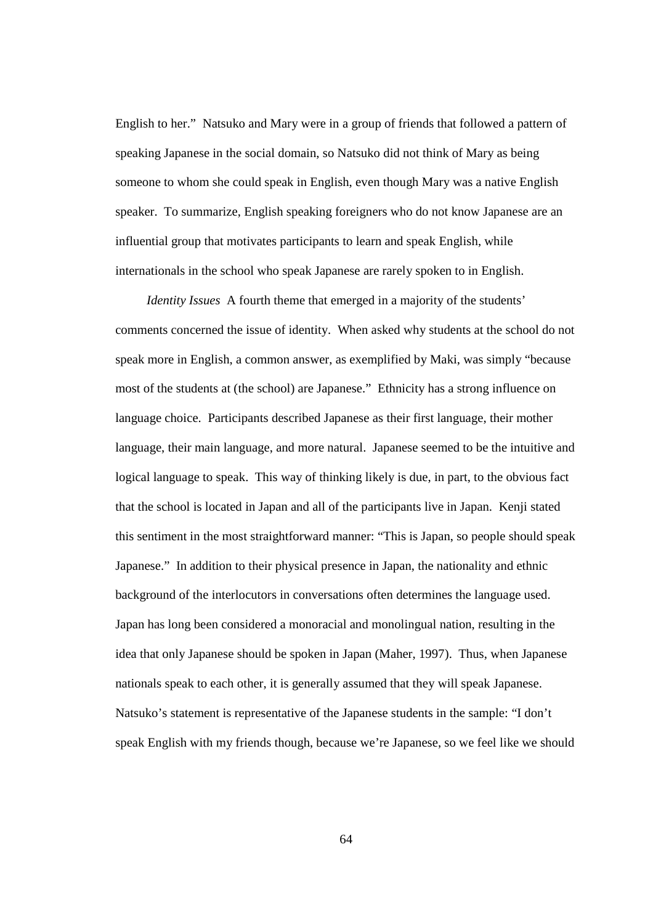English to her." Natsuko and Mary were in a group of friends that followed a pattern of speaking Japanese in the social domain, so Natsuko did not think of Mary as being someone to whom she could speak in English, even though Mary was a native English speaker. To summarize, English speaking foreigners who do not know Japanese are an influential group that motivates participants to learn and speak English, while internationals in the school who speak Japanese are rarely spoken to in English.

*Identity Issues* A fourth theme that emerged in a majority of the students' comments concerned the issue of identity. When asked why students at the school do not speak more in English, a common answer, as exemplified by Maki, was simply "because most of the students at (the school) are Japanese." Ethnicity has a strong influence on language choice. Participants described Japanese as their first language, their mother language, their main language, and more natural. Japanese seemed to be the intuitive and logical language to speak. This way of thinking likely is due, in part, to the obvious fact that the school is located in Japan and all of the participants live in Japan. Kenji stated this sentiment in the most straightforward manner: "This is Japan, so people should speak Japanese." In addition to their physical presence in Japan, the nationality and ethnic background of the interlocutors in conversations often determines the language used. Japan has long been considered a monoracial and monolingual nation, resulting in the idea that only Japanese should be spoken in Japan (Maher, 1997). Thus, when Japanese nationals speak to each other, it is generally assumed that they will speak Japanese. Natsuko's statement is representative of the Japanese students in the sample: "I don't speak English with my friends though, because we're Japanese, so we feel like we should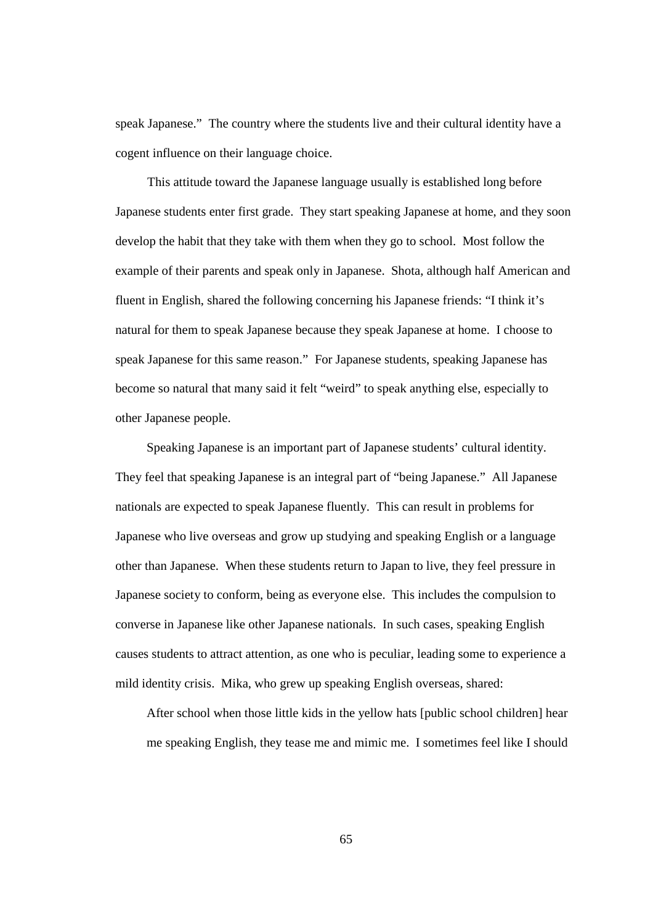speak Japanese." The country where the students live and their cultural identity have a cogent influence on their language choice.

This attitude toward the Japanese language usually is established long before Japanese students enter first grade. They start speaking Japanese at home, and they soon develop the habit that they take with them when they go to school. Most follow the example of their parents and speak only in Japanese. Shota, although half American and fluent in English, shared the following concerning his Japanese friends: "I think it's natural for them to speak Japanese because they speak Japanese at home. I choose to speak Japanese for this same reason." For Japanese students, speaking Japanese has become so natural that many said it felt "weird" to speak anything else, especially to other Japanese people.

Speaking Japanese is an important part of Japanese students' cultural identity. They feel that speaking Japanese is an integral part of "being Japanese." All Japanese nationals are expected to speak Japanese fluently. This can result in problems for Japanese who live overseas and grow up studying and speaking English or a language other than Japanese. When these students return to Japan to live, they feel pressure in Japanese society to conform, being as everyone else. This includes the compulsion to converse in Japanese like other Japanese nationals. In such cases, speaking English causes students to attract attention, as one who is peculiar, leading some to experience a mild identity crisis. Mika, who grew up speaking English overseas, shared:

After school when those little kids in the yellow hats [public school children] hear me speaking English, they tease me and mimic me. I sometimes feel like I should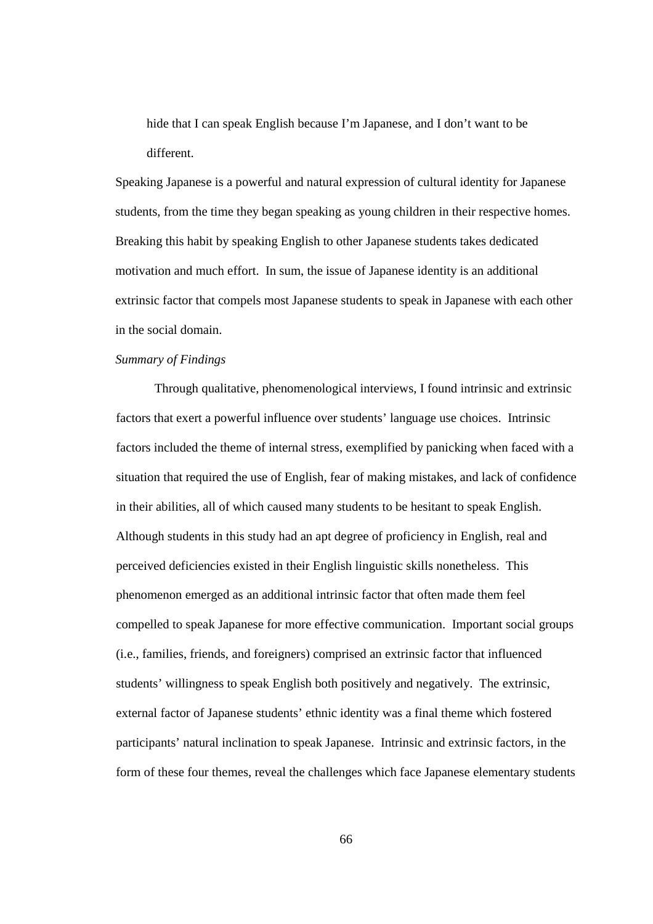hide that I can speak English because I'm Japanese, and I don't want to be different.

Speaking Japanese is a powerful and natural expression of cultural identity for Japanese students, from the time they began speaking as young children in their respective homes. Breaking this habit by speaking English to other Japanese students takes dedicated motivation and much effort. In sum, the issue of Japanese identity is an additional extrinsic factor that compels most Japanese students to speak in Japanese with each other in the social domain.

#### *Summary of Findings*

Through qualitative, phenomenological interviews, I found intrinsic and extrinsic factors that exert a powerful influence over students' language use choices. Intrinsic factors included the theme of internal stress, exemplified by panicking when faced with a situation that required the use of English, fear of making mistakes, and lack of confidence in their abilities, all of which caused many students to be hesitant to speak English. Although students in this study had an apt degree of proficiency in English, real and perceived deficiencies existed in their English linguistic skills nonetheless. This phenomenon emerged as an additional intrinsic factor that often made them feel compelled to speak Japanese for more effective communication. Important social groups (i.e., families, friends, and foreigners) comprised an extrinsic factor that influenced students' willingness to speak English both positively and negatively. The extrinsic, external factor of Japanese students' ethnic identity was a final theme which fostered participants' natural inclination to speak Japanese. Intrinsic and extrinsic factors, in the form of these four themes, reveal the challenges which face Japanese elementary students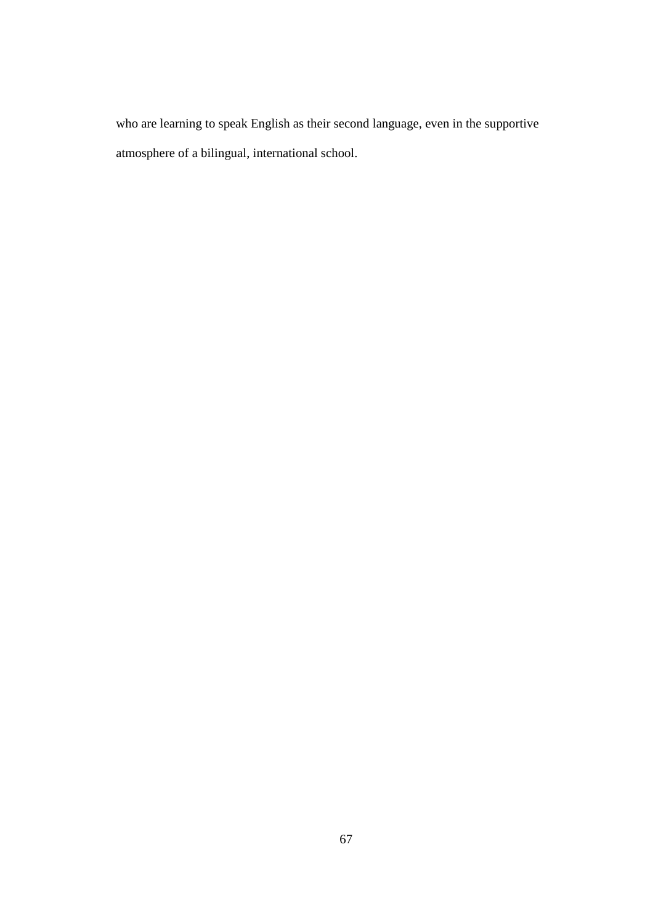who are learning to speak English as their second language, even in the supportive atmosphere of a bilingual, international school.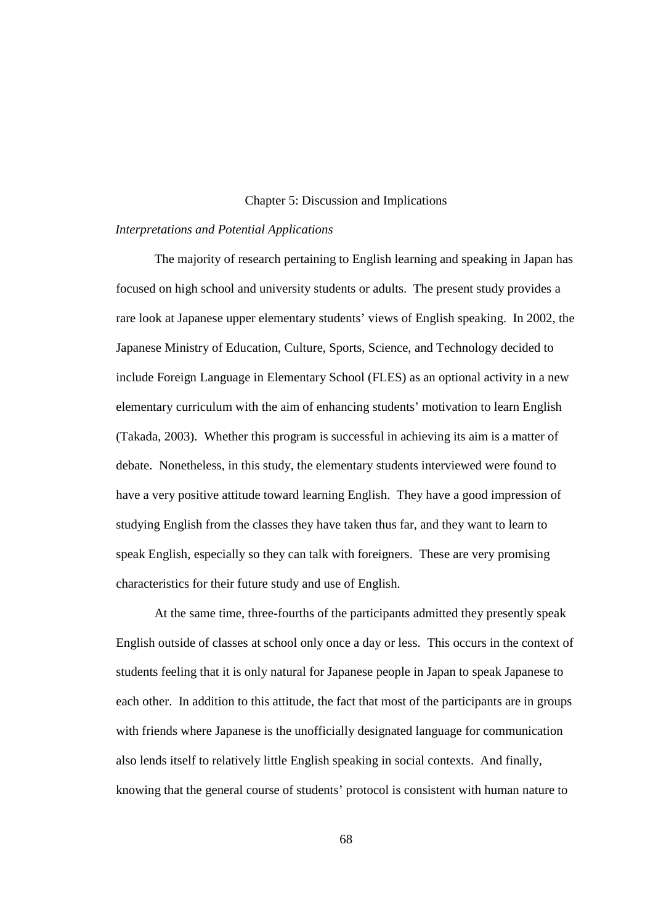### Chapter 5: Discussion and Implications

## *Interpretations and Potential Applications*

The majority of research pertaining to English learning and speaking in Japan has focused on high school and university students or adults. The present study provides a rare look at Japanese upper elementary students' views of English speaking. In 2002, the Japanese Ministry of Education, Culture, Sports, Science, and Technology decided to include Foreign Language in Elementary School (FLES) as an optional activity in a new elementary curriculum with the aim of enhancing students' motivation to learn English (Takada, 2003). Whether this program is successful in achieving its aim is a matter of debate. Nonetheless, in this study, the elementary students interviewed were found to have a very positive attitude toward learning English. They have a good impression of studying English from the classes they have taken thus far, and they want to learn to speak English, especially so they can talk with foreigners. These are very promising characteristics for their future study and use of English.

At the same time, three-fourths of the participants admitted they presently speak English outside of classes at school only once a day or less. This occurs in the context of students feeling that it is only natural for Japanese people in Japan to speak Japanese to each other. In addition to this attitude, the fact that most of the participants are in groups with friends where Japanese is the unofficially designated language for communication also lends itself to relatively little English speaking in social contexts. And finally, knowing that the general course of students' protocol is consistent with human nature to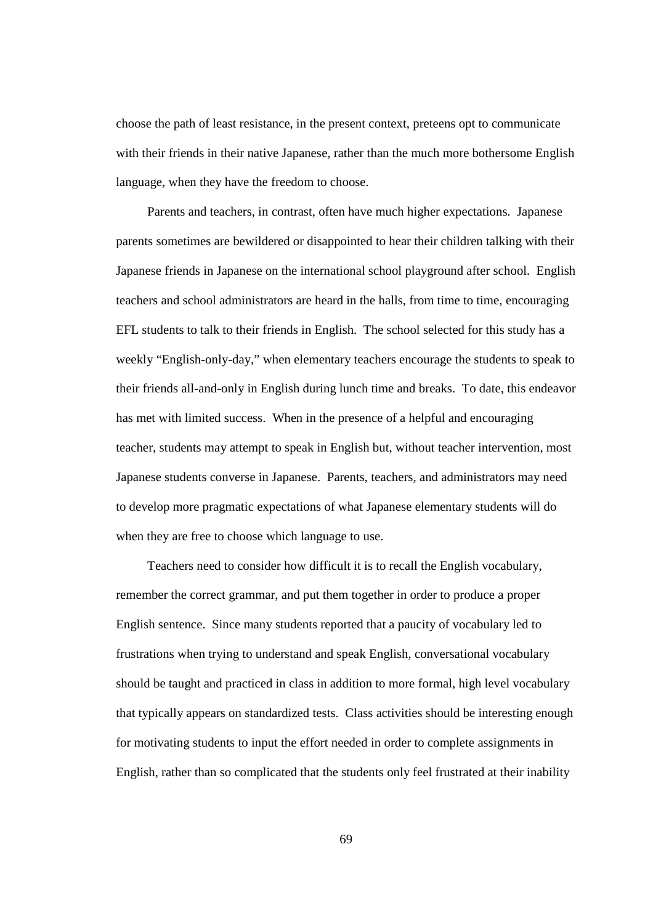choose the path of least resistance, in the present context, preteens opt to communicate with their friends in their native Japanese, rather than the much more bothersome English language, when they have the freedom to choose.

Parents and teachers, in contrast, often have much higher expectations. Japanese parents sometimes are bewildered or disappointed to hear their children talking with their Japanese friends in Japanese on the international school playground after school. English teachers and school administrators are heard in the halls, from time to time, encouraging EFL students to talk to their friends in English. The school selected for this study has a weekly "English-only-day," when elementary teachers encourage the students to speak to their friends all-and-only in English during lunch time and breaks. To date, this endeavor has met with limited success. When in the presence of a helpful and encouraging teacher, students may attempt to speak in English but, without teacher intervention, most Japanese students converse in Japanese. Parents, teachers, and administrators may need to develop more pragmatic expectations of what Japanese elementary students will do when they are free to choose which language to use.

Teachers need to consider how difficult it is to recall the English vocabulary, remember the correct grammar, and put them together in order to produce a proper English sentence. Since many students reported that a paucity of vocabulary led to frustrations when trying to understand and speak English, conversational vocabulary should be taught and practiced in class in addition to more formal, high level vocabulary that typically appears on standardized tests. Class activities should be interesting enough for motivating students to input the effort needed in order to complete assignments in English, rather than so complicated that the students only feel frustrated at their inability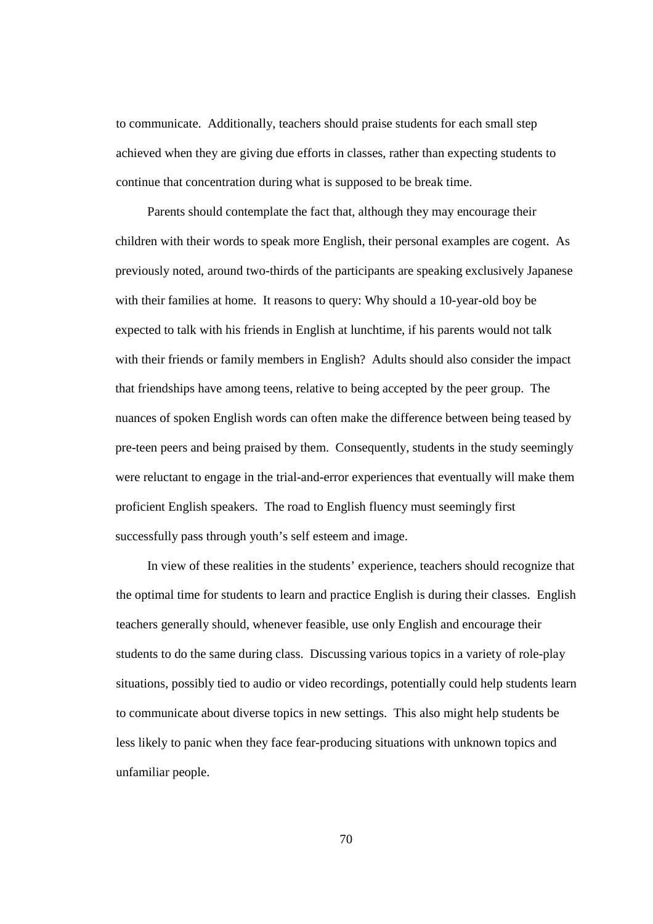to communicate. Additionally, teachers should praise students for each small step achieved when they are giving due efforts in classes, rather than expecting students to continue that concentration during what is supposed to be break time.

Parents should contemplate the fact that, although they may encourage their children with their words to speak more English, their personal examples are cogent. As previously noted, around two-thirds of the participants are speaking exclusively Japanese with their families at home. It reasons to query: Why should a 10-year-old boy be expected to talk with his friends in English at lunchtime, if his parents would not talk with their friends or family members in English? Adults should also consider the impact that friendships have among teens, relative to being accepted by the peer group. The nuances of spoken English words can often make the difference between being teased by pre-teen peers and being praised by them. Consequently, students in the study seemingly were reluctant to engage in the trial-and-error experiences that eventually will make them proficient English speakers. The road to English fluency must seemingly first successfully pass through youth's self esteem and image.

In view of these realities in the students' experience, teachers should recognize that the optimal time for students to learn and practice English is during their classes. English teachers generally should, whenever feasible, use only English and encourage their students to do the same during class. Discussing various topics in a variety of role-play situations, possibly tied to audio or video recordings, potentially could help students learn to communicate about diverse topics in new settings. This also might help students be less likely to panic when they face fear-producing situations with unknown topics and unfamiliar people.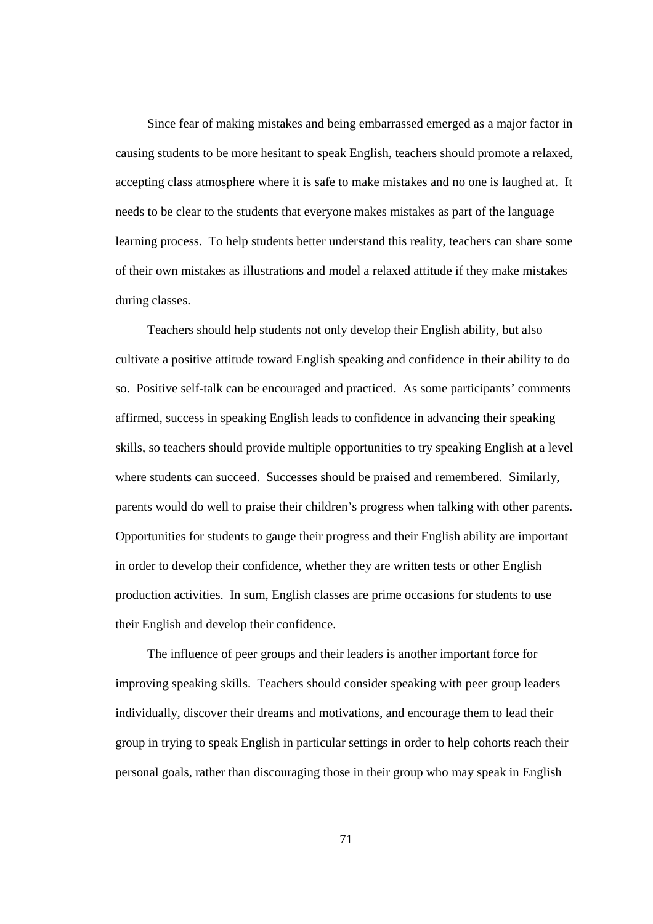Since fear of making mistakes and being embarrassed emerged as a major factor in causing students to be more hesitant to speak English, teachers should promote a relaxed, accepting class atmosphere where it is safe to make mistakes and no one is laughed at. It needs to be clear to the students that everyone makes mistakes as part of the language learning process. To help students better understand this reality, teachers can share some of their own mistakes as illustrations and model a relaxed attitude if they make mistakes during classes.

Teachers should help students not only develop their English ability, but also cultivate a positive attitude toward English speaking and confidence in their ability to do so. Positive self-talk can be encouraged and practiced. As some participants' comments affirmed, success in speaking English leads to confidence in advancing their speaking skills, so teachers should provide multiple opportunities to try speaking English at a level where students can succeed. Successes should be praised and remembered. Similarly, parents would do well to praise their children's progress when talking with other parents. Opportunities for students to gauge their progress and their English ability are important in order to develop their confidence, whether they are written tests or other English production activities. In sum, English classes are prime occasions for students to use their English and develop their confidence.

The influence of peer groups and their leaders is another important force for improving speaking skills. Teachers should consider speaking with peer group leaders individually, discover their dreams and motivations, and encourage them to lead their group in trying to speak English in particular settings in order to help cohorts reach their personal goals, rather than discouraging those in their group who may speak in English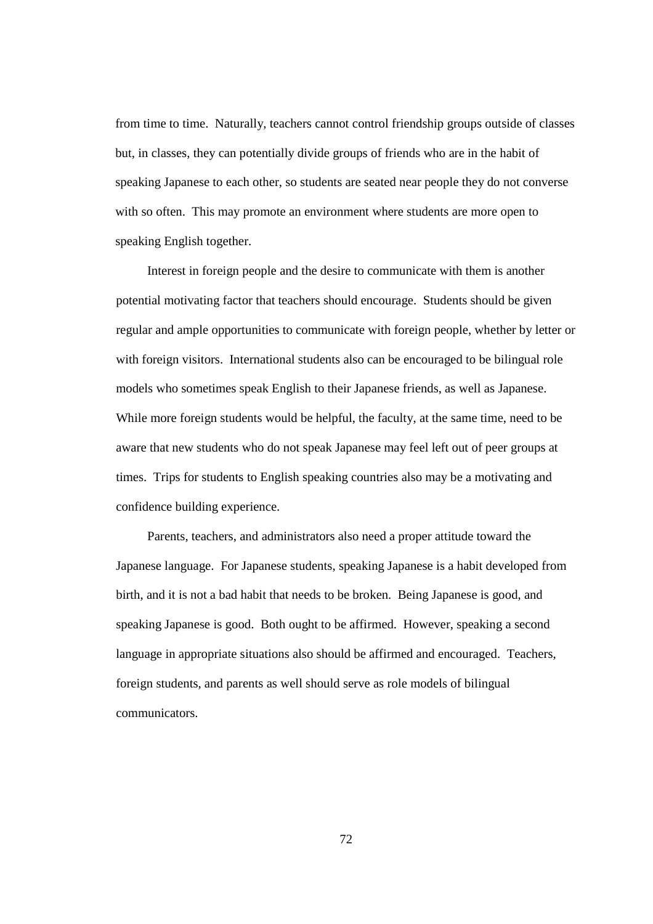from time to time. Naturally, teachers cannot control friendship groups outside of classes but, in classes, they can potentially divide groups of friends who are in the habit of speaking Japanese to each other, so students are seated near people they do not converse with so often. This may promote an environment where students are more open to speaking English together.

Interest in foreign people and the desire to communicate with them is another potential motivating factor that teachers should encourage. Students should be given regular and ample opportunities to communicate with foreign people, whether by letter or with foreign visitors. International students also can be encouraged to be bilingual role models who sometimes speak English to their Japanese friends, as well as Japanese. While more foreign students would be helpful, the faculty, at the same time, need to be aware that new students who do not speak Japanese may feel left out of peer groups at times. Trips for students to English speaking countries also may be a motivating and confidence building experience.

Parents, teachers, and administrators also need a proper attitude toward the Japanese language. For Japanese students, speaking Japanese is a habit developed from birth, and it is not a bad habit that needs to be broken. Being Japanese is good, and speaking Japanese is good. Both ought to be affirmed. However, speaking a second language in appropriate situations also should be affirmed and encouraged. Teachers, foreign students, and parents as well should serve as role models of bilingual communicators.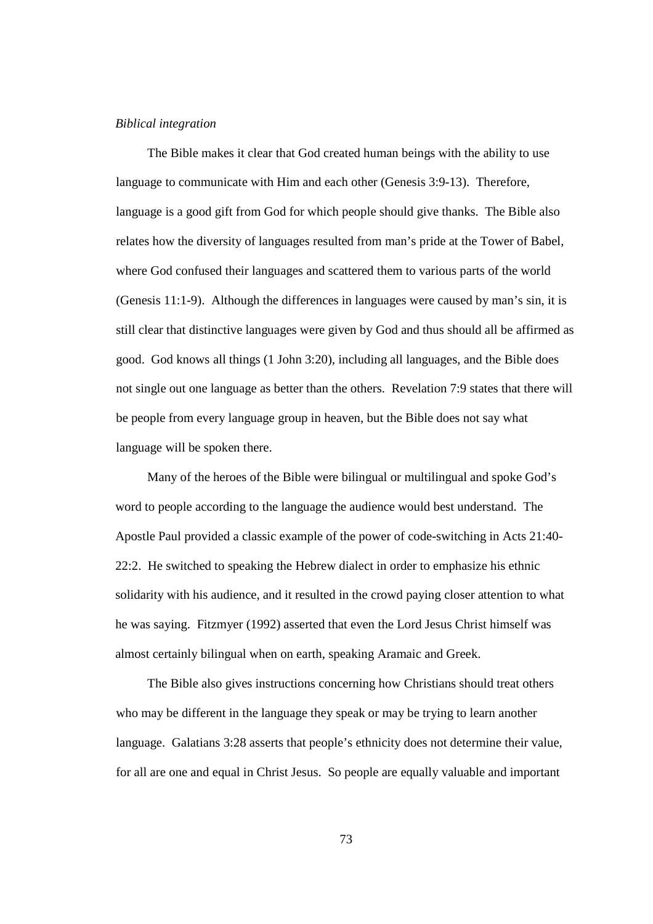#### *Biblical integration*

The Bible makes it clear that God created human beings with the ability to use language to communicate with Him and each other (Genesis 3:9-13). Therefore, language is a good gift from God for which people should give thanks. The Bible also relates how the diversity of languages resulted from man's pride at the Tower of Babel, where God confused their languages and scattered them to various parts of the world (Genesis 11:1-9). Although the differences in languages were caused by man's sin, it is still clear that distinctive languages were given by God and thus should all be affirmed as good. God knows all things (1 John 3:20), including all languages, and the Bible does not single out one language as better than the others. Revelation 7:9 states that there will be people from every language group in heaven, but the Bible does not say what language will be spoken there.

Many of the heroes of the Bible were bilingual or multilingual and spoke God's word to people according to the language the audience would best understand. The Apostle Paul provided a classic example of the power of code-switching in Acts 21:40- 22:2. He switched to speaking the Hebrew dialect in order to emphasize his ethnic solidarity with his audience, and it resulted in the crowd paying closer attention to what he was saying. Fitzmyer (1992) asserted that even the Lord Jesus Christ himself was almost certainly bilingual when on earth, speaking Aramaic and Greek.

The Bible also gives instructions concerning how Christians should treat others who may be different in the language they speak or may be trying to learn another language. Galatians 3:28 asserts that people's ethnicity does not determine their value, for all are one and equal in Christ Jesus. So people are equally valuable and important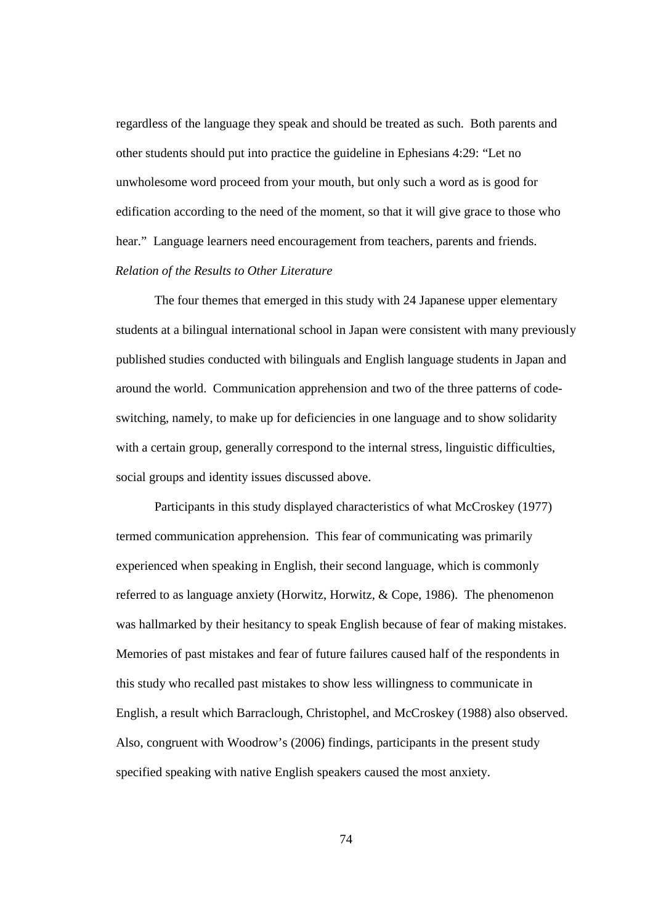regardless of the language they speak and should be treated as such. Both parents and other students should put into practice the guideline in Ephesians 4:29: "Let no unwholesome word proceed from your mouth, but only such a word as is good for edification according to the need of the moment, so that it will give grace to those who hear." Language learners need encouragement from teachers, parents and friends. *Relation of the Results to Other Literature* 

The four themes that emerged in this study with 24 Japanese upper elementary students at a bilingual international school in Japan were consistent with many previously published studies conducted with bilinguals and English language students in Japan and around the world. Communication apprehension and two of the three patterns of codeswitching, namely, to make up for deficiencies in one language and to show solidarity with a certain group, generally correspond to the internal stress, linguistic difficulties, social groups and identity issues discussed above.

Participants in this study displayed characteristics of what McCroskey (1977) termed communication apprehension. This fear of communicating was primarily experienced when speaking in English, their second language, which is commonly referred to as language anxiety (Horwitz, Horwitz, & Cope, 1986). The phenomenon was hallmarked by their hesitancy to speak English because of fear of making mistakes. Memories of past mistakes and fear of future failures caused half of the respondents in this study who recalled past mistakes to show less willingness to communicate in English, a result which Barraclough, Christophel, and McCroskey (1988) also observed. Also, congruent with Woodrow's (2006) findings, participants in the present study specified speaking with native English speakers caused the most anxiety.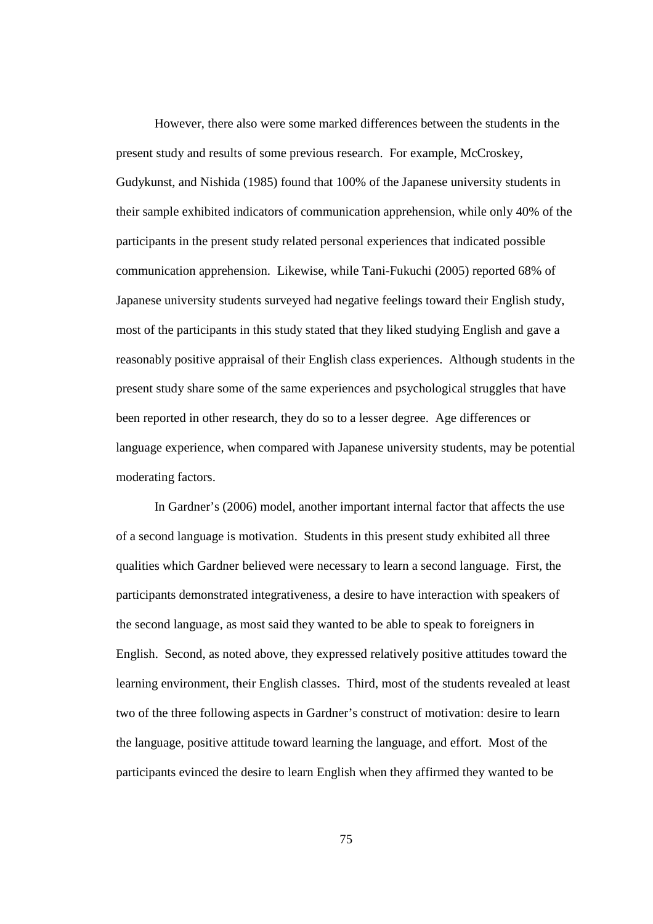However, there also were some marked differences between the students in the present study and results of some previous research. For example, McCroskey, Gudykunst, and Nishida (1985) found that 100% of the Japanese university students in their sample exhibited indicators of communication apprehension, while only 40% of the participants in the present study related personal experiences that indicated possible communication apprehension. Likewise, while Tani-Fukuchi (2005) reported 68% of Japanese university students surveyed had negative feelings toward their English study, most of the participants in this study stated that they liked studying English and gave a reasonably positive appraisal of their English class experiences. Although students in the present study share some of the same experiences and psychological struggles that have been reported in other research, they do so to a lesser degree. Age differences or language experience, when compared with Japanese university students, may be potential moderating factors.

In Gardner's (2006) model, another important internal factor that affects the use of a second language is motivation. Students in this present study exhibited all three qualities which Gardner believed were necessary to learn a second language. First, the participants demonstrated integrativeness, a desire to have interaction with speakers of the second language, as most said they wanted to be able to speak to foreigners in English. Second, as noted above, they expressed relatively positive attitudes toward the learning environment, their English classes. Third, most of the students revealed at least two of the three following aspects in Gardner's construct of motivation: desire to learn the language, positive attitude toward learning the language, and effort. Most of the participants evinced the desire to learn English when they affirmed they wanted to be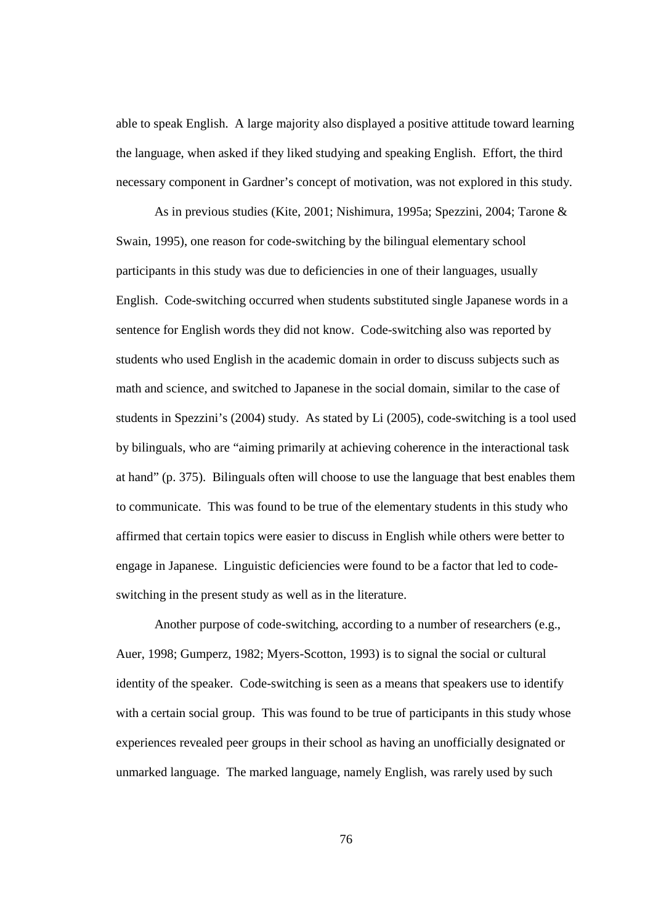able to speak English. A large majority also displayed a positive attitude toward learning the language, when asked if they liked studying and speaking English. Effort, the third necessary component in Gardner's concept of motivation, was not explored in this study.

As in previous studies (Kite, 2001; Nishimura, 1995a; Spezzini, 2004; Tarone & Swain, 1995), one reason for code-switching by the bilingual elementary school participants in this study was due to deficiencies in one of their languages, usually English. Code-switching occurred when students substituted single Japanese words in a sentence for English words they did not know. Code-switching also was reported by students who used English in the academic domain in order to discuss subjects such as math and science, and switched to Japanese in the social domain, similar to the case of students in Spezzini's (2004) study. As stated by Li (2005), code-switching is a tool used by bilinguals, who are "aiming primarily at achieving coherence in the interactional task at hand" (p. 375). Bilinguals often will choose to use the language that best enables them to communicate. This was found to be true of the elementary students in this study who affirmed that certain topics were easier to discuss in English while others were better to engage in Japanese. Linguistic deficiencies were found to be a factor that led to codeswitching in the present study as well as in the literature.

Another purpose of code-switching, according to a number of researchers (e.g., Auer, 1998; Gumperz, 1982; Myers-Scotton, 1993) is to signal the social or cultural identity of the speaker. Code-switching is seen as a means that speakers use to identify with a certain social group. This was found to be true of participants in this study whose experiences revealed peer groups in their school as having an unofficially designated or unmarked language. The marked language, namely English, was rarely used by such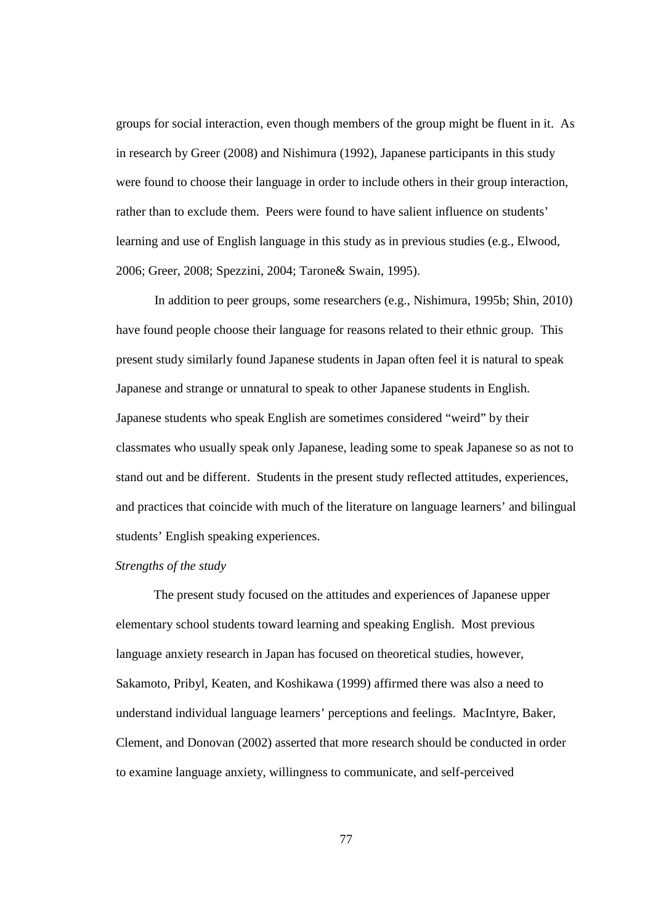groups for social interaction, even though members of the group might be fluent in it. As in research by Greer (2008) and Nishimura (1992), Japanese participants in this study were found to choose their language in order to include others in their group interaction, rather than to exclude them. Peers were found to have salient influence on students' learning and use of English language in this study as in previous studies (e.g., Elwood, 2006; Greer, 2008; Spezzini, 2004; Tarone& Swain, 1995).

In addition to peer groups, some researchers (e.g., Nishimura, 1995b; Shin, 2010) have found people choose their language for reasons related to their ethnic group. This present study similarly found Japanese students in Japan often feel it is natural to speak Japanese and strange or unnatural to speak to other Japanese students in English. Japanese students who speak English are sometimes considered "weird" by their classmates who usually speak only Japanese, leading some to speak Japanese so as not to stand out and be different. Students in the present study reflected attitudes, experiences, and practices that coincide with much of the literature on language learners' and bilingual students' English speaking experiences.

#### *Strengths of the study*

The present study focused on the attitudes and experiences of Japanese upper elementary school students toward learning and speaking English. Most previous language anxiety research in Japan has focused on theoretical studies, however, Sakamoto, Pribyl, Keaten, and Koshikawa (1999) affirmed there was also a need to understand individual language learners' perceptions and feelings. MacIntyre, Baker, Clement, and Donovan (2002) asserted that more research should be conducted in order to examine language anxiety, willingness to communicate, and self-perceived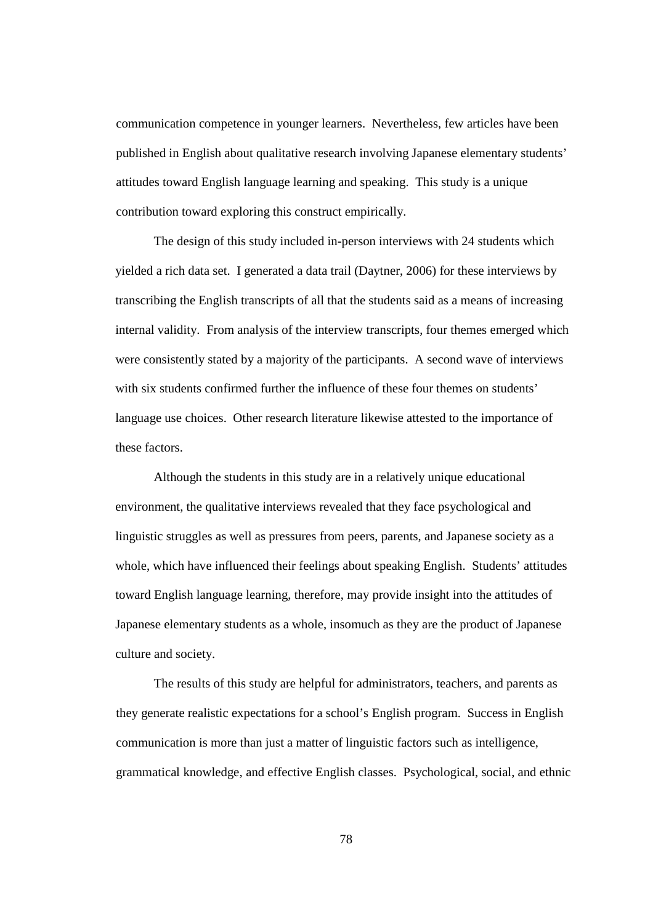communication competence in younger learners. Nevertheless, few articles have been published in English about qualitative research involving Japanese elementary students' attitudes toward English language learning and speaking. This study is a unique contribution toward exploring this construct empirically.

The design of this study included in-person interviews with 24 students which yielded a rich data set. I generated a data trail (Daytner, 2006) for these interviews by transcribing the English transcripts of all that the students said as a means of increasing internal validity. From analysis of the interview transcripts, four themes emerged which were consistently stated by a majority of the participants. A second wave of interviews with six students confirmed further the influence of these four themes on students' language use choices. Other research literature likewise attested to the importance of these factors.

Although the students in this study are in a relatively unique educational environment, the qualitative interviews revealed that they face psychological and linguistic struggles as well as pressures from peers, parents, and Japanese society as a whole, which have influenced their feelings about speaking English. Students' attitudes toward English language learning, therefore, may provide insight into the attitudes of Japanese elementary students as a whole, insomuch as they are the product of Japanese culture and society.

The results of this study are helpful for administrators, teachers, and parents as they generate realistic expectations for a school's English program. Success in English communication is more than just a matter of linguistic factors such as intelligence, grammatical knowledge, and effective English classes. Psychological, social, and ethnic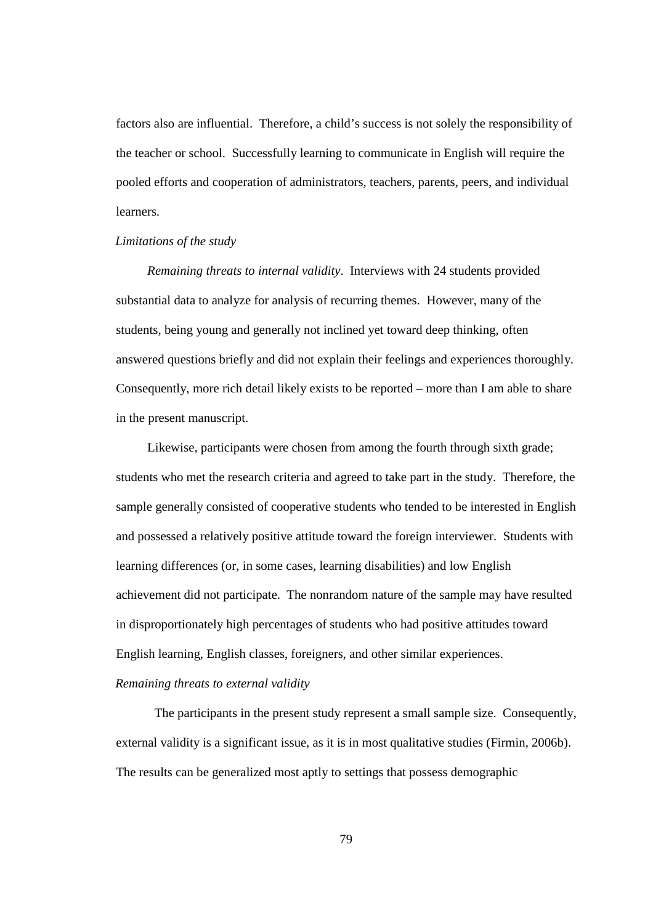factors also are influential. Therefore, a child's success is not solely the responsibility of the teacher or school. Successfully learning to communicate in English will require the pooled efforts and cooperation of administrators, teachers, parents, peers, and individual learners.

#### *Limitations of the study*

*Remaining threats to internal validity*. Interviews with 24 students provided substantial data to analyze for analysis of recurring themes. However, many of the students, being young and generally not inclined yet toward deep thinking, often answered questions briefly and did not explain their feelings and experiences thoroughly. Consequently, more rich detail likely exists to be reported – more than I am able to share in the present manuscript.

Likewise, participants were chosen from among the fourth through sixth grade; students who met the research criteria and agreed to take part in the study. Therefore, the sample generally consisted of cooperative students who tended to be interested in English and possessed a relatively positive attitude toward the foreign interviewer. Students with learning differences (or, in some cases, learning disabilities) and low English achievement did not participate. The nonrandom nature of the sample may have resulted in disproportionately high percentages of students who had positive attitudes toward English learning, English classes, foreigners, and other similar experiences.

## *Remaining threats to external validity*

The participants in the present study represent a small sample size. Consequently, external validity is a significant issue, as it is in most qualitative studies (Firmin, 2006b). The results can be generalized most aptly to settings that possess demographic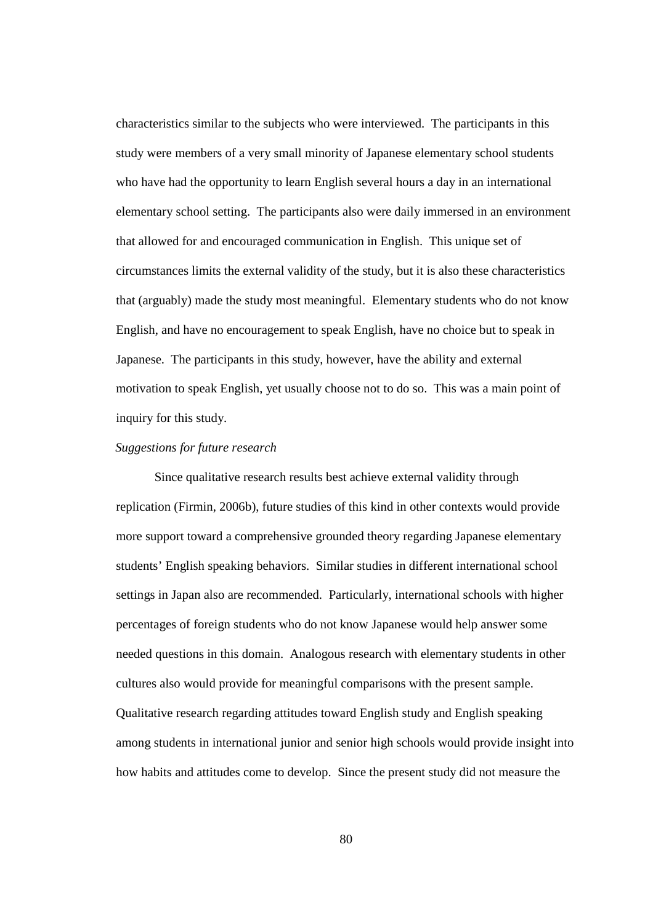characteristics similar to the subjects who were interviewed. The participants in this study were members of a very small minority of Japanese elementary school students who have had the opportunity to learn English several hours a day in an international elementary school setting. The participants also were daily immersed in an environment that allowed for and encouraged communication in English. This unique set of circumstances limits the external validity of the study, but it is also these characteristics that (arguably) made the study most meaningful. Elementary students who do not know English, and have no encouragement to speak English, have no choice but to speak in Japanese. The participants in this study, however, have the ability and external motivation to speak English, yet usually choose not to do so. This was a main point of inquiry for this study.

#### *Suggestions for future research*

Since qualitative research results best achieve external validity through replication (Firmin, 2006b), future studies of this kind in other contexts would provide more support toward a comprehensive grounded theory regarding Japanese elementary students' English speaking behaviors. Similar studies in different international school settings in Japan also are recommended. Particularly, international schools with higher percentages of foreign students who do not know Japanese would help answer some needed questions in this domain. Analogous research with elementary students in other cultures also would provide for meaningful comparisons with the present sample. Qualitative research regarding attitudes toward English study and English speaking among students in international junior and senior high schools would provide insight into how habits and attitudes come to develop. Since the present study did not measure the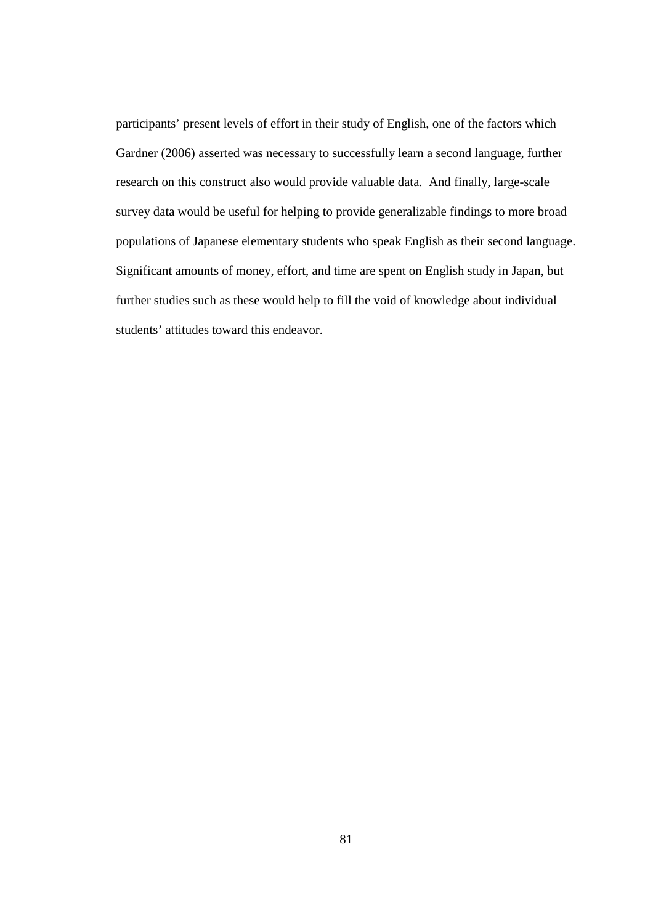participants' present levels of effort in their study of English, one of the factors which Gardner (2006) asserted was necessary to successfully learn a second language, further research on this construct also would provide valuable data. And finally, large-scale survey data would be useful for helping to provide generalizable findings to more broad populations of Japanese elementary students who speak English as their second language. Significant amounts of money, effort, and time are spent on English study in Japan, but further studies such as these would help to fill the void of knowledge about individual students' attitudes toward this endeavor.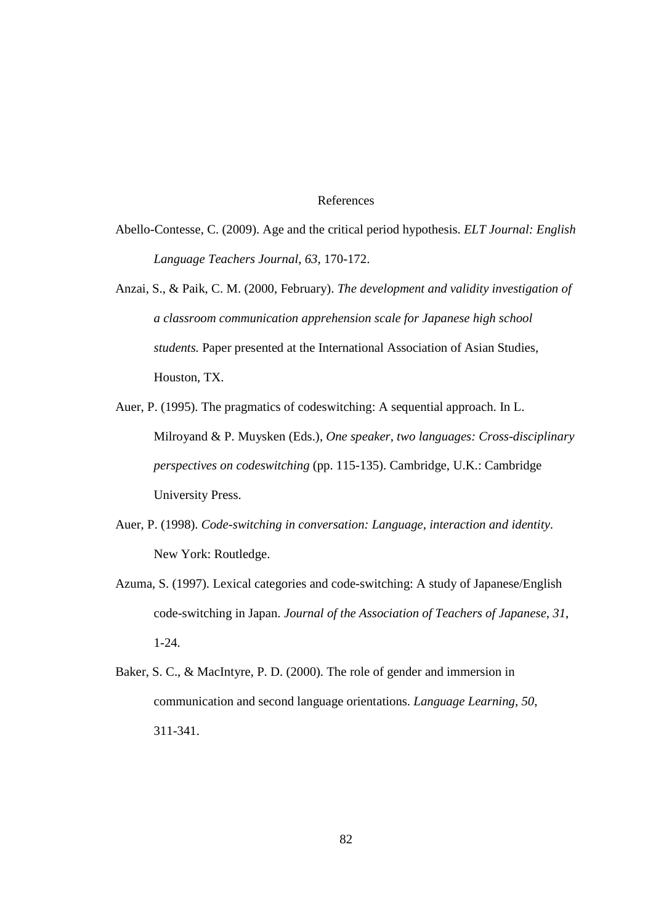### References

- Abello-Contesse, C. (2009). Age and the critical period hypothesis. *ELT Journal: English Language Teachers Journal*, *63*, 170-172.
- Anzai, S., & Paik, C. M. (2000, February). *The development and validity investigation of a classroom communication apprehension scale for Japanese high school students.* Paper presented at the International Association of Asian Studies, Houston, TX.
- Auer, P. (1995). The pragmatics of codeswitching: A sequential approach. In L. Milroyand & P. Muysken (Eds.), *One speaker, two languages: Cross-disciplinary perspectives on codeswitching* (pp. 115-135). Cambridge, U.K.: Cambridge University Press.
- Auer, P. (1998). *Code-switching in conversation: Language, interaction and identity*. New York: Routledge.
- Azuma, S. (1997). Lexical categories and code-switching: A study of Japanese/English code-switching in Japan. *Journal of the Association of Teachers of Japanese*, *31*, 1-24.
- Baker, S. C., & MacIntyre, P. D. (2000). The role of gender and immersion in communication and second language orientations. *Language Learning, 50*, 311-341.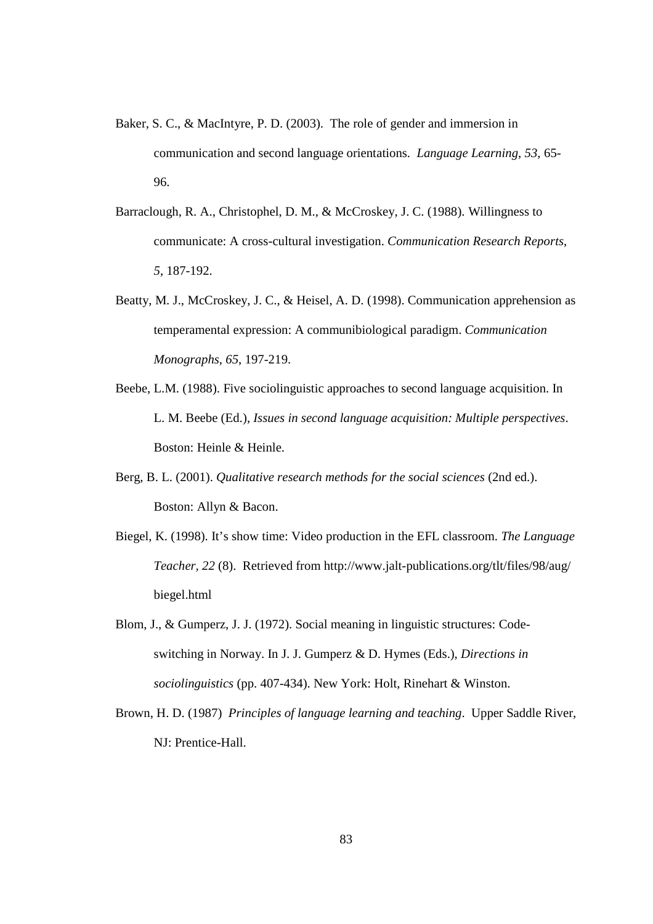- Baker, S. C., & MacIntyre, P. D. (2003). The role of gender and immersion in communication and second language orientations. *Language Learning*, *53*, 65- 96.
- Barraclough, R. A., Christophel, D. M., & McCroskey, J. C. (1988). Willingness to communicate: A cross-cultural investigation. *Communication Research Reports*, *5*, 187-192.
- Beatty, M. J., McCroskey, J. C., & Heisel, A. D. (1998). Communication apprehension as temperamental expression: A communibiological paradigm. *Communication Monographs*, *65*, 197-219.
- Beebe, L.M. (1988). Five sociolinguistic approaches to second language acquisition. In L. M. Beebe (Ed.), *Issues in second language acquisition: Multiple perspectives*. Boston: Heinle & Heinle.
- Berg, B. L. (2001). *Qualitative research methods for the social sciences* (2nd ed.). Boston: Allyn & Bacon.
- Biegel, K. (1998). It's show time: Video production in the EFL classroom. *The Language Teacher, 22* (8). Retrieved from http://www.jalt-publications.org/tlt/files/98/aug/ biegel.html
- Blom, J., & Gumperz, J. J. (1972). Social meaning in linguistic structures: Codeswitching in Norway. In J. J. Gumperz & D. Hymes (Eds.), *Directions in sociolinguistics* (pp. 407-434). New York: Holt, Rinehart & Winston.
- Brown, H. D. (1987) *Principles of language learning and teaching*. Upper Saddle River, NJ: Prentice-Hall.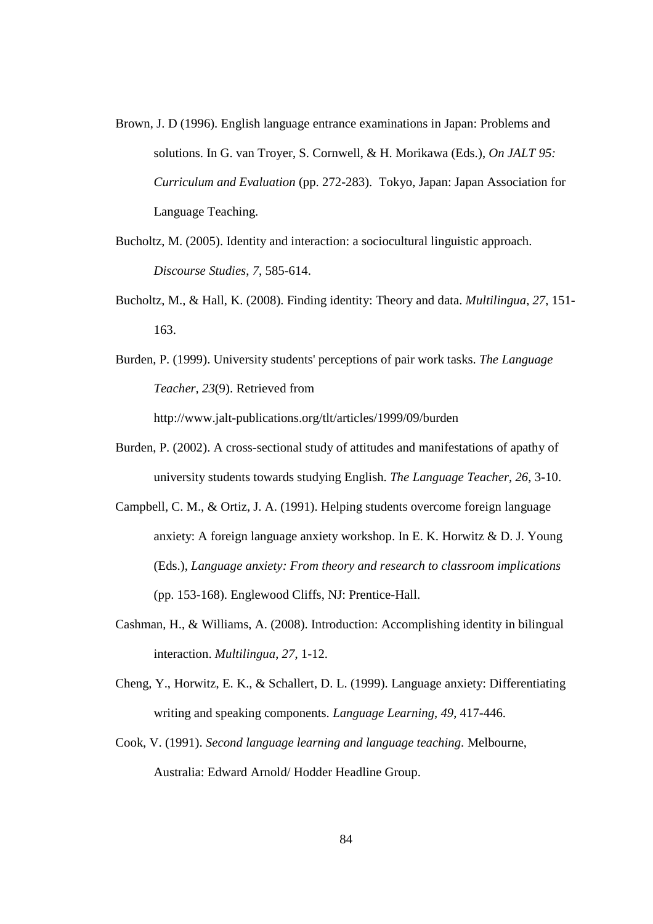- Brown, J. D (1996). English language entrance examinations in Japan: Problems and solutions. In G. van Troyer, S. Cornwell, & H. Morikawa (Eds.), *On JALT 95: Curriculum and Evaluation* (pp. 272-283). Tokyo, Japan: Japan Association for Language Teaching.
- Bucholtz, M. (2005). Identity and interaction: a sociocultural linguistic approach. *Discourse Studies*, *7*, 585-614.
- Bucholtz, M., & Hall, K. (2008). Finding identity: Theory and data. *Multilingua*, *27*, 151- 163.
- Burden, P. (1999). University students' perceptions of pair work tasks. *The Language Teacher, 23*(9). Retrieved from http://www.jalt-publications.org/tlt/articles/1999/09/burden
- Burden, P. (2002). A cross-sectional study of attitudes and manifestations of apathy of university students towards studying English. *The Language Teacher*, *26*, 3-10.
- Campbell, C. M., & Ortiz, J. A. (1991). Helping students overcome foreign language anxiety: A foreign language anxiety workshop. In E. K. Horwitz & D. J. Young (Eds.), *Language anxiety: From theory and research to classroom implications* (pp. 153-168). Englewood Cliffs, NJ: Prentice-Hall.
- Cashman, H., & Williams, A. (2008). Introduction: Accomplishing identity in bilingual interaction. *Multilingua*, *27*, 1-12.
- Cheng, Y., Horwitz, E. K., & Schallert, D. L. (1999). Language anxiety: Differentiating writing and speaking components. *Language Learning*, *49*, 417-446.
- Cook, V. (1991). *Second language learning and language teaching*. Melbourne, Australia: Edward Arnold/ Hodder Headline Group.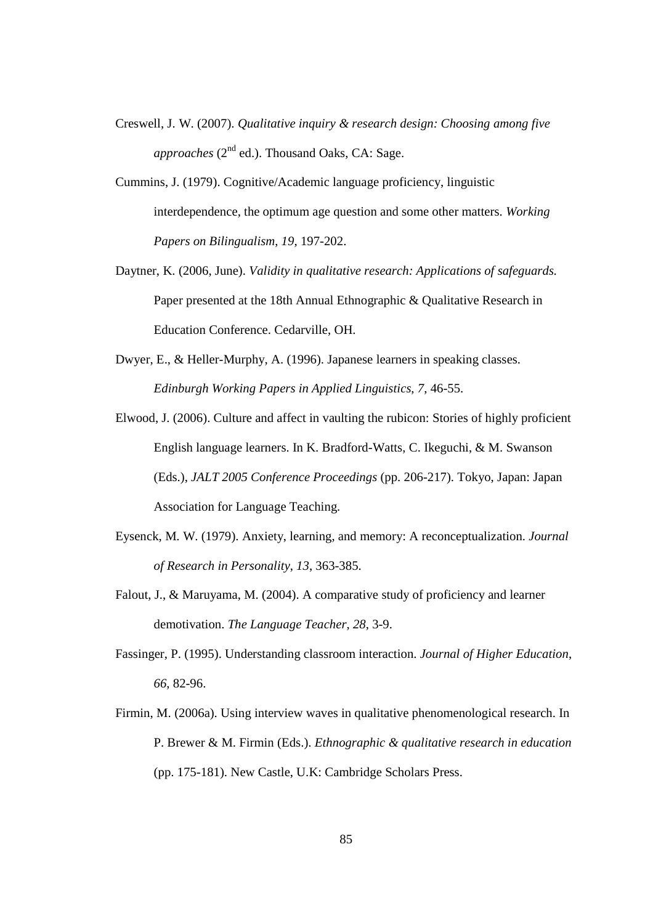- Creswell, J. W. (2007). *Qualitative inquiry & research design: Choosing among five approaches* ( $2<sup>nd</sup>$  ed.). Thousand Oaks, CA: Sage.
- Cummins, J. (1979). Cognitive/Academic language proficiency, linguistic interdependence, the optimum age question and some other matters. *Working Papers on Bilingualism*, *19*, 197-202.
- Daytner, K. (2006, June). *Validity in qualitative research: Applications of safeguards.* Paper presented at the 18th Annual Ethnographic & Qualitative Research in Education Conference. Cedarville, OH.
- Dwyer, E., & Heller-Murphy, A. (1996). Japanese learners in speaking classes. *Edinburgh Working Papers in Applied Linguistics*, *7*, 46-55.
- Elwood, J. (2006). Culture and affect in vaulting the rubicon: Stories of highly proficient English language learners. In K. Bradford-Watts, C. Ikeguchi, & M. Swanson (Eds.), *JALT 2005 Conference Proceedings* (pp. 206-217). Tokyo, Japan: Japan Association for Language Teaching.
- Eysenck, M. W. (1979). Anxiety, learning, and memory: A reconceptualization. *Journal of Research in Personality*, *13*, 363-385.
- Falout, J., & Maruyama, M. (2004). A comparative study of proficiency and learner demotivation. *The Language Teacher*, *28*, 3-9.
- Fassinger, P. (1995). Understanding classroom interaction. *Journal of Higher Education*, *66*, 82-96.
- Firmin, M. (2006a). Using interview waves in qualitative phenomenological research. In P. Brewer & M. Firmin (Eds.). *Ethnographic & qualitative research in education* (pp. 175-181). New Castle, U.K: Cambridge Scholars Press.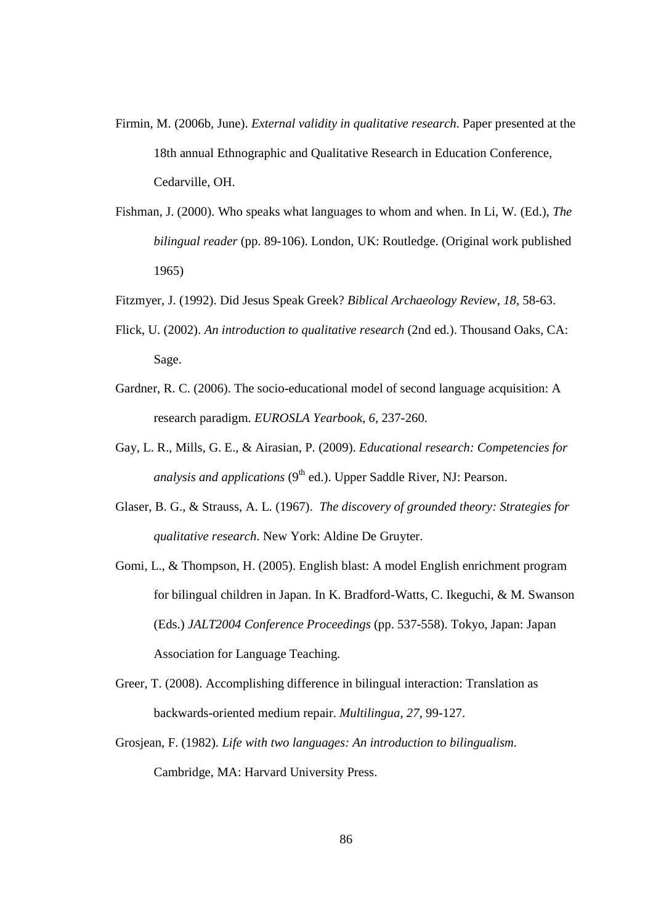- Firmin, M. (2006b, June). *External validity in qualitative research*. Paper presented at the 18th annual Ethnographic and Qualitative Research in Education Conference, Cedarville, OH.
- Fishman, J. (2000). Who speaks what languages to whom and when. In Li, W. (Ed.), *The bilingual reader* (pp. 89-106). London, UK: Routledge. (Original work published 1965)
- Fitzmyer, J. (1992). Did Jesus Speak Greek? *Biblical Archaeology Review*, *18*, 58-63.
- Flick, U. (2002). *An introduction to qualitative research* (2nd ed.). Thousand Oaks, CA: Sage.
- Gardner, R. C. (2006). The socio-educational model of second language acquisition: A research paradigm. *EUROSLA Yearbook*, *6*, 237-260.
- Gay, L. R., Mills, G. E., & Airasian, P. (2009). *Educational research: Competencies for analysis and applications* (9<sup>th</sup> ed.). Upper Saddle River, NJ: Pearson.
- Glaser, B. G., & Strauss, A. L. (1967). *The discovery of grounded theory: Strategies for qualitative research*. New York: Aldine De Gruyter.
- Gomi, L., & Thompson, H. (2005). English blast: A model English enrichment program for bilingual children in Japan. In K. Bradford-Watts, C. Ikeguchi, & M. Swanson (Eds.) *JALT2004 Conference Proceedings* (pp. 537-558). Tokyo, Japan: Japan Association for Language Teaching.
- Greer, T. (2008). Accomplishing difference in bilingual interaction: Translation as backwards-oriented medium repair. *Multilingua*, *27*, 99-127.
- Grosjean, F. (1982). *Life with two languages: An introduction to bilingualism*. Cambridge, MA: Harvard University Press.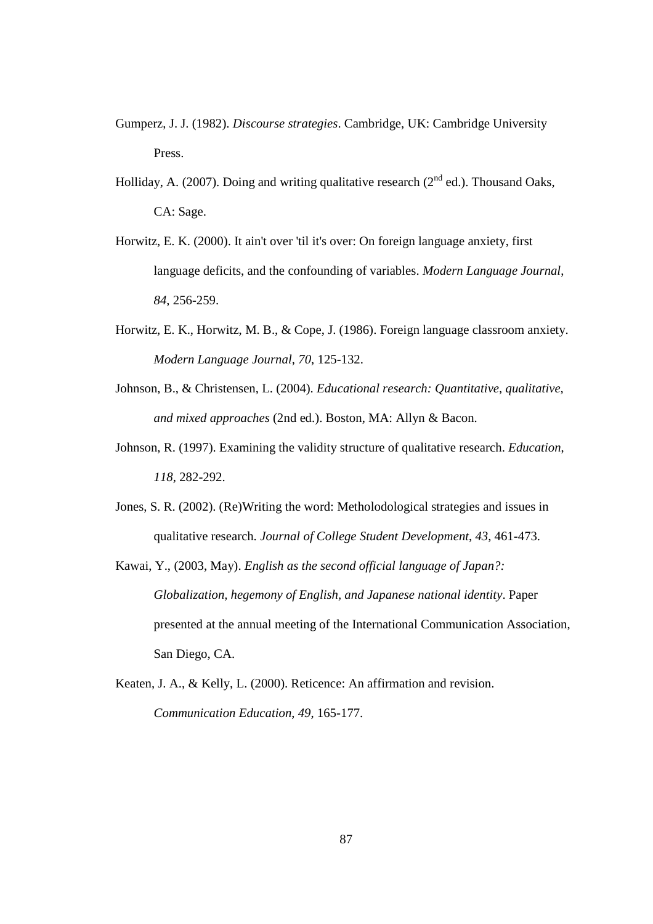- Gumperz, J. J. (1982). *Discourse strategies*. Cambridge, UK: Cambridge University Press.
- Holliday, A. (2007). Doing and writing qualitative research ( $2<sup>nd</sup>$  ed.). Thousand Oaks. CA: Sage.
- Horwitz, E. K. (2000). It ain't over 'til it's over: On foreign language anxiety, first language deficits, and the confounding of variables. *Modern Language Journal*, *84*, 256-259.
- Horwitz, E. K., Horwitz, M. B., & Cope, J. (1986). Foreign language classroom anxiety. *Modern Language Journal*, *70*, 125-132.
- Johnson, B., & Christensen, L. (2004). *Educational research: Quantitative, qualitative, and mixed approaches* (2nd ed.). Boston, MA: Allyn & Bacon.
- Johnson, R. (1997). Examining the validity structure of qualitative research. *Education*, *118*, 282-292.
- Jones, S. R. (2002). (Re)Writing the word: Metholodological strategies and issues in qualitative research. *Journal of College Student Development*, *43*, 461-473.
- Kawai, Y., (2003, May). *English as the second official language of Japan?: Globalization, hegemony of English, and Japanese national identity*. Paper presented at the annual meeting of the International Communication Association, San Diego, CA.
- Keaten, J. A., & Kelly, L. (2000). Reticence: An affirmation and revision. *Communication Education*, *49*, 165-177.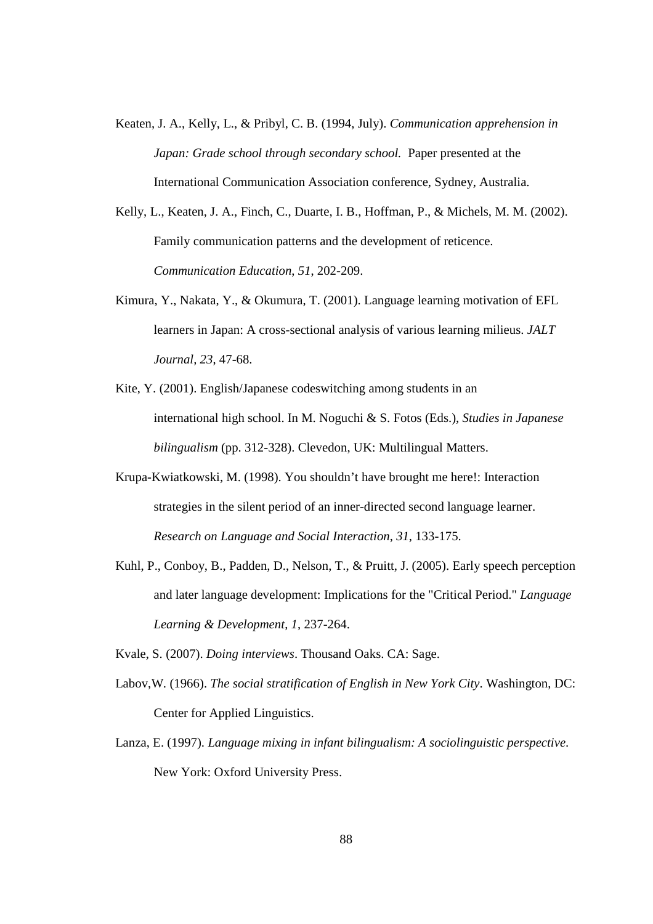- Keaten, J. A., Kelly, L., & Pribyl, C. B. (1994, July). *Communication apprehension in Japan: Grade school through secondary school.* Paper presented at the International Communication Association conference, Sydney, Australia.
- Kelly, L., Keaten, J. A., Finch, C., Duarte, I. B., Hoffman, P., & Michels, M. M. (2002). Family communication patterns and the development of reticence. *Communication Education*, *51*, 202-209.
- Kimura, Y., Nakata, Y., & Okumura, T. (2001). Language learning motivation of EFL learners in Japan: A cross-sectional analysis of various learning milieus. *JALT Journal, 23*, 47-68.
- Kite, Y. (2001). English/Japanese codeswitching among students in an international high school. In M. Noguchi & S. Fotos (Eds.), *Studies in Japanese bilingualism* (pp. 312-328). Clevedon, UK: Multilingual Matters.
- Krupa-Kwiatkowski, M. (1998). You shouldn't have brought me here!: Interaction strategies in the silent period of an inner-directed second language learner. *Research on Language and Social Interaction*, *31*, 133-175.
- Kuhl, P., Conboy, B., Padden, D., Nelson, T., & Pruitt, J. (2005). Early speech perception and later language development: Implications for the "Critical Period." *Language Learning & Development*, *1*, 237-264.
- Kvale, S. (2007). *Doing interviews*. Thousand Oaks. CA: Sage.
- Labov,W. (1966). *The social stratification of English in New York City*. Washington, DC: Center for Applied Linguistics.
- Lanza, E. (1997). *Language mixing in infant bilingualism: A sociolinguistic perspective*. New York: Oxford University Press.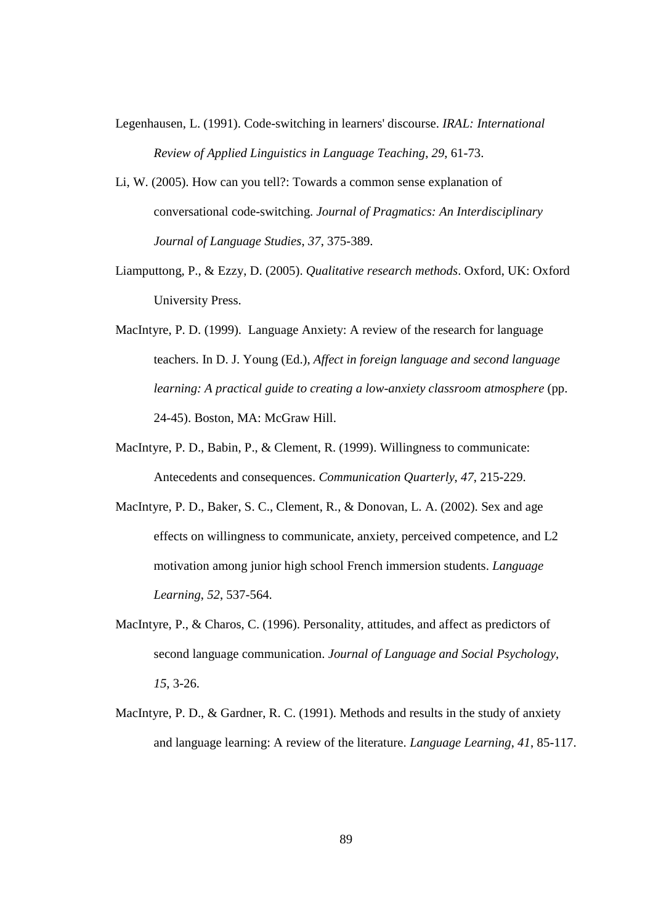- Legenhausen, L. (1991). Code-switching in learners' discourse. *IRAL: International Review of Applied Linguistics in Language Teaching*, *29*, 61-73.
- Li, W. (2005). How can you tell?: Towards a common sense explanation of conversational code-switching. *Journal of Pragmatics: An Interdisciplinary Journal of Language Studies*, *37*, 375-389.
- Liamputtong, P., & Ezzy, D. (2005). *Qualitative research methods*. Oxford, UK: Oxford University Press.
- MacIntyre, P. D. (1999). Language Anxiety: A review of the research for language teachers. In D. J. Young (Ed.), *Affect in foreign language and second language learning: A practical guide to creating a low-anxiety classroom atmosphere* (pp. 24-45). Boston, MA: McGraw Hill.
- MacIntyre, P. D., Babin, P., & Clement, R. (1999). Willingness to communicate: Antecedents and consequences. *Communication Quarterly*, *47*, 215-229.
- MacIntyre, P. D., Baker, S. C., Clement, R., & Donovan, L. A. (2002). Sex and age effects on willingness to communicate, anxiety, perceived competence, and L2 motivation among junior high school French immersion students. *Language Learning*, *52*, 537-564.
- MacIntyre, P., & Charos, C. (1996). Personality, attitudes, and affect as predictors of second language communication. *Journal of Language and Social Psychology*, *15*, 3-26.
- MacIntyre, P. D., & Gardner, R. C. (1991). Methods and results in the study of anxiety and language learning: A review of the literature. *Language Learning*, *41*, 85-117.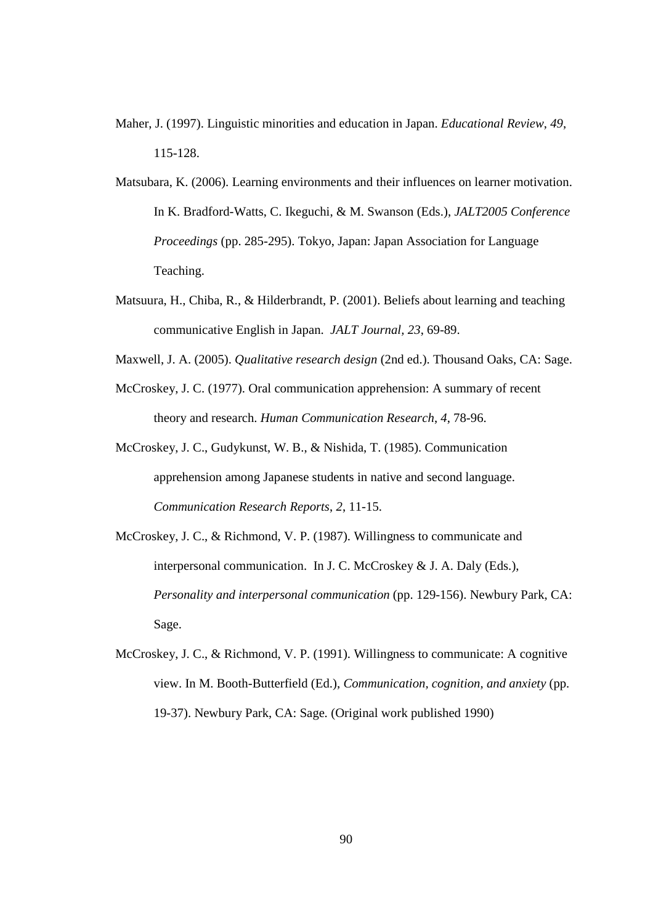- Maher, J. (1997). Linguistic minorities and education in Japan. *Educational Review*, *49*, 115-128.
- Matsubara, K. (2006). Learning environments and their influences on learner motivation. In K. Bradford-Watts, C. Ikeguchi, & M. Swanson (Eds.), *JALT2005 Conference Proceedings* (pp. 285-295). Tokyo, Japan: Japan Association for Language Teaching.
- Matsuura, H., Chiba, R., & Hilderbrandt, P. (2001). Beliefs about learning and teaching communicative English in Japan. *JALT Journal, 23*, 69-89.
- Maxwell, J. A. (2005). *Qualitative research design* (2nd ed.). Thousand Oaks, CA: Sage.
- McCroskey, J. C. (1977). Oral communication apprehension: A summary of recent theory and research. *Human Communication Research*, *4*, 78-96.
- McCroskey, J. C., Gudykunst, W. B., & Nishida, T. (1985). Communication apprehension among Japanese students in native and second language. *Communication Research Reports*, *2*, 11-15.
- McCroskey, J. C., & Richmond, V. P. (1987). Willingness to communicate and interpersonal communication. In J. C. McCroskey & J. A. Daly (Eds.), *Personality and interpersonal communication* (pp. 129-156). Newbury Park, CA: Sage.
- McCroskey, J. C., & Richmond, V. P. (1991). Willingness to communicate: A cognitive view. In M. Booth-Butterfield (Ed.), *Communication, cognition, and anxiety* (pp. 19-37). Newbury Park, CA: Sage. (Original work published 1990)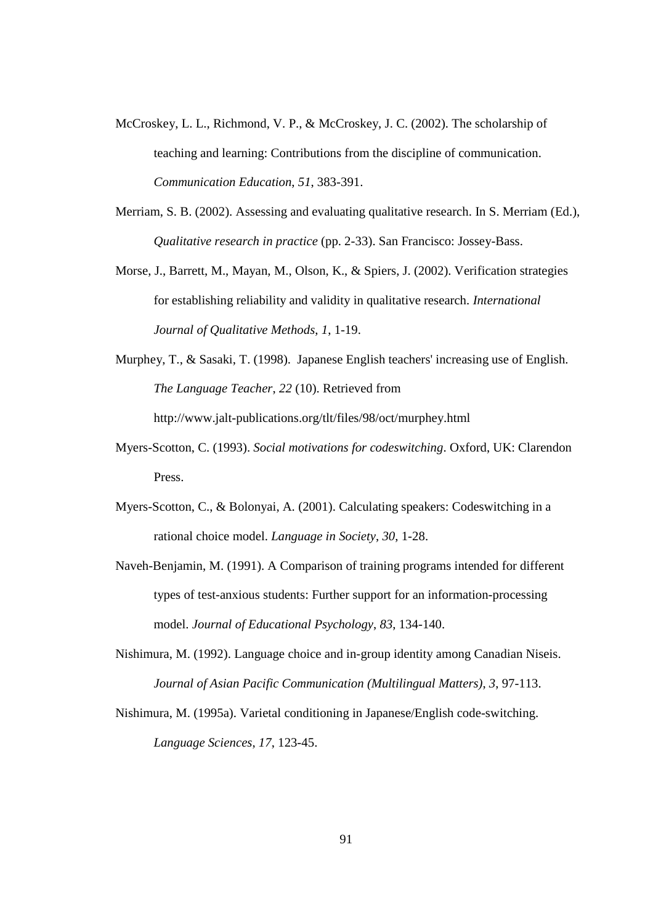- McCroskey, L. L., Richmond, V. P., & McCroskey, J. C. (2002). The scholarship of teaching and learning: Contributions from the discipline of communication. *Communication Education*, *51*, 383-391.
- Merriam, S. B. (2002). Assessing and evaluating qualitative research. In S. Merriam (Ed.), *Qualitative research in practice* (pp. 2-33). San Francisco: Jossey-Bass.
- Morse, J., Barrett, M., Mayan, M., Olson, K., & Spiers, J. (2002). Verification strategies for establishing reliability and validity in qualitative research. *International Journal of Qualitative Methods*, *1*, 1-19.
- Murphey, T., & Sasaki, T. (1998). Japanese English teachers' increasing use of English. *The Language Teacher*, *22* (10). Retrieved from http://www.jalt-publications.org/tlt/files/98/oct/murphey.html
- Myers-Scotton, C. (1993). *Social motivations for codeswitching*. Oxford, UK: Clarendon Press.
- Myers-Scotton, C., & Bolonyai, A. (2001). Calculating speakers: Codeswitching in a rational choice model. *Language in Society*, *30*, 1-28.
- Naveh-Benjamin, M. (1991). A Comparison of training programs intended for different types of test-anxious students: Further support for an information-processing model. *Journal of Educational Psychology*, *83*, 134-140.
- Nishimura, M. (1992). Language choice and in-group identity among Canadian Niseis. *Journal of Asian Pacific Communication (Multilingual Matters)*, *3*, 97-113.
- Nishimura, M. (1995a). Varietal conditioning in Japanese/English code-switching. *Language Sciences*, *17*, 123-45.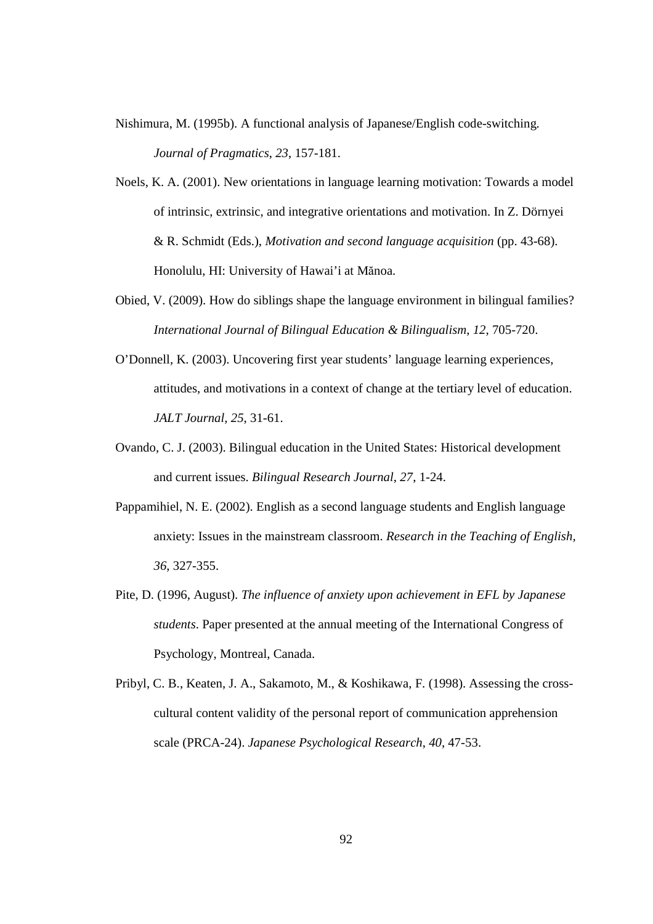- Nishimura, M. (1995b). A functional analysis of Japanese/English code-switching. *Journal of Pragmatics*, *23*, 157-181.
- Noels, K. A. (2001). New orientations in language learning motivation: Towards a model of intrinsic, extrinsic, and integrative orientations and motivation. In Z. Dörnyei & R. Schmidt (Eds.), *Motivation and second language acquisition* (pp. 43-68). Honolulu, HI: University of Hawai'i at Mănoa.
- Obied, V. (2009). How do siblings shape the language environment in bilingual families? *International Journal of Bilingual Education & Bilingualism*, *12*, 705-720.
- O'Donnell, K. (2003). Uncovering first year students' language learning experiences, attitudes, and motivations in a context of change at the tertiary level of education. *JALT Journal*, *25*, 31-61.
- Ovando, C. J. (2003). Bilingual education in the United States: Historical development and current issues. *Bilingual Research Journal*, *27*, 1-24.
- Pappamihiel, N. E. (2002). English as a second language students and English language anxiety: Issues in the mainstream classroom. *Research in the Teaching of English, 36*, 327-355.
- Pite, D. (1996, August). *The influence of anxiety upon achievement in EFL by Japanese students*. Paper presented at the annual meeting of the International Congress of Psychology, Montreal, Canada.
- Pribyl, C. B., Keaten, J. A., Sakamoto, M., & Koshikawa, F. (1998). Assessing the crosscultural content validity of the personal report of communication apprehension scale (PRCA-24). *Japanese Psychological Research*, *40*, 47-53.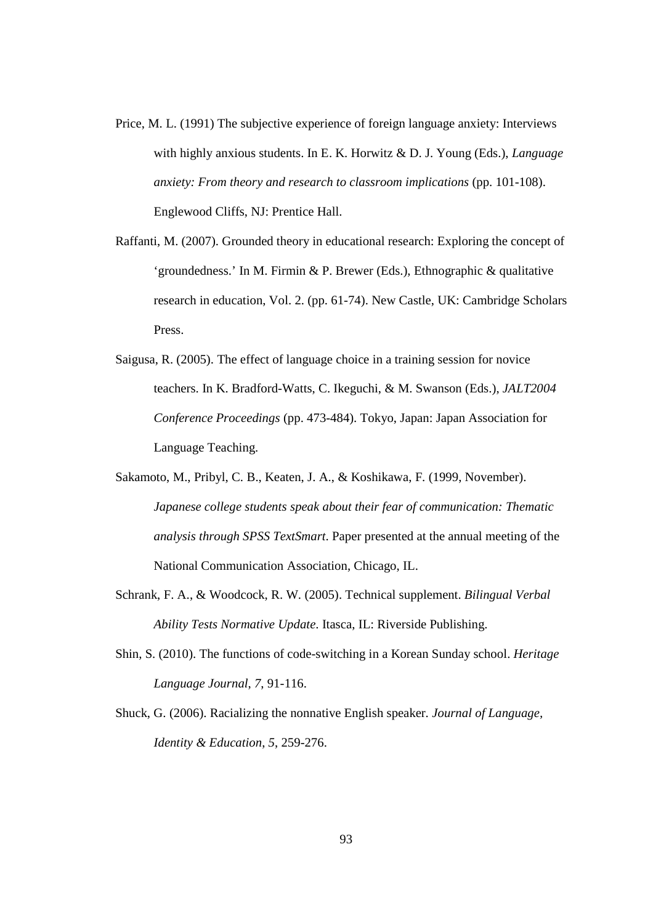- Price, M. L. (1991) The subjective experience of foreign language anxiety: Interviews with highly anxious students. In E. K. Horwitz & D. J. Young (Eds.), *Language anxiety: From theory and research to classroom implications* (pp. 101-108). Englewood Cliffs, NJ: Prentice Hall.
- Raffanti, M. (2007). Grounded theory in educational research: Exploring the concept of 'groundedness.' In M. Firmin & P. Brewer (Eds.), Ethnographic & qualitative research in education, Vol. 2. (pp. 61-74). New Castle, UK: Cambridge Scholars Press.
- Saigusa, R. (2005). The effect of language choice in a training session for novice teachers. In K. Bradford-Watts, C. Ikeguchi, & M. Swanson (Eds.), *JALT2004 Conference Proceedings* (pp. 473-484). Tokyo, Japan: Japan Association for Language Teaching.
- Sakamoto, M., Pribyl, C. B., Keaten, J. A., & Koshikawa, F. (1999, November). *Japanese college students speak about their fear of communication: Thematic analysis through SPSS TextSmart*. Paper presented at the annual meeting of the National Communication Association, Chicago, IL.
- Schrank, F. A., & Woodcock, R. W. (2005). Technical supplement. *Bilingual Verbal Ability Tests Normative Update*. Itasca, IL: Riverside Publishing.
- Shin, S. (2010). The functions of code-switching in a Korean Sunday school. *Heritage Language Journal*, *7*, 91-116.
- Shuck, G. (2006). Racializing the nonnative English speaker. *Journal of Language, Identity & Education*, *5*, 259-276.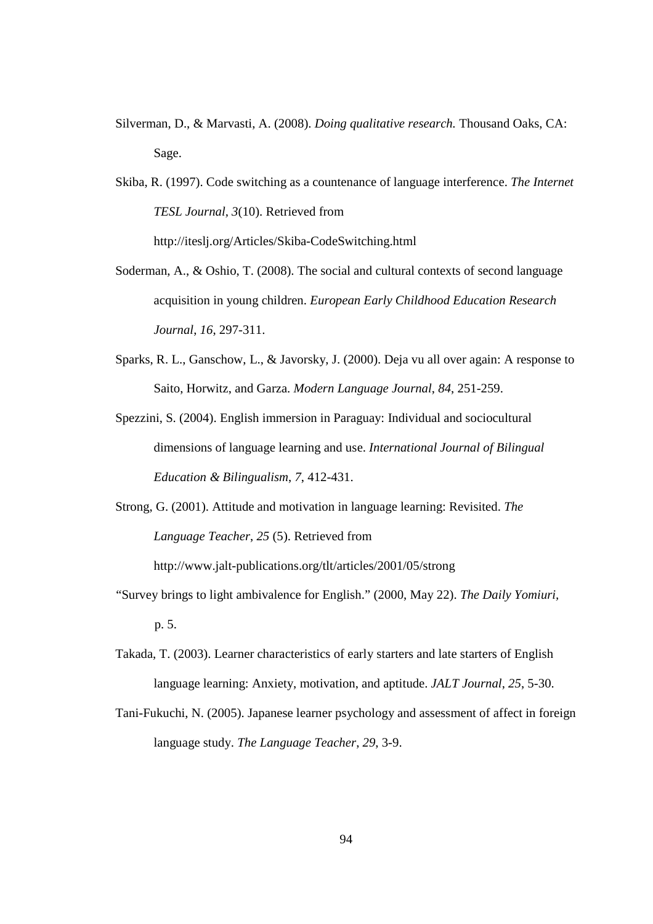- Silverman, D., & Marvasti, A. (2008). *Doing qualitative research.* Thousand Oaks, CA: Sage.
- Skiba, R. (1997). Code switching as a countenance of language interference. *The Internet TESL Journal, 3*(10). Retrieved from http://iteslj.org/Articles/Skiba-CodeSwitching.html
- Soderman, A., & Oshio, T. (2008). The social and cultural contexts of second language acquisition in young children. *European Early Childhood Education Research Journal*, *16*, 297-311.
- Sparks, R. L., Ganschow, L., & Javorsky, J. (2000). Deja vu all over again: A response to Saito, Horwitz, and Garza. *Modern Language Journal*, *84*, 251-259.
- Spezzini, S. (2004). English immersion in Paraguay: Individual and sociocultural dimensions of language learning and use. *International Journal of Bilingual Education & Bilingualism*, *7*, 412-431.
- Strong, G. (2001). Attitude and motivation in language learning: Revisited. *The Language Teacher*, *25* (5). Retrieved from

http://www.jalt-publications.org/tlt/articles/2001/05/strong

- "Survey brings to light ambivalence for English." (2000, May 22). *The Daily Yomiuri,*  p. 5.
- Takada, T. (2003). Learner characteristics of early starters and late starters of English language learning: Anxiety, motivation, and aptitude. *JALT Journal*, *25*, 5-30.
- Tani-Fukuchi, N. (2005). Japanese learner psychology and assessment of affect in foreign language study. *The Language Teacher*, *29*, 3-9.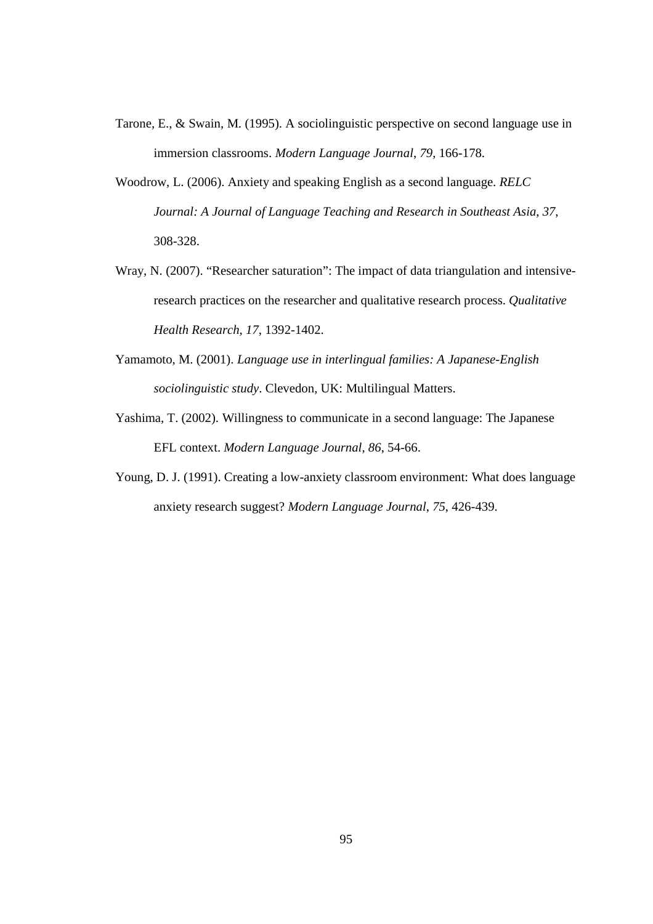- Tarone, E., & Swain, M. (1995). A sociolinguistic perspective on second language use in immersion classrooms. *Modern Language Journal*, *79*, 166-178.
- Woodrow, L. (2006). Anxiety and speaking English as a second language. *RELC Journal: A Journal of Language Teaching and Research in Southeast Asia*, *37*, 308-328.
- Wray, N. (2007). "Researcher saturation": The impact of data triangulation and intensiveresearch practices on the researcher and qualitative research process. *Qualitative Health Research*, *17*, 1392-1402.
- Yamamoto, M. (2001). *Language use in interlingual families: A Japanese-English sociolinguistic study*. Clevedon, UK: Multilingual Matters.
- Yashima, T. (2002). Willingness to communicate in a second language: The Japanese EFL context. *Modern Language Journal*, *86*, 54-66.
- Young, D. J. (1991). Creating a low-anxiety classroom environment: What does language anxiety research suggest? *Modern Language Journal*, *75*, 426-439.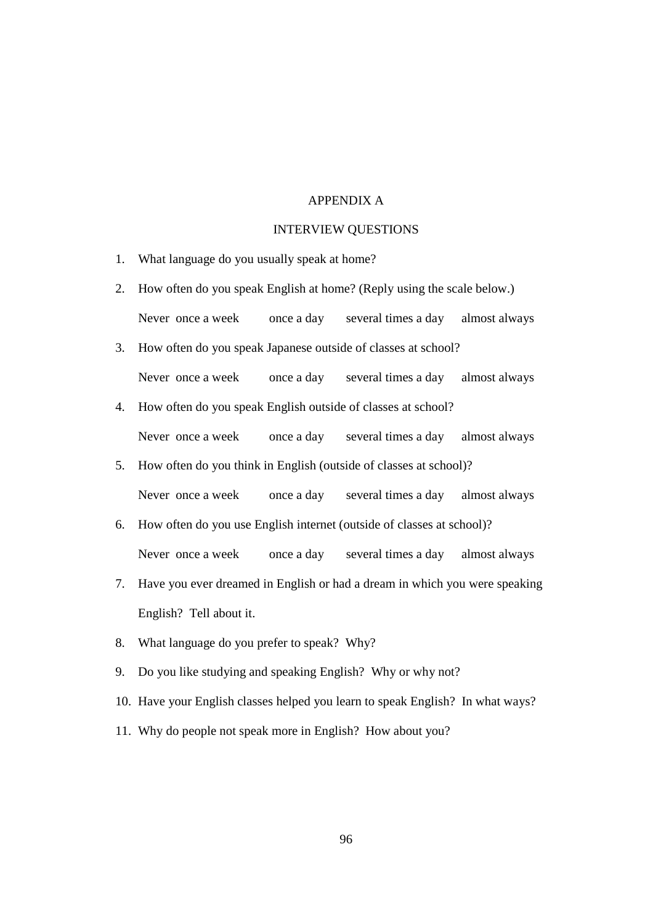## APPENDIX A

## INTERVIEW QUESTIONS

- 1. What language do you usually speak at home?
- 2. How often do you speak English at home? (Reply using the scale below.) Never once a week once a day several times a day almost always
- 3. How often do you speak Japanese outside of classes at school? Never once a week once a day several times a day almost always
- 4. How often do you speak English outside of classes at school? Never once a week once a day several times a day almost always
- 5. How often do you think in English (outside of classes at school)? Never once a week once a day several times a day almost always
- 6. How often do you use English internet (outside of classes at school)? Never once a week once a day several times a day almost always
- 7. Have you ever dreamed in English or had a dream in which you were speaking English? Tell about it.
- 8. What language do you prefer to speak? Why?
- 9. Do you like studying and speaking English? Why or why not?
- 10. Have your English classes helped you learn to speak English? In what ways?
- 11. Why do people not speak more in English? How about you?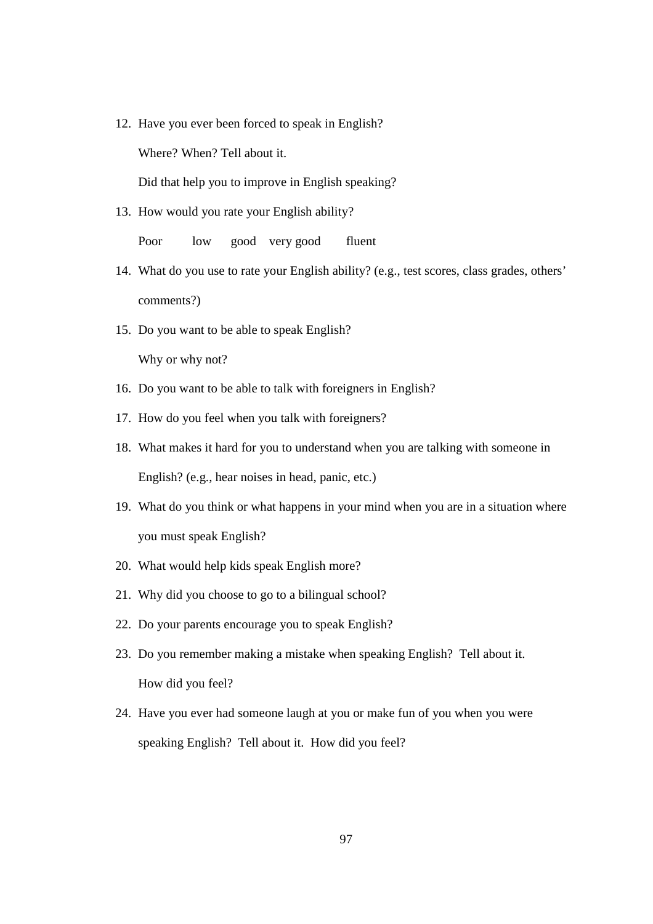12. Have you ever been forced to speak in English?

Where? When? Tell about it.

Did that help you to improve in English speaking?

13. How would you rate your English ability?

Poor low good very good fluent

- 14. What do you use to rate your English ability? (e.g., test scores, class grades, others' comments?)
- 15. Do you want to be able to speak English?

Why or why not?

- 16. Do you want to be able to talk with foreigners in English?
- 17. How do you feel when you talk with foreigners?
- 18. What makes it hard for you to understand when you are talking with someone in English? (e.g., hear noises in head, panic, etc.)
- 19. What do you think or what happens in your mind when you are in a situation where you must speak English?
- 20. What would help kids speak English more?
- 21. Why did you choose to go to a bilingual school?
- 22. Do your parents encourage you to speak English?
- 23. Do you remember making a mistake when speaking English? Tell about it. How did you feel?
- 24. Have you ever had someone laugh at you or make fun of you when you were speaking English? Tell about it. How did you feel?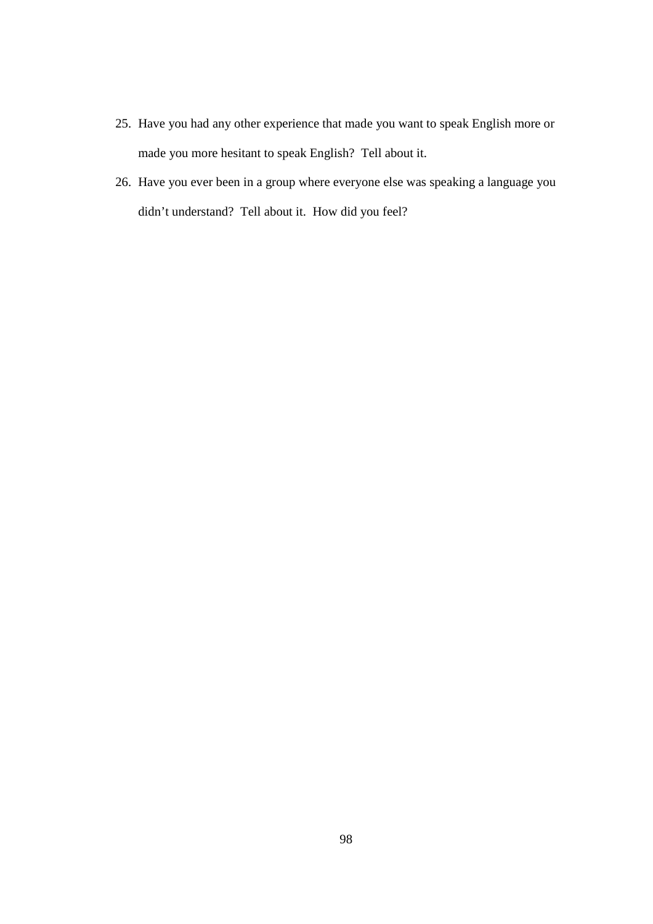- 25. Have you had any other experience that made you want to speak English more or made you more hesitant to speak English? Tell about it.
- 26. Have you ever been in a group where everyone else was speaking a language you didn't understand? Tell about it. How did you feel?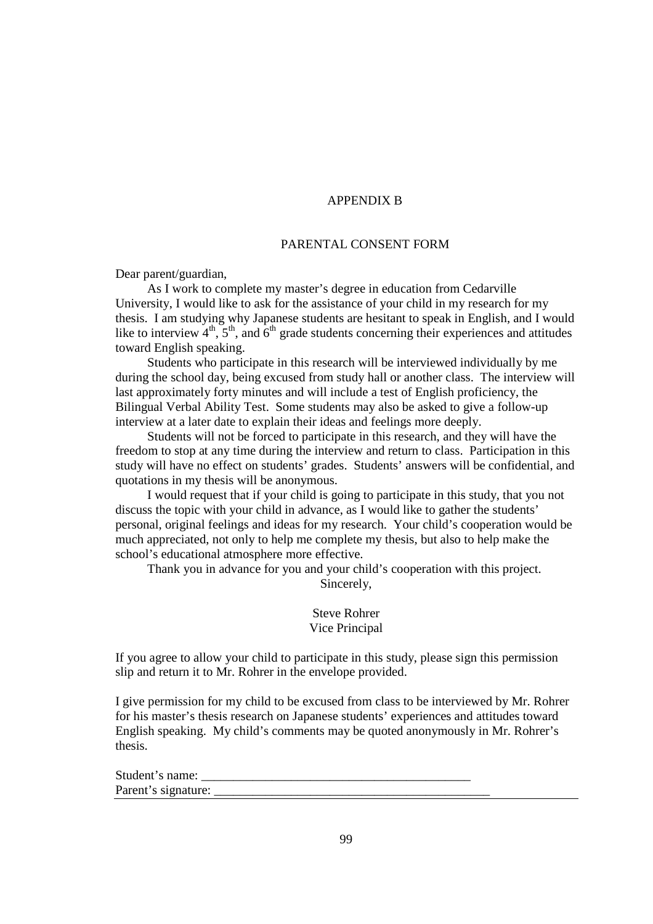## APPENDIX B

#### PARENTAL CONSENT FORM

Dear parent/guardian,

As I work to complete my master's degree in education from Cedarville University, I would like to ask for the assistance of your child in my research for my thesis. I am studying why Japanese students are hesitant to speak in English, and I would like to interview  $4<sup>th</sup>$ ,  $5<sup>th</sup>$ , and  $6<sup>th</sup>$  grade students concerning their experiences and attitudes toward English speaking.

Students who participate in this research will be interviewed individually by me during the school day, being excused from study hall or another class. The interview will last approximately forty minutes and will include a test of English proficiency, the Bilingual Verbal Ability Test. Some students may also be asked to give a follow-up interview at a later date to explain their ideas and feelings more deeply.

Students will not be forced to participate in this research, and they will have the freedom to stop at any time during the interview and return to class. Participation in this study will have no effect on students' grades. Students' answers will be confidential, and quotations in my thesis will be anonymous.

I would request that if your child is going to participate in this study, that you not discuss the topic with your child in advance, as I would like to gather the students' personal, original feelings and ideas for my research. Your child's cooperation would be much appreciated, not only to help me complete my thesis, but also to help make the school's educational atmosphere more effective.

Thank you in advance for you and your child's cooperation with this project.

Sincerely,

Steve Rohrer Vice Principal

If you agree to allow your child to participate in this study, please sign this permission slip and return it to Mr. Rohrer in the envelope provided.

I give permission for my child to be excused from class to be interviewed by Mr. Rohrer for his master's thesis research on Japanese students' experiences and attitudes toward English speaking. My child's comments may be quoted anonymously in Mr. Rohrer's thesis.

Student's name: Parent's signature: